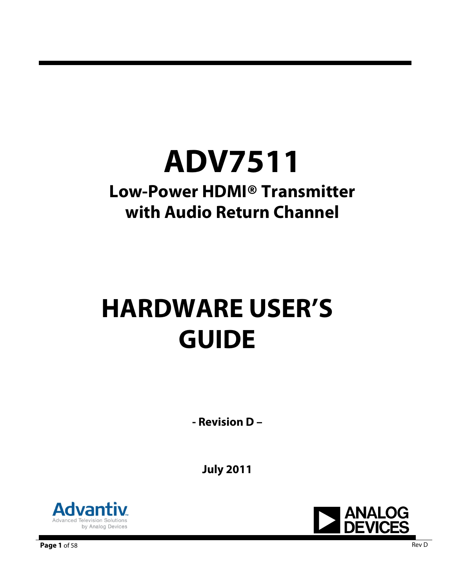## **Low-Power HDMI® Transmitter with Audio Return Channel**

# **HARDWARE USER'S GUIDE**

**- Revision D –** 

**July 2011** 





**Page 1** of 58 Rev D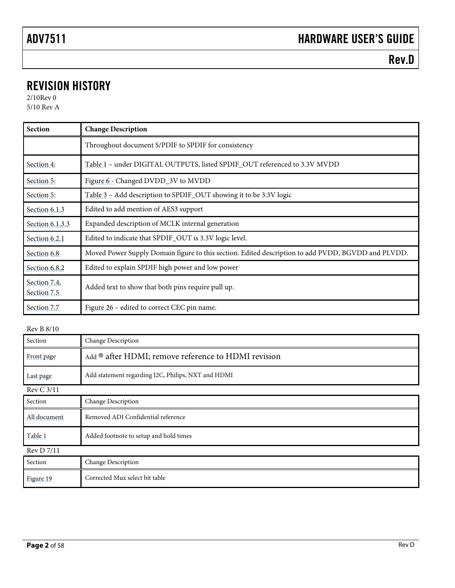## REVISION HISTORY

2/10Rev 0 5/10 Rev A

| <b>Section</b>              | <b>Change Description</b>                                                                          |  |  |  |  |
|-----------------------------|----------------------------------------------------------------------------------------------------|--|--|--|--|
|                             | Throughout document S/PDIF to SPDIF for consistency                                                |  |  |  |  |
| Section 4:                  | Table 1 - under DIGITAL OUTPUTS, listed SPDIF_OUT referenced to 3.3V MVDD                          |  |  |  |  |
| Section 5:                  | Figure 6 - Changed DVDD_3V to MVDD                                                                 |  |  |  |  |
| Section 5:                  | Table 3 - Add description to SPDIF_OUT showing it to be 3.3V logic                                 |  |  |  |  |
| Section 6.1.3               | Edited to add mention of AES3 support                                                              |  |  |  |  |
| Section 6.1.3.3             | Expanded description of MCLK internal generation                                                   |  |  |  |  |
| Section 6.2.1               | Edited to indicate that SPDIF_OUT is 3.3V logic level.                                             |  |  |  |  |
| Section 6.8                 | Moved Power Supply Domain figure to this section. Edited description to add PVDD, BGVDD and PLVDD. |  |  |  |  |
| Section 6.8.2               | Edited to explain SPDIF high power and low power                                                   |  |  |  |  |
| Section 7.4,<br>Section 7.5 | Added text to show that both pins require pull up.                                                 |  |  |  |  |
| Section 7.7                 | Figure 26 - edited to correct CEC pin name.                                                        |  |  |  |  |

#### Rev B 8/10

| Section            | Change Description                                  |  |  |  |
|--------------------|-----------------------------------------------------|--|--|--|
| Front page         | Add ® after HDMI; remove reference to HDMI revision |  |  |  |
| Last page          | Add statement regarding I2C, Philips, NXT and HDMI  |  |  |  |
| Rev C 3/11         |                                                     |  |  |  |
| Section            | Change Description                                  |  |  |  |
| All document       | Removed ADI Confidential reference                  |  |  |  |
| Table <sub>1</sub> | Added footnote to setup and hold times              |  |  |  |
| Rev D 7/11         |                                                     |  |  |  |
| Section            | <b>Change Description</b>                           |  |  |  |
| Figure 19          | Corrected Mux select bit table                      |  |  |  |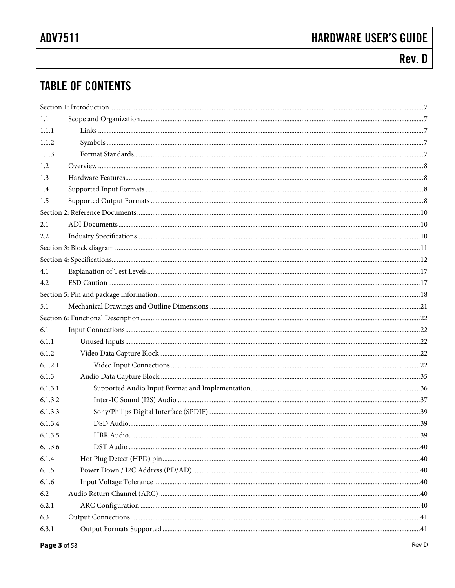## **HARDWARE USER'S GUIDE**

Rev. D

## **TABLE OF CONTENTS**

| 1.1     |  |
|---------|--|
| 1.1.1   |  |
| 1.1.2   |  |
| 1.1.3   |  |
| 1.2     |  |
| 1.3     |  |
| 1.4     |  |
| 1.5     |  |
|         |  |
| 2.1     |  |
| 2.2     |  |
|         |  |
|         |  |
| 4.1     |  |
| 4.2     |  |
|         |  |
| 5.1     |  |
|         |  |
| 6.1     |  |
| 6.1.1   |  |
| 6.1.2   |  |
| 6.1.2.1 |  |
| 6.1.3   |  |
| 6.1.3.1 |  |
| 6.1.3.2 |  |
| 6.1.3.3 |  |
| 6.1.3.4 |  |
| 6.1.3.5 |  |
| 6.1.3.6 |  |
| 6.1.4   |  |
| 6.1.5   |  |
| 6.1.6   |  |
| 6.2     |  |
| 6.2.1   |  |
| 6.3     |  |
| 6.3.1   |  |
|         |  |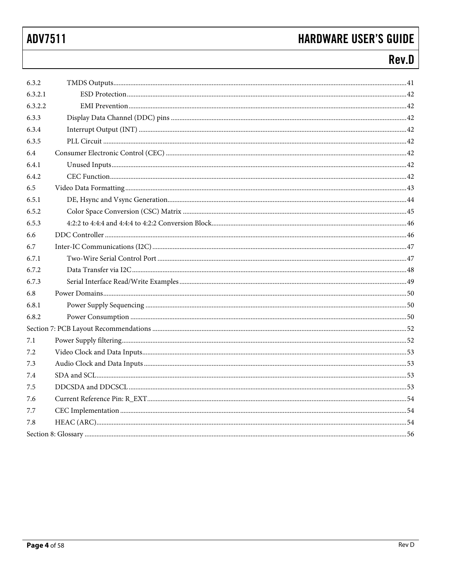## **HARDWARE USER'S GUIDE**

## Rev.D

| 6.3.2   |  |
|---------|--|
| 6.3.2.1 |  |
| 6.3.2.2 |  |
| 6.3.3   |  |
| 6.3.4   |  |
| 6.3.5   |  |
| 6.4     |  |
| 6.4.1   |  |
| 6.4.2   |  |
| 6.5     |  |
| 6.5.1   |  |
| 6.5.2   |  |
| 6.5.3   |  |
| 6.6     |  |
| 6.7     |  |
| 6.7.1   |  |
| 6.7.2   |  |
| 6.7.3   |  |
| 6.8     |  |
| 6.8.1   |  |
| 6.8.2   |  |
|         |  |
| 7.1     |  |
| 7.2     |  |
| 7.3     |  |
| 7.4     |  |
| 7.5     |  |
| 7.6     |  |
| 7.7     |  |
| 7.8     |  |
|         |  |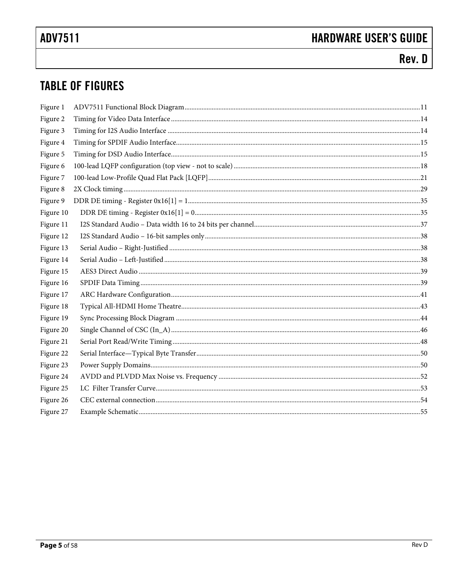## **HARDWARE USER'S GUIDE**

## **TABLE OF FIGURES**

| Figure 1  |  |
|-----------|--|
| Figure 2  |  |
| Figure 3  |  |
| Figure 4  |  |
| Figure 5  |  |
| Figure 6  |  |
| Figure 7  |  |
| Figure 8  |  |
| Figure 9  |  |
| Figure 10 |  |
| Figure 11 |  |
| Figure 12 |  |
| Figure 13 |  |
| Figure 14 |  |
| Figure 15 |  |
| Figure 16 |  |
| Figure 17 |  |
| Figure 18 |  |
| Figure 19 |  |
| Figure 20 |  |
| Figure 21 |  |
| Figure 22 |  |
| Figure 23 |  |
| Figure 24 |  |
| Figure 25 |  |
| Figure 26 |  |
| Figure 27 |  |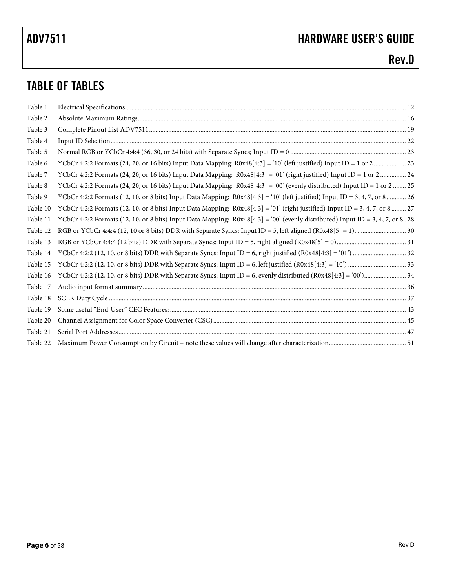## ADV7511 **HARDWARE USER'S GUIDE**

## Rev.D

## TABLE OF TABLES

| Table 1  |                                                                                                                                       |  |
|----------|---------------------------------------------------------------------------------------------------------------------------------------|--|
| Table 2  |                                                                                                                                       |  |
| Table 3  |                                                                                                                                       |  |
| Table 4  |                                                                                                                                       |  |
| Table 5  |                                                                                                                                       |  |
| Table 6  | YCbCr 4:2:2 Formats (24, 20, or 16 bits) Input Data Mapping: R0x48[4:3] = '10' (left justified) Input ID = 1 or 2 23                  |  |
| Table 7  | YCbCr 4:2:2 Formats (24, 20, or 16 bits) Input Data Mapping: R0x48[4:3] = '01' (right justified) Input ID = 1 or 2  24                |  |
| Table 8  | YCbCr 4:2:2 Formats (24, 20, or 16 bits) Input Data Mapping: $R0x48[4:3] = 0$ <sup>o</sup> (evenly distributed) Input ID = 1 or 2  25 |  |
| Table 9  | YCbCr 4:2:2 Formats (12, 10, or 8 bits) Input Data Mapping: $R0x48[4:3] = 10'$ (left justified) Input ID = 3, 4, 7, or 8  26          |  |
| Table 10 | YCbCr 4:2:2 Formats (12, 10, or 8 bits) Input Data Mapping: R0x48[4:3] = '01' (right justified) Input ID = 3, 4, 7, or 8  27          |  |
| Table 11 | YCbCr 4:2:2 Formats (12, 10, or 8 bits) Input Data Mapping: R0x48[4:3] = '00' (evenly distributed) Input ID = 3, 4, 7, or 8.28        |  |
| Table 12 |                                                                                                                                       |  |
| Table 13 |                                                                                                                                       |  |
| Table 14 |                                                                                                                                       |  |
| Table 15 |                                                                                                                                       |  |
| Table 16 |                                                                                                                                       |  |
| Table 17 |                                                                                                                                       |  |
| Table 18 |                                                                                                                                       |  |
| Table 19 |                                                                                                                                       |  |
| Table 20 |                                                                                                                                       |  |
| Table 21 |                                                                                                                                       |  |
| Table 22 |                                                                                                                                       |  |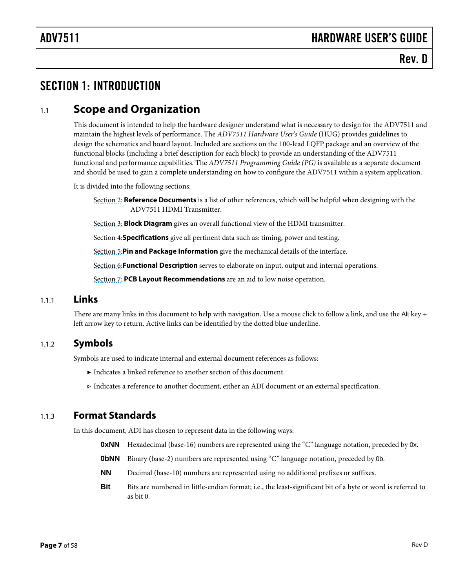## <span id="page-6-2"></span><span id="page-6-1"></span><span id="page-6-0"></span>SECTION 1: INTRODUCTION

## 1.1 **Scope and Organization**

This document is intended to help the hardware designer understand what is necessary to design for the ADV7511 and maintain the highest levels of performance. The *ADV7511 Hardware User's Guide* (HUG) provides guidelines to design the schematics and board layout. Included are sections on the 100-lead LQFP package and an overview of the functional blocks (including a brief description for each block) to provide an understanding of the ADV7511 functional and performance capabilities. The *ADV7511 Programming Guide (PG)* is available as a separate document and should be used to gain a complete understanding on how to configure the ADV7511 within a system application.

It is divided into the following sections:

[Section 2:](#page-9-1) **Reference Documents** is a list of other references, which will be helpful when designing with the ADV7511 HDMI Transmitter.

[Section 3:](#page-10-1) **Block Diagram** gives an overall functional view of the HDMI transmitter.

[Section 4:](#page-11-0)**Specifications** give all pertinent data such as: timing, power and testing.

[Section 5:](#page-17-0)**Pin and Package Information** give the mechanical details of the interface.

[Section 6:](#page-21-1)**Functional Description** serves to elaborate on input, output and internal operations.

[Section 7:](#page-51-1) **PCB Layout Recommendations** are an aid to low noise operation.

### <span id="page-6-4"></span><span id="page-6-3"></span>1.1.1 **Links**

There are many links in this document to help with navigation. Use a mouse click to follow a link, and use the Alt key + left arrow key to return. Active links can be identified by the dotted blue underline.

### <span id="page-6-5"></span>1.1.2 **Symbols**

Symbols are used to indicate internal and external document references as follows:

- ▶ Indicates a linked reference to another section of this document.
- $\triangleright$  Indicates a reference to another document, either an ADI document or an external specification.

### 1.1.3 **Format Standards**

In this document, ADI has chosen to represent data in the following ways:

- **0xNN** Hexadecimal (base-16) numbers are represented using the "C" language notation, preceded by 0x.
- **0bNN** Binary (base-2) numbers are represented using "C" language notation, preceded by 0b.
- **NN** Decimal (base-10) numbers are represented using no additional prefixes or suffixes.
- **Bit** Bits are numbered in little-endian format; i.e., the least-significant bit of a byte or word is referred to as bit 0.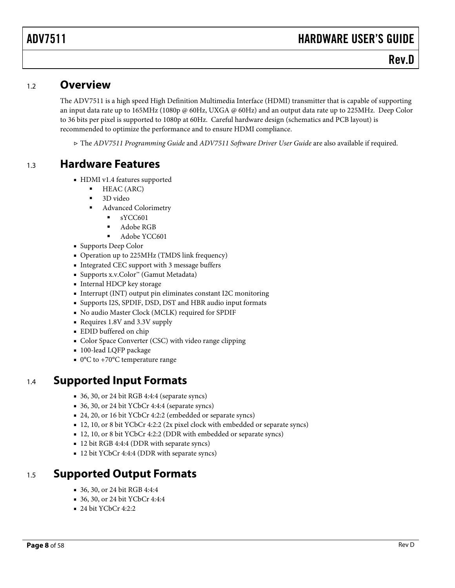## <span id="page-7-2"></span><span id="page-7-1"></span><span id="page-7-0"></span>1.2 **Overview**

The ADV7511 is a high speed High Definition Multimedia Interface (HDMI) transmitter that is capable of supporting an input data rate up to 165MHz (1080p @ 60Hz, UXGA @ 60Hz) and an output data rate up to 225MHz. Deep Color to 36 bits per pixel is supported to 1080p at 60Hz. Careful hardware design (schematics and PCB layout) is recommended to optimize the performance and to ensure HDMI compliance.

▷ The *ADV7511 Programming Guide* and *ADV7511 Software Driver User Guide* are also available if required.

## 1.3 **Hardware Features**

- HDMI v1.4 features supported
	- $HEAC(ARC)$
	- 3D video
	- Advanced Colorimetry
		- $\blacksquare$  sYCC601
			- Adobe RGB
		- Adobe YCC601
- Supports Deep Color
- Operation up to 225MHz (TMDS link frequency)
- Integrated CEC support with 3 message buffers
- Supports x.v.Color™ (Gamut Metadata)
- Internal HDCP key storage
- Interrupt (INT) output pin eliminates constant I2C monitoring
- Supports I2S, SPDIF, DSD, DST and HBR audio input formats
- No audio Master Clock (MCLK) required for SPDIF
- Requires 1.8V and 3.3V supply
- EDID buffered on chip
- Color Space Converter (CSC) with video range clipping
- 100-lead LQFP package
- $\bullet$  0°C to +70°C temperature range

## <span id="page-7-3"></span>1.4 **Supported Input Formats**

- 36, 30, or 24 bit RGB 4:4:4 (separate syncs)
- 36, 30, or 24 bit YCbCr 4:4:4 (separate syncs)
- 24, 20, or 16 bit YCbCr 4:2:2 (embedded or separate syncs)
- 12, 10, or 8 bit YCbCr 4:2:2 (2x pixel clock with embedded or separate syncs)
- 12, 10, or 8 bit YCbCr 4:2:2 (DDR with embedded or separate syncs)
- 12 bit RGB 4:4:4 (DDR with separate syncs)
- 12 bit YCbCr 4:4:4 (DDR with separate syncs)

## <span id="page-7-4"></span>1.5 **Supported Output Formats**

- 36, 30, or 24 bit RGB 4:4:4
- 36, 30, or 24 bit YCbCr 4:4:4
- 24 bit YCbCr 4:2:2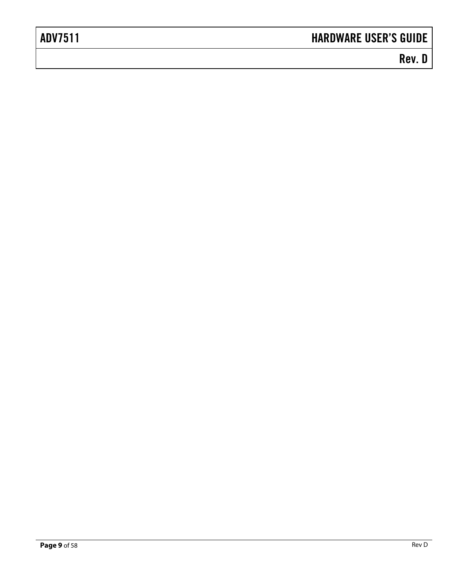## ADV7511 **HARDWARE USER'S GUIDE**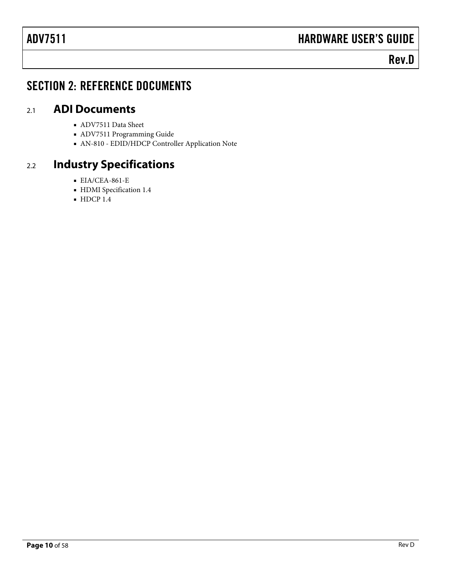## <span id="page-9-2"></span><span id="page-9-1"></span><span id="page-9-0"></span>SECTION 2: REFERENCE DOCUMENTS

## <span id="page-9-3"></span>2.1 **ADI Documents**

- ADV7511 Data Sheet
- ADV7511 Programming Guide
- AN-810 EDID/HDCP Controller Application Note

## 2.2 **Industry Specifications**

- EIA/CEA-861-E
- HDMI Specification 1.4
- HDCP 1.4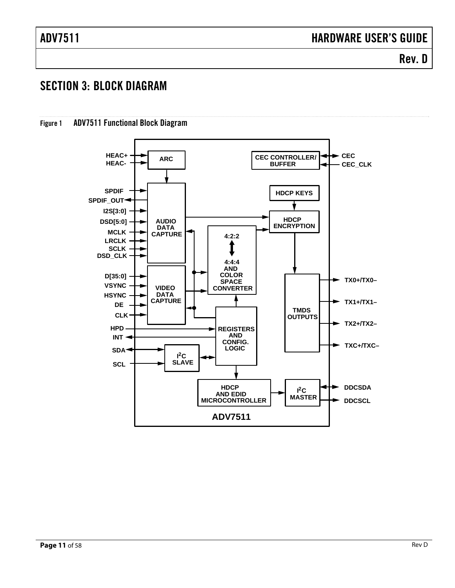## <span id="page-10-2"></span><span id="page-10-1"></span><span id="page-10-0"></span>SECTION 3: BLOCK DIAGRAM

#### Figure 1 ADV7511 Functional Block Diagram

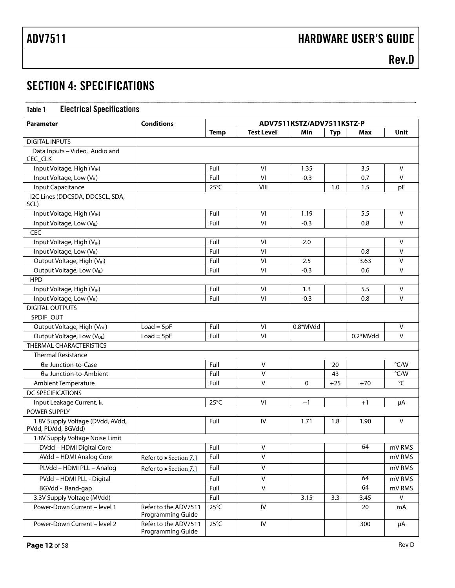## <span id="page-11-2"></span><span id="page-11-1"></span><span id="page-11-0"></span>SECTION 4: SPECIFICATIONS

## Table 1 Electrical Specifications

| <b>Parameter</b>                                        | <b>Conditions</b>                         | ADV7511KSTZ/ADV7511KSTZ-P |                         |          |            |          |              |
|---------------------------------------------------------|-------------------------------------------|---------------------------|-------------------------|----------|------------|----------|--------------|
|                                                         |                                           | <b>Temp</b>               | Test Level <sup>1</sup> | Min      | <b>Typ</b> | Max      | Unit         |
| <b>DIGITAL INPUTS</b>                                   |                                           |                           |                         |          |            |          |              |
| Data Inputs - Video, Audio and<br>CEC_CLK               |                                           |                           |                         |          |            |          |              |
| Input Voltage, High (VIH)                               |                                           | Full                      | VI                      | 1.35     |            | 3.5      | $\vee$       |
| Input Voltage, Low (VIL)                                |                                           | Full                      | VI                      | $-0.3$   |            | 0.7      | $\mathsf{V}$ |
| Input Capacitance                                       |                                           | $25^{\circ}$ C            | VIII                    |          | 1.0        | 1.5      | pF           |
| I2C Lines (DDCSDA, DDCSCL, SDA,<br>SCL)                 |                                           |                           |                         |          |            |          |              |
| Input Voltage, High (VIH)                               |                                           | Full                      | VI                      | 1.19     |            | 5.5      | v            |
| Input Voltage, Low (VIL)                                |                                           | Full                      | VI                      | $-0.3$   |            | 0.8      | v            |
| CEC                                                     |                                           |                           |                         |          |            |          |              |
| Input Voltage, High (VIH)                               |                                           | Full                      | VI                      | 2.0      |            |          | $\vee$       |
| Input Voltage, Low (VIL)                                |                                           | Full                      | VI                      |          |            | 0.8      | v            |
| Output Voltage, High (VIH)                              |                                           | Full                      | VI                      | 2.5      |            | 3.63     | v            |
| Output Voltage, Low (VIL)                               |                                           | Full                      | VI                      | $-0.3$   |            | 0.6      | v            |
| <b>HPD</b>                                              |                                           |                           |                         |          |            |          |              |
| Input Voltage, High (VIH)                               |                                           | Full                      | VI                      | 1.3      |            | 5.5      | V            |
| Input Voltage, Low (VLL)                                |                                           | Full                      | VI                      | $-0.3$   |            | 0.8      | $\vee$       |
| <b>DIGITAL OUTPUTS</b>                                  |                                           |                           |                         |          |            |          |              |
| SPDIF_OUT                                               |                                           |                           |                         |          |            |          |              |
| Output Voltage, High (V <sub>OH</sub> )                 | $Load = 5pF$                              | Full                      | VI                      | 0.8*MVdd |            |          | v            |
| Output Voltage, Low (V <sub>OL</sub> )                  | $Load = 5pF$                              | Full                      | VI                      |          |            | 0.2*MVdd | V            |
| THERMAL CHARACTERISTICS                                 |                                           |                           |                         |          |            |          |              |
| <b>Thermal Resistance</b>                               |                                           |                           |                         |          |            |          |              |
| $\theta$ <sub>IC</sub> Junction-to-Case                 |                                           | Full                      | $\mathsf{V}$            |          | 20         |          | °C/W         |
| $\theta_{JA}$ Junction-to-Ambient                       |                                           | Full                      | $\mathsf{V}$            |          | 43         |          | °C/W         |
| Ambient Temperature                                     |                                           | Full                      | $\vee$                  | 0        | $+25$      | $+70$    | °C           |
| DC SPECIFICATIONS                                       |                                           |                           |                         |          |            |          |              |
| Input Leakage Current, ILL                              |                                           | $25^{\circ}$ C            | VI                      | $-1$     |            | $+1$     | μA           |
| POWER SUPPLY                                            |                                           |                           |                         |          |            |          |              |
| 1.8V Supply Voltage (DVdd, AVdd,<br>PVdd, PLVdd, BGVdd) |                                           | Full                      | IV                      | 1.71     | 1.8        | 1.90     | $\vee$       |
| 1.8V Supply Voltage Noise Limit                         |                                           |                           |                         |          |            |          |              |
| DVdd - HDMI Digital Core                                |                                           | Full                      | V                       |          |            | 64       | mV RMS       |
| AVdd - HDMI Analog Core                                 | Refer to ► Section 7.1                    | Full                      | V                       |          |            |          | mV RMS       |
| PLVdd - HDMI PLL - Analog                               | Refer to ► Section 7.1                    | Full                      | $\sf V$                 |          |            |          | mV RMS       |
| PVdd - HDMI PLL - Digital                               |                                           | Full                      | $\mathsf{V}$            |          |            | 64       | mV RMS       |
| BGVdd - Band-gap                                        |                                           | Full                      | $\vee$                  |          |            | 64       | mV RMS       |
| 3.3V Supply Voltage (MVdd)                              |                                           | Full                      |                         | 3.15     | 3.3        | 3.45     | $\sf V$      |
| Power-Down Current - level 1                            | Refer to the ADV7511<br>Programming Guide | $25^{\circ}$ C            | $\mathsf{IV}$           |          |            | 20       | mA           |
| Power-Down Current - level 2                            | Refer to the ADV7511<br>Programming Guide | $25^{\circ}$ C            | IV                      |          |            | 300      | μA           |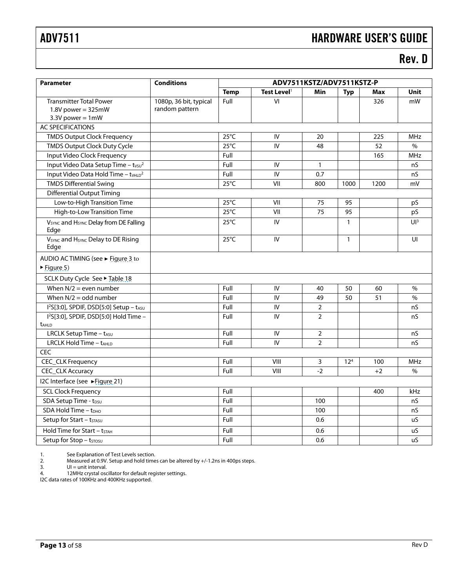## ADV7511 **HARDWARE USER'S GUIDE**

## Rev. D

| <b>Parameter</b>                                                      | <b>Conditions</b>      | ADV7511KSTZ/ADV7511KSTZ-P |                         |                |                 |      |                |
|-----------------------------------------------------------------------|------------------------|---------------------------|-------------------------|----------------|-----------------|------|----------------|
|                                                                       |                        | <b>Temp</b>               | Test Level <sup>1</sup> | Min            | <b>Typ</b>      | Max  | Unit           |
| <b>Transmitter Total Power</b>                                        | 1080p, 36 bit, typical | Full                      | VI                      |                |                 | 326  | mW             |
| $1.8V$ power = 325mW                                                  | random pattern         |                           |                         |                |                 |      |                |
| $3.3V$ power = 1mW                                                    |                        |                           |                         |                |                 |      |                |
| <b>AC SPECIFICATIONS</b>                                              |                        |                           |                         |                |                 |      |                |
| <b>TMDS Output Clock Frequency</b>                                    |                        | $25^{\circ}$ C            | IV                      | 20             |                 | 225  | MHz            |
| <b>TMDS Output Clock Duty Cycle</b>                                   |                        | $25^{\circ}$ C            | IV                      | 48             |                 | 52   | $\%$           |
| Input Video Clock Frequency                                           |                        | Full                      |                         |                |                 | 165  | <b>MHz</b>     |
| Input Video Data Setup Time - tvsu <sup>2</sup>                       |                        | Full                      | IV                      | $\mathbf{1}$   |                 |      | nS             |
| Input Video Data Hold Time - tvHLD <sup>2</sup>                       |                        | Full                      | IV                      | 0.7            |                 |      | nS             |
| <b>TMDS Differential Swing</b>                                        |                        | $25^{\circ}$ C            | VII                     | 800            | 1000            | 1200 | mV             |
| <b>Differential Output Timing</b>                                     |                        |                           |                         |                |                 |      |                |
| Low-to-High Transition Time                                           |                        | $25^{\circ}$ C            | VII                     | 75             | 95              |      | pS             |
| High-to-Low Transition Time                                           |                        | $25^{\circ}$ C            | VII                     | 75             | 95              |      | pS             |
| V <sub>SYNC</sub> and H <sub>SYNC</sub> Delay from DE Falling<br>Edge |                        | $25^{\circ}$ C            | IV                      |                | $\mathbf{1}$    |      | U <sup>3</sup> |
| V <sub>SYNC</sub> and H <sub>SYNC</sub> Delay to DE Rising<br>Edge    |                        | $25^{\circ}$ C            | IV                      |                | 1               |      | UI             |
| AUDIO AC TIMING (see ► Figure 3 to                                    |                        |                           |                         |                |                 |      |                |
| $\triangleright$ Figure 5)                                            |                        |                           |                         |                |                 |      |                |
| SCLK Duty Cycle See ▶ Table 18                                        |                        |                           |                         |                |                 |      |                |
| When $N/2$ = even number                                              |                        | Full                      | IV                      | 40             | 50              | 60   | $\frac{0}{0}$  |
| When $N/2 =$ odd number                                               |                        | Full                      | IV                      | 49             | 50              | 51   | $\%$           |
| I <sup>2</sup> S[3:0], SPDIF, DSD[5:0] Setup - tASU                   |                        | Full                      | IV                      | $\overline{2}$ |                 |      | nS             |
| I <sup>2</sup> S[3:0], SPDIF, DSD[5:0] Hold Time -                    |                        | Full                      | IV                      | $\overline{2}$ |                 |      | nS             |
| <b>t</b> AHLD                                                         |                        |                           |                         |                |                 |      |                |
| LRCLK Setup Time - tASU                                               |                        | Full                      | IV                      | $\overline{2}$ |                 |      | nS             |
| <b>LRCLK Hold Time - tAHLD</b>                                        |                        | Full                      | IV                      | $\overline{2}$ |                 |      | nS             |
| CEC                                                                   |                        |                           |                         |                |                 |      |                |
| <b>CEC_CLK Frequency</b>                                              |                        | Full                      | VIII                    | 3              | 12 <sup>4</sup> | 100  | <b>MHz</b>     |
| <b>CEC_CLK Accuracy</b>                                               |                        | Full                      | VIII                    | $-2$           |                 | $+2$ | $\%$           |
| I2C Interface (see ►Figure 21)                                        |                        |                           |                         |                |                 |      |                |
| <b>SCL Clock Frequency</b>                                            |                        | Full                      |                         |                |                 | 400  | kHz            |
| SDA Setup Time - t <sub>DSU</sub>                                     |                        | Full                      |                         | 100            |                 |      | nS             |
| SDA Hold Time - t <sub>DHO</sub>                                      |                        | Full                      |                         | 100            |                 |      | nS             |
| Setup for Start - tstasu                                              |                        | Full                      |                         | 0.6            |                 |      | uS             |
| Hold Time for Start - t <sub>STAH</sub>                               |                        | Full                      |                         | 0.6            |                 |      | uS             |
| Setup for Stop - tstosu                                               |                        | Full                      |                         | 0.6            |                 |      | uS             |

1. See [Explanation of Test Levels](#page-16-1) section.<br>
2. Measured at 0.9V. Setup and hold time<br>
3. UI = unit interval. Measured at 0.9V. Setup and hold times can be altered by +/-1.2ns in 400ps steps.

 $3.$  UI = unit interval.

4. 12MHz crystal oscillator for default register settings.

I2C data rates of 100KHz and 400KHz supported.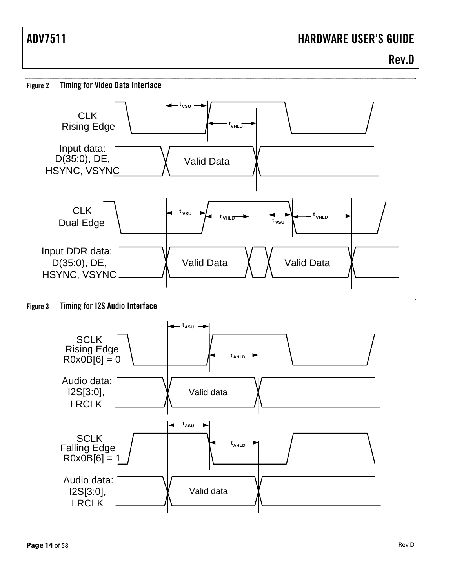<span id="page-13-2"></span><span id="page-13-1"></span><span id="page-13-0"></span>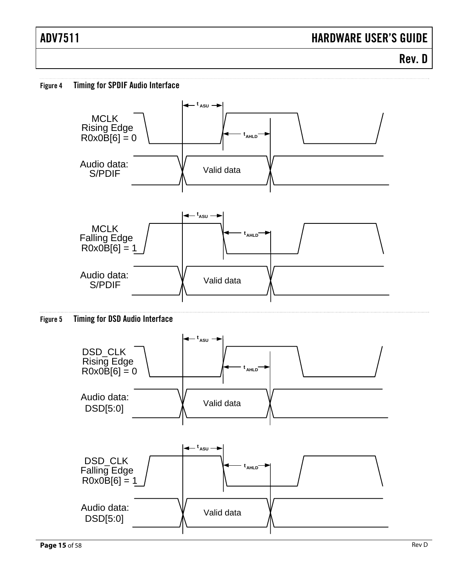<span id="page-14-2"></span><span id="page-14-1"></span><span id="page-14-0"></span>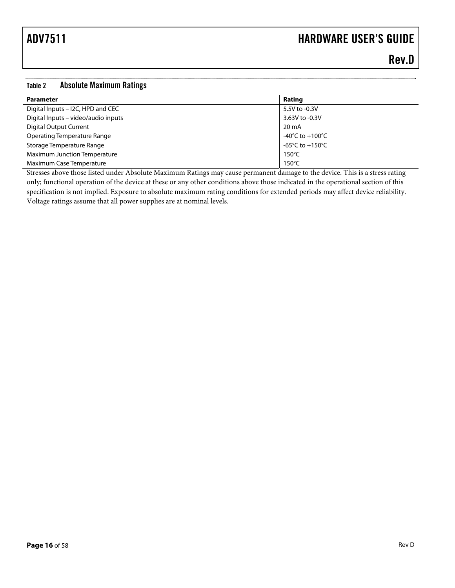#### <span id="page-15-1"></span><span id="page-15-0"></span>Table 2 Absolute Maximum Ratings

| <b>Parameter</b>                    | Rating          |
|-------------------------------------|-----------------|
| Digital Inputs – I2C, HPD and CEC   | 5.5V to -0.3V   |
| Digital Inputs - video/audio inputs | 3.63V to -0.3V  |
| Digital Output Current              | 20 mA           |
| Operating Temperature Range         | -40°C to +100°C |
| Storage Temperature Range           | -65°C to +150°C |
| Maximum Junction Temperature        | $150^{\circ}$ C |
| Maximum Case Temperature            | $150^{\circ}$ C |

Stresses above those listed under Absolute Maximum Ratings may cause permanent damage to the device. This is a stress rating only; functional operation of the device at these or any other conditions above those indicated in the operational section of this specification is not implied. Exposure to absolute maximum rating conditions for extended periods may affect device reliability. Voltage ratings assume that all power supplies are at nominal levels.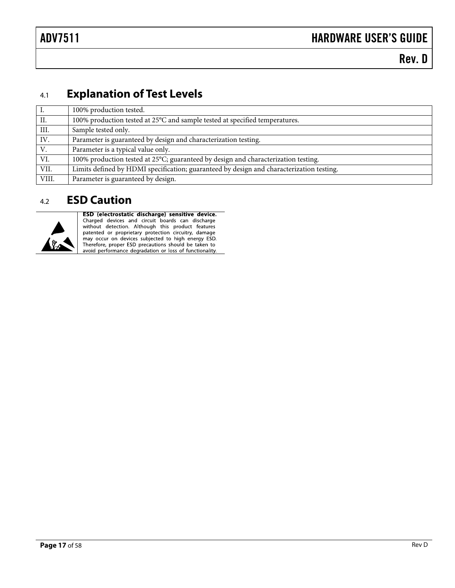## <span id="page-16-1"></span><span id="page-16-0"></span>4.1 **Explanation of Test Levels**

<span id="page-16-2"></span>

|       | 100% production tested.                                                                  |
|-------|------------------------------------------------------------------------------------------|
| II.   | 100% production tested at 25°C and sample tested at specified temperatures.              |
| III.  | Sample tested only.                                                                      |
| IV.   | Parameter is guaranteed by design and characterization testing.                          |
|       | Parameter is a typical value only.                                                       |
| VI.   | 100% production tested at 25°C; guaranteed by design and characterization testing.       |
| VII.  | Limits defined by HDMI specification; guaranteed by design and characterization testing. |
| VIII. | Parameter is guaranteed by design.                                                       |

## 4.2 **ESD Caution**



**ESD (electrostatic discharge) sensitive device.**<br>Charged devices and circuit boards can discharge without detection. Although this product features patented or proprietary protection circuitry, damage may occur on devices subjected to high energy ESD. Therefore, proper ESD precautions should be taken to avoid performance degradation or loss of functionality.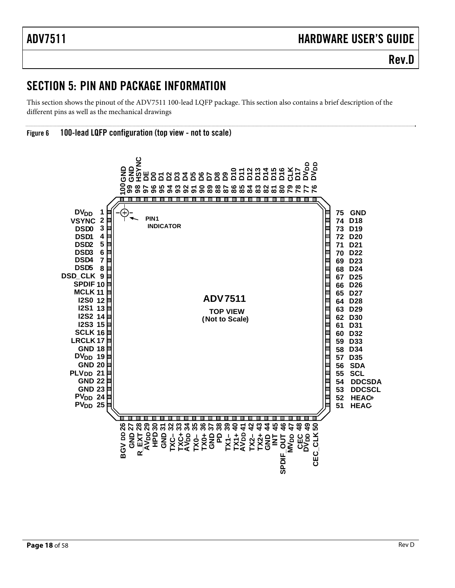## <span id="page-17-2"></span><span id="page-17-1"></span><span id="page-17-0"></span>SECTION 5: PIN AND PACKAGE INFORMATION

This section shows the pinout of the ADV7511 100-lead LQFP package. This section also contains a brief description of the different pins as well as the mechanical drawings



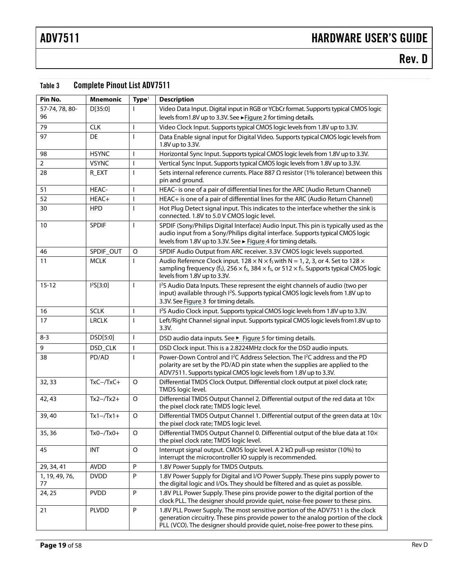## <span id="page-18-1"></span><span id="page-18-0"></span>Table 3 Complete Pinout List ADV7511

| Pin No.              | <b>Mnemonic</b>       | Type <sup>1</sup> | <b>Description</b>                                                                                                                                                                                                                                                                                   |
|----------------------|-----------------------|-------------------|------------------------------------------------------------------------------------------------------------------------------------------------------------------------------------------------------------------------------------------------------------------------------------------------------|
| 57-74, 78, 80-<br>96 | D[35:0]               |                   | Video Data Input. Digital input in RGB or YCbCr format. Supports typical CMOS logic<br>levels from 1.8V up to 3.3V. See ► Figure 2 for timing details.                                                                                                                                               |
| 79                   | <b>CLK</b>            | <b>I</b>          | Video Clock Input. Supports typical CMOS logic levels from 1.8V up to 3.3V.                                                                                                                                                                                                                          |
| 97                   | DE.                   | $\mathbf{I}$      | Data Enable signal input for Digital Video. Supports typical CMOS logic levels from<br>1.8V up to 3.3V.                                                                                                                                                                                              |
| 98                   | <b>HSYNC</b>          |                   | Horizontal Sync Input. Supports typical CMOS logic levels from 1.8V up to 3.3V.                                                                                                                                                                                                                      |
| 2                    | <b>VSYNC</b>          |                   | Vertical Sync Input. Supports typical CMOS logic levels from 1.8V up to 3.3V.                                                                                                                                                                                                                        |
| 28                   | R_EXT                 | <b>I</b>          | Sets internal reference currents. Place 887 $\Omega$ resistor (1% tolerance) between this<br>pin and ground.                                                                                                                                                                                         |
| 51                   | HEAC-                 | $\mathbf{I}$      | HEAC- is one of a pair of differential lines for the ARC (Audio Return Channel)                                                                                                                                                                                                                      |
| 52                   | HEAC+                 | $\mathbf{I}$      | HEAC+ is one of a pair of differential lines for the ARC (Audio Return Channel)                                                                                                                                                                                                                      |
| 30                   | <b>HPD</b>            | I                 | Hot Plug Detect signal input. This indicates to the interface whether the sink is<br>connected. 1.8V to 5.0 V CMOS logic level.                                                                                                                                                                      |
| 10                   | <b>SPDIF</b>          | J.                | SPDIF (Sony/Philips Digital Interface) Audio Input. This pin is typically used as the<br>audio input from a Sony/Philips digital interface. Supports typical CMOS logic<br>levels from 1.8V up to 3.3V. See ► Figure 4 for timing details.                                                           |
| 46                   | SPDIF_OUT             | $\circ$           | SPDIF Audio Output from ARC receiver. 3.3V CMOS logic levels supported.                                                                                                                                                                                                                              |
| 11                   | <b>MCLK</b>           |                   | Audio Reference Clock input. $128 \times N \times f_5$ with N = 1, 2, 3, or 4. Set to 128 $\times$<br>sampling frequency (f <sub>S</sub> ), 256 $\times$ f <sub>S</sub> , 384 $\times$ f <sub>S</sub> , or 512 $\times$ f <sub>S</sub> . Supports typical CMOS logic<br>levels from 1.8V up to 3.3V. |
| $15 - 12$            | I <sup>2</sup> S[3:0] | $\mathbf{I}$      | 12S Audio Data Inputs. These represent the eight channels of audio (two per<br>input) available through I <sup>2</sup> S. Supports typical CMOS logic levels from 1.8V up to<br>3.3V. See Figure 3 for timing details.                                                                               |
| 16                   | <b>SCLK</b>           | 1                 | I <sup>2</sup> S Audio Clock input. Supports typical CMOS logic levels from 1.8V up to 3.3V.                                                                                                                                                                                                         |
| 17                   | <b>LRCLK</b>          | <b>I</b>          | Left/Right Channel signal input. Supports typical CMOS logic levels from 1.8V up to<br>3.3V.                                                                                                                                                                                                         |
| $8 - 3$              | DSD[5:0]              | $\mathbf{I}$      | DSD audio data inputs. See ► Figure 5 for timing details.                                                                                                                                                                                                                                            |
| 9                    | DSD_CLK               | $\mathbf{I}$      | DSD Clock input. This is a 2.8224MHz clock for the DSD audio inputs.                                                                                                                                                                                                                                 |
| 38                   | PD/AD                 | $\mathbf{I}$      | Power-Down Control and I <sup>2</sup> C Address Selection. The I <sup>2</sup> C address and the PD<br>polarity are set by the PD/AD pin state when the supplies are applied to the<br>ADV7511. Supports typical CMOS logic levels from 1.8V up to 3.3V.                                              |
| 32, 33               | $TxC - /TxC +$        | O                 | Differential TMDS Clock Output. Differential clock output at pixel clock rate;<br>TMDS logic level.                                                                                                                                                                                                  |
| 42, 43               | $Tx2 - Tx2 +$         | O                 | Differential TMDS Output Channel 2. Differential output of the red data at 10x<br>the pixel clock rate; TMDS logic level.                                                                                                                                                                            |
| 39, 40               | $Tx1 - Tx1 +$         | O                 | Differential TMDS Output Channel 1. Differential output of the green data at 10x<br>the pixel clock rate; TMDS logic level.                                                                                                                                                                          |
| 35, 36               | $Tx0 - /Tx0 +$        | O                 | Differential TMDS Output Channel 0. Differential output of the blue data at 10x<br>the pixel clock rate; TMDS logic level.                                                                                                                                                                           |
| 45                   | <b>INT</b>            | O                 | Interrupt signal output. CMOS logic level. A 2 k $\Omega$ pull-up resistor (10%) to<br>interrupt the microcontroller IO supply is recommended.                                                                                                                                                       |
| 29, 34, 41           | <b>AVDD</b>           | P                 | 1.8V Power Supply for TMDS Outputs.                                                                                                                                                                                                                                                                  |
| 1, 19, 49, 76,<br>77 | <b>DVDD</b>           | P                 | 1.8V Power Supply for Digital and I/O Power Supply. These pins supply power to<br>the digital logic and I/Os. They should be filtered and as quiet as possible.                                                                                                                                      |
| 24, 25               | <b>PVDD</b>           | P                 | 1.8V PLL Power Supply. These pins provide power to the digital portion of the<br>clock PLL. The designer should provide quiet, noise-free power to these pins.                                                                                                                                       |
| 21                   | PLVDD                 | P                 | 1.8V PLL Power Supply. The most sensitive portion of the ADV7511 is the clock<br>generation circuitry. These pins provide power to the analog portion of the clock<br>PLL (VCO). The designer should provide quiet, noise-free power to these pins.                                                  |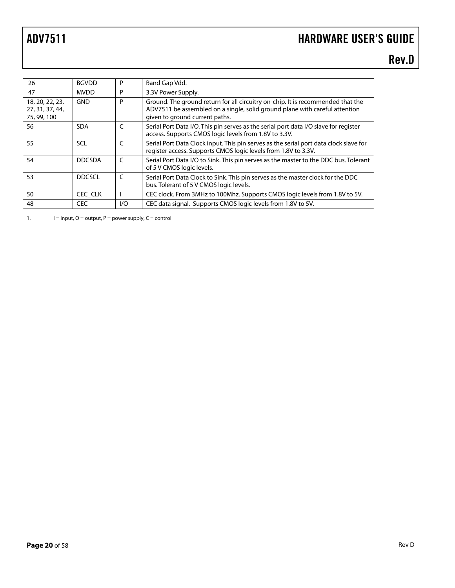## ADV7511 **HARDWARE USER'S GUIDE**

## Rev.D

| 26                                                | <b>BGVDD</b>  | P   | Band Gap Vdd.                                                                                                                                                                                    |
|---------------------------------------------------|---------------|-----|--------------------------------------------------------------------------------------------------------------------------------------------------------------------------------------------------|
| 47                                                | <b>MVDD</b>   | P   | 3.3V Power Supply.                                                                                                                                                                               |
| 18, 20, 22, 23,<br>27, 31, 37, 44,<br>75, 99, 100 | <b>GND</b>    | P   | Ground. The ground return for all circuitry on-chip. It is recommended that the<br>ADV7511 be assembled on a single, solid ground plane with careful attention<br>given to ground current paths. |
| 56                                                | <b>SDA</b>    |     | Serial Port Data I/O. This pin serves as the serial port data I/O slave for register<br>access. Supports CMOS logic levels from 1.8V to 3.3V.                                                    |
| 55                                                | SCL           |     | Serial Port Data Clock input. This pin serves as the serial port data clock slave for<br>register access. Supports CMOS logic levels from 1.8V to 3.3V.                                          |
| 54                                                | <b>DDCSDA</b> |     | Serial Port Data I/O to Sink. This pin serves as the master to the DDC bus. Tolerant<br>of 5 V CMOS logic levels.                                                                                |
| 53                                                | <b>DDCSCL</b> |     | Serial Port Data Clock to Sink. This pin serves as the master clock for the DDC<br>bus. Tolerant of 5 V CMOS logic levels.                                                                       |
| 50                                                | CEC CLK       |     | CEC clock. From 3MHz to 100Mhz. Supports CMOS logic levels from 1.8V to 5V.                                                                                                                      |
| 48                                                | <b>CEC</b>    | 1/O | CEC data signal. Supports CMOS logic levels from 1.8V to 5V.                                                                                                                                     |

1.  $I = input, O = output, P = power supply, C = control$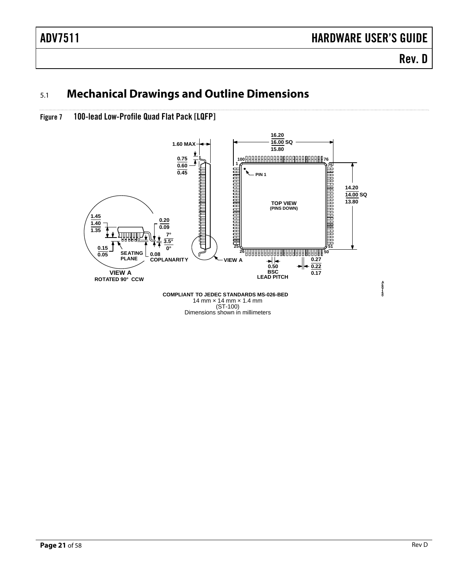## <span id="page-20-2"></span><span id="page-20-1"></span><span id="page-20-0"></span>5.1 **Mechanical Drawings and Outline Dimensions**

#### Figure 7 100-lead Low-Profile Quad Flat Pack [LQFP]

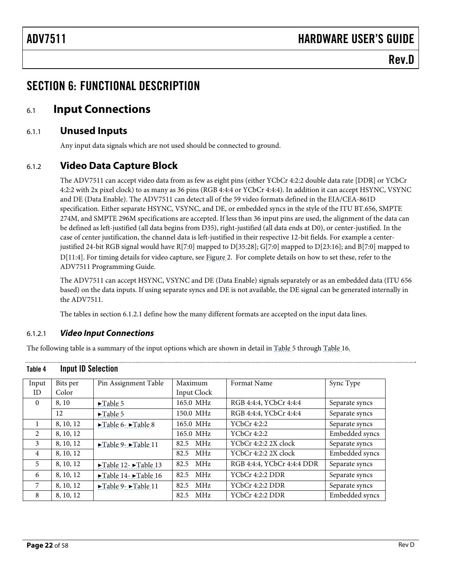## <span id="page-21-3"></span><span id="page-21-2"></span><span id="page-21-1"></span><span id="page-21-0"></span>SECTION 6: FUNCTIONAL DESCRIPTION

## <span id="page-21-4"></span>6.1 **Input Connections**

### 6.1.1 **Unused Inputs**

Any input data signals which are not used should be connected to ground.

## 6.1.2 **Video Data Capture Block**

The ADV7511 can accept video data from as few as eight pins (either YCbCr 4:2:2 double data rate [DDR] or YCbCr 4:2:2 with 2x pixel clock) to as many as 36 pins (RGB 4:4:4 or YCbCr 4:4:4). In addition it can accept HSYNC, VSYNC and DE (Data Enable). The ADV7511 can detect all of the 59 video formats defined in the EIA/CEA-861D specification. Either separate HSYNC, VSYNC, and DE, or embedded syncs in the style of the ITU BT.656, SMPTE 274M, and SMPTE 296M specifications are accepted. If less than 36 input pins are used, the alignment of the data can be defined as left-justified (all data begins from D35), right-justified (all data ends at D0), or center-justified. In the case of center justification, the channel data is left-justified in their respective 12-bit fields. For example a centerjustified 24-bit RGB signal would have R[7:0] mapped to D[35:28]; G[7:0] mapped to D[23:16]; and B[7:0] mapped to D[11:4]. For timing details for video capture, see [Figure 2](#page-13-1). For complete details on how to set these, refer to the ADV7511 Programming Guide.

The ADV7511 can accept HSYNC, VSYNC and DE (Data Enable) signals separately or as an embedded data (ITU 656 based) on the data inputs. If using separate syncs and DE is not available, the DE signal can be generated internally in the ADV7511.

The tables in section [6.1.2.1](#page-21-5) define how the many different formats are accepted on the input data lines.

#### <span id="page-21-6"></span><span id="page-21-5"></span>6.1.2.1 **Video Input Connections**

The following table is a summary of the input options which are shown in detail in [Table 5](#page-22-1) through [Table 16](#page-33-1).

| Tadie 4        | <b>IIIDUL ID SEIECUUII</b> |                                                                 |                    |                            |                |
|----------------|----------------------------|-----------------------------------------------------------------|--------------------|----------------------------|----------------|
| Input          | Bits per                   | Pin Assignment Table                                            | Maximum            | Format Name                | Sync Type      |
| ID             | Color                      |                                                                 | Input Clock        |                            |                |
| $\Omega$       | 8, 10                      | $\blacktriangleright$ Table 5                                   | 165.0 MHz          | RGB 4:4:4, YCbCr 4:4:4     | Separate syncs |
|                | 12                         | $\blacktriangleright$ Table 5                                   | 150.0 MHz          | RGB 4:4:4, YCbCr 4:4:4     | Separate syncs |
| $\mathbf{L}$   | 8, 10, 12                  | $\blacktriangleright$ Table 6 - $\blacktriangleright$ Table 8   | 165.0 MHz          | YCbCr $4:2:2$              | Separate syncs |
| 2              | 8, 10, 12                  |                                                                 | 165.0 MHz          | YChCr 4:2:2                | Embedded syncs |
| 3              | 8, 10, 12                  | ►Table 9- ►Table 11                                             | MHz<br>82.5        | YCbCr 4:2:2 2X clock       | Separate syncs |
| $\overline{4}$ | 8, 10, 12                  |                                                                 | MHz<br>82.5        | YCbCr 4:2:2 2X clock       | Embedded syncs |
| 5              | 8, 10, 12                  | $\blacktriangleright$ Table 12 - $\blacktriangleright$ Table 13 | MHz<br>82.5        | RGB 4:4:4, YCbCr 4:4:4 DDR | Separate syncs |
| 6              | 8, 10, 12                  | ►Table 14- ►Table 16                                            | <b>MHz</b><br>82.5 | YCbCr 4:2:2 DDR            | Separate syncs |
| 7              | 8, 10, 12                  | ►Table 9- ►Table 11                                             | MHz<br>82.5        | YCbCr 4:2:2 DDR            | Separate syncs |
| 8              | 8, 10, 12                  |                                                                 | MHz<br>82.5        | YCbCr 4:2:2 DDR            | Embedded syncs |

| Table 4 |  | <b>Input ID Selection</b> |
|---------|--|---------------------------|
|---------|--|---------------------------|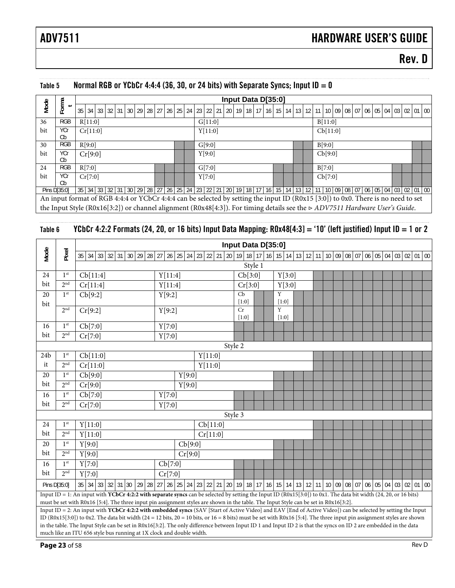### <span id="page-22-1"></span><span id="page-22-0"></span>Table 5 Normal RGB or YCbCr 4:4:4 (36, 30, or 24 bits) with Separate Syncs; Input ID = 0

|              | orma                     |                                                                                                                                            |  |  |         | Input Data D[35:0] |  |  |          |  |  |  |  |  |  |  |
|--------------|--------------------------|--------------------------------------------------------------------------------------------------------------------------------------------|--|--|---------|--------------------|--|--|----------|--|--|--|--|--|--|--|
| Mode         | $\overline{\phantom{0}}$ | 35 34 33 32 31 30 29 28 27 26 25 24 23 22 21 20 19 18 17 16 15 14 13 12 11 10 09 08 07 06 05 04 03 02 01 00                                |  |  |         |                    |  |  |          |  |  |  |  |  |  |  |
| 36           | <b>RGB</b>               | R[11:0]                                                                                                                                    |  |  | G[11:0] |                    |  |  | B[11:0]  |  |  |  |  |  |  |  |
| bit          | YCr<br>Ch                | Cr[11:0]                                                                                                                                   |  |  | Y[11:0] |                    |  |  | Cb[11:0] |  |  |  |  |  |  |  |
| 30           | RGB                      | R[9:0]<br>G[9:0]<br>B[9:0]<br>Cb[9:0]<br>Y[9:0]<br>Cr[9:0]                                                                                 |  |  |         |                    |  |  |          |  |  |  |  |  |  |  |
| bit          | YCr<br>Cb                | R[7:0]<br>B[7:0]<br>G[7:0]                                                                                                                 |  |  |         |                    |  |  |          |  |  |  |  |  |  |  |
| 24           | RGB                      |                                                                                                                                            |  |  |         |                    |  |  |          |  |  |  |  |  |  |  |
| bit          | YCr<br>Ch                | Cr[7:0]                                                                                                                                    |  |  | Y[7:0]  |                    |  |  | Cb[7:0]  |  |  |  |  |  |  |  |
| Pins D[35:0] |                          | 35 34 33 32 31 30 29 28 27 26 25 24 23 22 21 20 19 18 17 16 15 14 13 12 11 10 09 08 07 06 05 04 03 02 01 00                                |  |  |         |                    |  |  |          |  |  |  |  |  |  |  |
|              |                          | An input format of RGB 4:4:4 or YCbCr 4:4:4 can be selected by setting the input ID (R0x15 [3:0]) to 0x0. There is no need to set          |  |  |         |                    |  |  |          |  |  |  |  |  |  |  |
|              |                          | the Input Style (R0x16[3:2]) or channel alignment (R0x48[4:3]). For timing details see the $\triangleright$ ADV7511 Hardware User's Guide. |  |  |         |                    |  |  |          |  |  |  |  |  |  |  |

### <span id="page-22-2"></span>Table 6 YCbCr 4:2:2 Formats (24, 20, or 16 bits) Input Data Mapping:  $R0x48[4:3] = '10'$  (left justified) Input ID = 1 or 2

|                 |                 |                                                                                                                                                                                                                                                                                                                                              |         |         |          |                   | Input Data D[35:0] |         |         |  |                                                      |        |  |  |  |  |  |    |  |  |                   |  |
|-----------------|-----------------|----------------------------------------------------------------------------------------------------------------------------------------------------------------------------------------------------------------------------------------------------------------------------------------------------------------------------------------------|---------|---------|----------|-------------------|--------------------|---------|---------|--|------------------------------------------------------|--------|--|--|--|--|--|----|--|--|-------------------|--|
| Mode            | Pixel           | 35<br>34 33 32 31 30 29 28 27 26 25                                                                                                                                                                                                                                                                                                          |         |         |          | 24 23 22 21 20 19 |                    | 18      |         |  | 17   16   15   14   13   12   11   10   09   08   07 |        |  |  |  |  |  | 06 |  |  | 05 04 03 02 01 00 |  |
|                 |                 |                                                                                                                                                                                                                                                                                                                                              |         |         |          |                   |                    |         | Style 1 |  |                                                      |        |  |  |  |  |  |    |  |  |                   |  |
| 24              | 1 <sup>st</sup> | Cb[11:4]                                                                                                                                                                                                                                                                                                                                     | Y[11:4] |         |          |                   |                    | Cb[3:0] |         |  |                                                      | Y[3:0] |  |  |  |  |  |    |  |  |                   |  |
| bit             | 2 <sup>nd</sup> | Cr[11:4]                                                                                                                                                                                                                                                                                                                                     | Y[11:4] |         |          |                   |                    | Cr[3:0] |         |  |                                                      | Y[3:0] |  |  |  |  |  |    |  |  |                   |  |
| 20              | 1 <sup>st</sup> | Cb[9:2]                                                                                                                                                                                                                                                                                                                                      | Y[9:2]  |         |          |                   | Cb                 |         |         |  | $\mathbf Y$                                          |        |  |  |  |  |  |    |  |  |                   |  |
| bit             |                 |                                                                                                                                                                                                                                                                                                                                              |         |         |          |                   | Cr                 | $[1:0]$ |         |  | [1:0]<br>Y                                           |        |  |  |  |  |  |    |  |  |                   |  |
|                 | 2 <sub>nd</sub> | Cr[9:2]                                                                                                                                                                                                                                                                                                                                      | Y[9:2]  |         |          |                   |                    | $[1:0]$ |         |  | $[1:0]$                                              |        |  |  |  |  |  |    |  |  |                   |  |
| 16              | 1 <sup>st</sup> | Cb[7:0]                                                                                                                                                                                                                                                                                                                                      | Y[7:0]  |         |          |                   |                    |         |         |  |                                                      |        |  |  |  |  |  |    |  |  |                   |  |
| bit             | 2 <sup>nd</sup> | Cr[7:0]                                                                                                                                                                                                                                                                                                                                      | Y[7:0]  |         |          |                   |                    |         |         |  |                                                      |        |  |  |  |  |  |    |  |  |                   |  |
|                 |                 |                                                                                                                                                                                                                                                                                                                                              |         |         |          |                   | Style 2            |         |         |  |                                                      |        |  |  |  |  |  |    |  |  |                   |  |
| 24 <sub>b</sub> | 1 <sup>st</sup> | Cb[11:0]<br>Y[11:0]<br>Cr[11:0]<br>Y[11:0]<br>Cb[9:0]<br>Y[9:0]                                                                                                                                                                                                                                                                              |         |         |          |                   |                    |         |         |  |                                                      |        |  |  |  |  |  |    |  |  |                   |  |
| it              | 2 <sup>nd</sup> | Cr[9:0]<br>Y[9:0]                                                                                                                                                                                                                                                                                                                            |         |         |          |                   |                    |         |         |  |                                                      |        |  |  |  |  |  |    |  |  |                   |  |
| 20              | 1 <sup>st</sup> |                                                                                                                                                                                                                                                                                                                                              |         |         |          |                   |                    |         |         |  |                                                      |        |  |  |  |  |  |    |  |  |                   |  |
| bit             | 2 <sub>nd</sub> | Cb[7:0]<br>Y[7:0]                                                                                                                                                                                                                                                                                                                            |         |         |          |                   |                    |         |         |  |                                                      |        |  |  |  |  |  |    |  |  |                   |  |
| 16              | 1 <sup>st</sup> | Cr[7:0]<br>Y[7:0]                                                                                                                                                                                                                                                                                                                            |         |         |          |                   |                    |         |         |  |                                                      |        |  |  |  |  |  |    |  |  |                   |  |
| bit             | 2 <sup>nd</sup> |                                                                                                                                                                                                                                                                                                                                              |         |         |          |                   |                    |         |         |  |                                                      |        |  |  |  |  |  |    |  |  |                   |  |
|                 |                 | Style 3                                                                                                                                                                                                                                                                                                                                      |         |         |          |                   |                    |         |         |  |                                                      |        |  |  |  |  |  |    |  |  |                   |  |
| 24              | 1 <sup>st</sup> | Y[11:0]                                                                                                                                                                                                                                                                                                                                      |         |         | Cb[11:0] |                   |                    |         |         |  |                                                      |        |  |  |  |  |  |    |  |  |                   |  |
| bit             | 2 <sub>nd</sub> | Y[11:0]                                                                                                                                                                                                                                                                                                                                      |         |         | Cr[11:0] |                   |                    |         |         |  |                                                      |        |  |  |  |  |  |    |  |  |                   |  |
| 20              | 1 <sup>st</sup> | Y[9:0]                                                                                                                                                                                                                                                                                                                                       |         | Cb[9:0] |          |                   |                    |         |         |  |                                                      |        |  |  |  |  |  |    |  |  |                   |  |
| bit             | 2 <sup>nd</sup> | Y[9:0]                                                                                                                                                                                                                                                                                                                                       |         | Cr[9:0] |          |                   |                    |         |         |  |                                                      |        |  |  |  |  |  |    |  |  |                   |  |
| 16              | 1 <sup>st</sup> | Y[7:0]                                                                                                                                                                                                                                                                                                                                       | Cb[7:0] |         |          |                   |                    |         |         |  |                                                      |        |  |  |  |  |  |    |  |  |                   |  |
| bit             | 2 <sup>nd</sup> | Y[7:0]                                                                                                                                                                                                                                                                                                                                       |         |         |          |                   |                    |         |         |  |                                                      |        |  |  |  |  |  |    |  |  |                   |  |
| Pins D[35:0]    |                 | 35 34 33 32 31 30                                                                                                                                                                                                                                                                                                                            |         |         |          |                   |                    |         |         |  |                                                      |        |  |  |  |  |  |    |  |  |                   |  |
|                 |                 | Cr[7:0]<br>29 28 27 26 25<br>  17   16   15   14   13   12   11   10   09   08   07   06  <br>24 23 22 21 20 19 18<br>05 04 03 02 01 00<br>Input ID = 1: An input with YCbCr 4:2:2 with separate syncs can be selected by setting the Input ID (R0x15[3:0]) to 0x1. The data bit width (24, 20, or 16 bits)                                  |         |         |          |                   |                    |         |         |  |                                                      |        |  |  |  |  |  |    |  |  |                   |  |
|                 |                 | must be set with R0x16 [5:4]. The three input pin assignment styles are shown in the table. The Input Style can be set in R0x16 [3:2].                                                                                                                                                                                                       |         |         |          |                   |                    |         |         |  |                                                      |        |  |  |  |  |  |    |  |  |                   |  |
|                 |                 | Input ID = 2: An input with YCbCr 4:2:2 with embedded syncs (SAV [Start of Active Video] and EAV [End of Active Video]) can be selected by setting the Input<br>ID (R0x15[3:0]) to 0x2. The data bit width ( $24 = 12$ bits, $20 = 10$ bits, or $16 = 8$ bits) must be set with R0x16 [5:4]. The three input pin assignment styles are shown |         |         |          |                   |                    |         |         |  |                                                      |        |  |  |  |  |  |    |  |  |                   |  |
|                 |                 | in the table. The Input Style can be set in R0x16[3:2]. The only difference between Input ID 1 and Input ID 2 is that the syncs on ID 2 are embedded in the data                                                                                                                                                                             |         |         |          |                   |                    |         |         |  |                                                      |        |  |  |  |  |  |    |  |  |                   |  |
|                 |                 | much like an ITU 656 style bus running at 1X clock and double width.                                                                                                                                                                                                                                                                         |         |         |          |                   |                    |         |         |  |                                                      |        |  |  |  |  |  |    |  |  |                   |  |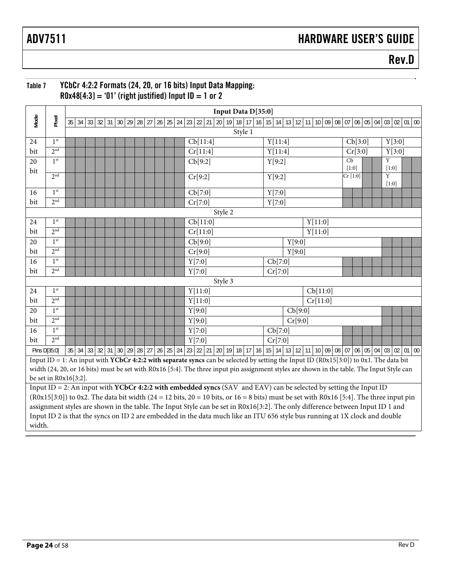|              |                       |  |  |  |  |  | $\mu$ is the particle in the contract $\mu$ is the contract $\mu$ |                    |         |                                                                                                                                                                            |                     |  |                           |  |
|--------------|-----------------------|--|--|--|--|--|-------------------------------------------------------------------|--------------------|---------|----------------------------------------------------------------------------------------------------------------------------------------------------------------------------|---------------------|--|---------------------------|--|
|              |                       |  |  |  |  |  |                                                                   | Input Data D[35:0] |         |                                                                                                                                                                            |                     |  |                           |  |
| Mode         | Pixel                 |  |  |  |  |  |                                                                   |                    |         | 35 34 33 32 31 30 29 28 27 26 25 24 23 22 21 20 19 18 17 16 15 14 13 12 11 10 09 08 07 06 05 04 03 02 01 00                                                                |                     |  |                           |  |
|              |                       |  |  |  |  |  |                                                                   | Style 1            |         |                                                                                                                                                                            |                     |  |                           |  |
| 24           | 1 <sup>st</sup>       |  |  |  |  |  | Cb[11:4]                                                          |                    | Y[11:4] |                                                                                                                                                                            | Cb[3:0]             |  | Y[3:0]                    |  |
| bit          | 2 <sup>nd</sup>       |  |  |  |  |  | Cr[11:4]                                                          |                    | Y[11:4] |                                                                                                                                                                            | Cr[3:0]             |  | Y[3:0]                    |  |
| 20           | $1^\mathrm{st}$       |  |  |  |  |  | Cb[9:2]                                                           |                    | Y[9:2]  |                                                                                                                                                                            | Cb                  |  | $\mathbf Y$               |  |
| bit          | 2 <sub>nd</sub>       |  |  |  |  |  | Cr[9:2]                                                           |                    | Y[9:2]  |                                                                                                                                                                            | $[1:0]$<br>Cr [1:0] |  | $[1:0]$<br>$\overline{Y}$ |  |
|              |                       |  |  |  |  |  |                                                                   |                    |         |                                                                                                                                                                            |                     |  | [1:0]                     |  |
| 16           | 1 <sup>st</sup>       |  |  |  |  |  | Cb[7:0]                                                           |                    | Y[7:0]  |                                                                                                                                                                            |                     |  |                           |  |
| bit          | 2 <sup>nd</sup>       |  |  |  |  |  | Cr[7:0]                                                           |                    | Y[7:0]  |                                                                                                                                                                            |                     |  |                           |  |
|              |                       |  |  |  |  |  | $\overline{Style}$ 2                                              |                    |         |                                                                                                                                                                            |                     |  |                           |  |
| 24           | 1 <sup>st</sup>       |  |  |  |  |  | Cb[11:0]                                                          |                    |         | Y[11:0]                                                                                                                                                                    |                     |  |                           |  |
| bit          | 2 <sup>nd</sup>       |  |  |  |  |  | Cr[11:0]                                                          |                    |         | Y[11:0]                                                                                                                                                                    |                     |  |                           |  |
| 20           | 1 <sup>st</sup>       |  |  |  |  |  | Cb[9:0]                                                           |                    |         | Y[9:0]                                                                                                                                                                     |                     |  |                           |  |
| bit          | 2 <sup>nd</sup>       |  |  |  |  |  | Cr[9:0]                                                           |                    |         | Y[9:0]                                                                                                                                                                     |                     |  |                           |  |
| 16           | 1 <sup>st</sup>       |  |  |  |  |  | Y[7:0]                                                            |                    | Cb[7:0] |                                                                                                                                                                            |                     |  |                           |  |
| bit          | 2 <sup>nd</sup>       |  |  |  |  |  | Y[7:0]                                                            |                    | Cr[7:0] |                                                                                                                                                                            |                     |  |                           |  |
|              |                       |  |  |  |  |  | Style 3                                                           |                    |         |                                                                                                                                                                            |                     |  |                           |  |
| 24           | 1 <sup>st</sup>       |  |  |  |  |  | Y[11:0]                                                           |                    |         | Cb[11:0]                                                                                                                                                                   |                     |  |                           |  |
| bit          | 2 <sup>nd</sup>       |  |  |  |  |  | Y[11:0]                                                           |                    |         | Cr[11:0]                                                                                                                                                                   |                     |  |                           |  |
| 20           | 1 <sup>st</sup>       |  |  |  |  |  | Y[9:0]                                                            |                    |         | Cb[9:0]                                                                                                                                                                    |                     |  |                           |  |
| bit          | 2 <sup>nd</sup>       |  |  |  |  |  | Y[9:0]                                                            |                    |         | Cr[9:0]                                                                                                                                                                    |                     |  |                           |  |
| 16           | 1 <sup>st</sup>       |  |  |  |  |  | Y[7:0]                                                            |                    | Cb[7:0] |                                                                                                                                                                            |                     |  |                           |  |
| bit          | 2 <sub>nd</sub>       |  |  |  |  |  | Y[7:0]                                                            |                    | Cr[7:0] |                                                                                                                                                                            |                     |  |                           |  |
| Pins D[35:0] |                       |  |  |  |  |  |                                                                   |                    |         | 35 34 33 32 31 30 29 28 27 26 25 24 23 22 21 20 19 18 17 16 15 14 13 12 11 10 09 08 07 06 05 04 03 02 01 00                                                                |                     |  |                           |  |
|              |                       |  |  |  |  |  |                                                                   |                    |         | Input ID = 1: An input with YCbCr 4:2:2 with separate syncs can be selected by setting the Input ID (R0x15[3:0]) to 0x1. The data bit                                      |                     |  |                           |  |
|              | be set in R0x16[3:2]. |  |  |  |  |  |                                                                   |                    |         | width (24, 20, or 16 bits) must be set with R0x16 [5:4]. The three input pin assignment styles are shown in the table. The Input Style can                                 |                     |  |                           |  |
|              |                       |  |  |  |  |  |                                                                   |                    |         | Input ID = 2: An input with YCbCr 4:2:2 with embedded syncs (SAV and EAV) can be selected by setting the Input ID                                                          |                     |  |                           |  |
|              |                       |  |  |  |  |  |                                                                   |                    |         | $(R0x15[3:0])$ to 0x2. The data bit width $(24 = 12 \text{ bits}, 20 = 10 \text{ bits}, \text{or } 16 = 8 \text{ bits})$ must be set with R0x16 [5:4]. The three input pin |                     |  |                           |  |
|              |                       |  |  |  |  |  |                                                                   |                    |         | assignment styles are shown in the table. The Input Style can be set in R0x16[3:2]. The only difference between Input ID 1 and                                             |                     |  |                           |  |
|              |                       |  |  |  |  |  |                                                                   |                    |         | Input ID 2 is that the syncs on ID 2 are embedded in the data much like an ITU 656 style bus running at 1X clock and double                                                |                     |  |                           |  |
| width.       |                       |  |  |  |  |  |                                                                   |                    |         |                                                                                                                                                                            |                     |  |                           |  |

### <span id="page-23-1"></span><span id="page-23-0"></span>Table 7 YCbCr 4:2:2 Formats (24, 20, or 16 bits) Input Data Mapping:  $\text{R0x48}[4:3] = \text{`01' (right justified) Input ID} = 1 or 2$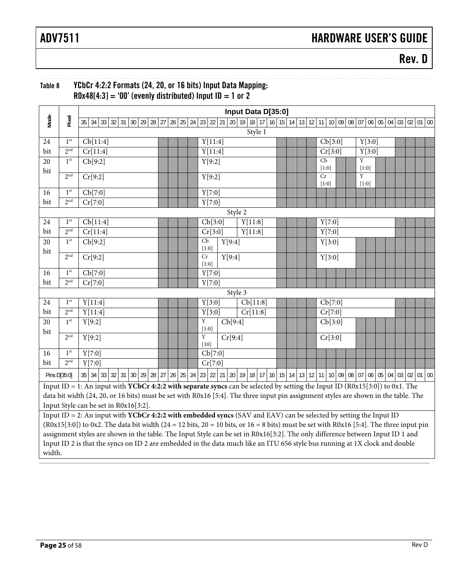## <span id="page-24-1"></span><span id="page-24-0"></span>Table 8 YCbCr 4:2:2 Formats (24, 20, or 16 bits) Input Data Mapping:  $R0x48[4:3] = '00'$  (evenly distributed) Input ID = 1 or 2

|              |                                                                                                                                                                                                                                                                                   |                                                                                                                                                                            |  |  |  |                       |         |  |                             |          |         | Input Data D[35:0] |  |  |  |               |                                                                      |  |              |  |  |             |  |
|--------------|-----------------------------------------------------------------------------------------------------------------------------------------------------------------------------------------------------------------------------------------------------------------------------------|----------------------------------------------------------------------------------------------------------------------------------------------------------------------------|--|--|--|-----------------------|---------|--|-----------------------------|----------|---------|--------------------|--|--|--|---------------|----------------------------------------------------------------------|--|--------------|--|--|-------------|--|
| Mode         | Pixel                                                                                                                                                                                                                                                                             | 35 34 33 32 31 30 29 28 27                                                                                                                                                 |  |  |  |                       |         |  |                             |          |         |                    |  |  |  |               | 26 25 24 23 22 21 20 19 18 17 16 15 14 13 12 11 10 09 08 07 06 05 04 |  |              |  |  | 03 02 01 00 |  |
|              |                                                                                                                                                                                                                                                                                   |                                                                                                                                                                            |  |  |  |                       |         |  |                             |          | Style 1 |                    |  |  |  |               |                                                                      |  |              |  |  |             |  |
| 24           | 1 <sup>st</sup>                                                                                                                                                                                                                                                                   | Cb[11:4]                                                                                                                                                                   |  |  |  |                       | Y[11:4] |  |                             |          |         |                    |  |  |  |               | Cb[3:0]                                                              |  | Y[3:0]       |  |  |             |  |
| bit          | 2 <sup>nd</sup>                                                                                                                                                                                                                                                                   | Cr[11:4]                                                                                                                                                                   |  |  |  |                       | Y[11:4] |  |                             |          |         |                    |  |  |  |               | Cr[3:0]                                                              |  | Y[3:0]       |  |  |             |  |
| 20           | 1 <sup>st</sup>                                                                                                                                                                                                                                                                   | Cb[9:2]                                                                                                                                                                    |  |  |  |                       | Y[9:2]  |  |                             |          |         |                    |  |  |  | Cb            |                                                                      |  | $\mathbf Y$  |  |  |             |  |
| bit          | 2 <sup>nd</sup>                                                                                                                                                                                                                                                                   | Cr[9:2]                                                                                                                                                                    |  |  |  |                       | Y[9:2]  |  |                             |          |         |                    |  |  |  | $[1:0]$<br>Cr |                                                                      |  | $[1:0]$<br>Y |  |  |             |  |
|              |                                                                                                                                                                                                                                                                                   |                                                                                                                                                                            |  |  |  |                       |         |  |                             |          |         |                    |  |  |  | [1:0]         |                                                                      |  | [1:0]        |  |  |             |  |
| 16           | 1 <sup>st</sup>                                                                                                                                                                                                                                                                   | Cb[7:0]                                                                                                                                                                    |  |  |  |                       | Y[7:0]  |  |                             |          |         |                    |  |  |  |               |                                                                      |  |              |  |  |             |  |
| bit          | 2 <sup>nd</sup>                                                                                                                                                                                                                                                                   | Cr[7:0]                                                                                                                                                                    |  |  |  |                       | Y[7:0]  |  |                             |          |         |                    |  |  |  |               |                                                                      |  |              |  |  |             |  |
|              |                                                                                                                                                                                                                                                                                   |                                                                                                                                                                            |  |  |  |                       |         |  | Style $2$                   |          |         |                    |  |  |  |               |                                                                      |  |              |  |  |             |  |
| 24           | 1 <sup>st</sup><br>Cb[11:4]<br>Cb[3:0]<br>Y[11:8]<br>Y[7:0]<br>2 <sup>nd</sup><br>Cr[11:4]<br>Cr[3:0]<br>Y[11:8]<br>Y[7:0]<br>1 <sup>st</sup><br>Cb<br>Cb[9:2]<br>Y[9:4]<br>Y[3:0]<br>[1:0]<br>Cr<br>2 <sub>nd</sub><br>Cr[9:2]<br>Y[9:4]<br>Y[3:0]<br>$[1:0]$<br>1 <sup>st</sup> |                                                                                                                                                                            |  |  |  |                       |         |  |                             |          |         |                    |  |  |  |               |                                                                      |  |              |  |  |             |  |
| bit          |                                                                                                                                                                                                                                                                                   |                                                                                                                                                                            |  |  |  |                       |         |  |                             |          |         |                    |  |  |  |               |                                                                      |  |              |  |  |             |  |
| 20           | Cb[7:0]<br>Y[7:0]                                                                                                                                                                                                                                                                 |                                                                                                                                                                            |  |  |  |                       |         |  |                             |          |         |                    |  |  |  |               |                                                                      |  |              |  |  |             |  |
| bit          |                                                                                                                                                                                                                                                                                   |                                                                                                                                                                            |  |  |  |                       |         |  |                             |          |         |                    |  |  |  |               |                                                                      |  |              |  |  |             |  |
|              | 2 <sup>nd</sup><br>$\overline{Cr}[7:0]$<br>Y[7:0]                                                                                                                                                                                                                                 |                                                                                                                                                                            |  |  |  |                       |         |  |                             |          |         |                    |  |  |  |               |                                                                      |  |              |  |  |             |  |
| 16           |                                                                                                                                                                                                                                                                                   |                                                                                                                                                                            |  |  |  |                       |         |  |                             |          |         |                    |  |  |  |               |                                                                      |  |              |  |  |             |  |
| bit          | Style 3                                                                                                                                                                                                                                                                           |                                                                                                                                                                            |  |  |  |                       |         |  |                             |          |         |                    |  |  |  |               |                                                                      |  |              |  |  |             |  |
|              | 1 <sup>st</sup><br>Y[11:4]<br>Y[3:0]<br>Cb[11:8]<br>Cb[7:0]                                                                                                                                                                                                                       |                                                                                                                                                                            |  |  |  |                       |         |  |                             |          |         |                    |  |  |  |               |                                                                      |  |              |  |  |             |  |
| 24           |                                                                                                                                                                                                                                                                                   |                                                                                                                                                                            |  |  |  |                       |         |  |                             |          |         |                    |  |  |  |               |                                                                      |  |              |  |  |             |  |
| bit          | 2 <sup>nd</sup>                                                                                                                                                                                                                                                                   | Y[11:4]                                                                                                                                                                    |  |  |  |                       | Y[3:0]  |  |                             | Cr[11:8] |         |                    |  |  |  |               | Cr[7:0]                                                              |  |              |  |  |             |  |
| 20           | 1 <sup>st</sup>                                                                                                                                                                                                                                                                   | Y[9:2]                                                                                                                                                                     |  |  |  | Y                     |         |  | $\overline{\text{Cb}[9:4]}$ |          |         |                    |  |  |  |               | Cb[3:0]                                                              |  |              |  |  |             |  |
| bit          | 2 <sub>nd</sub>                                                                                                                                                                                                                                                                   | Y[9:2]                                                                                                                                                                     |  |  |  | $\overline{\text{Y}}$ | $[1:0]$ |  | Cr[9:4]                     |          |         |                    |  |  |  |               | Cr[3:0]                                                              |  |              |  |  |             |  |
|              |                                                                                                                                                                                                                                                                                   |                                                                                                                                                                            |  |  |  | $[10]$                |         |  |                             |          |         |                    |  |  |  |               |                                                                      |  |              |  |  |             |  |
| 16           | 1 <sup>st</sup>                                                                                                                                                                                                                                                                   | Y[7:0]                                                                                                                                                                     |  |  |  |                       | Cb[7:0] |  |                             |          |         |                    |  |  |  |               |                                                                      |  |              |  |  |             |  |
| bit          | 2 <sup>nd</sup>                                                                                                                                                                                                                                                                   | Y[7:0]                                                                                                                                                                     |  |  |  |                       | Cr[7:0] |  |                             |          |         |                    |  |  |  |               |                                                                      |  |              |  |  |             |  |
| Pins D[35:0] |                                                                                                                                                                                                                                                                                   | 35 34 33 32 31 30 29 28 27 26 25 24 23 22 21 20 19 18 17 16 15 14 13 12 11 10 09 08 07 06 05 04 03 02 01 00                                                                |  |  |  |                       |         |  |                             |          |         |                    |  |  |  |               |                                                                      |  |              |  |  |             |  |
|              |                                                                                                                                                                                                                                                                                   | Input ID = 1: An input with YCbCr 4:2:2 with separate syncs can be selected by setting the Input ID ( $R0x15[3:0]$ ) to $0x1$ . The                                        |  |  |  |                       |         |  |                             |          |         |                    |  |  |  |               |                                                                      |  |              |  |  |             |  |
|              |                                                                                                                                                                                                                                                                                   | data bit width (24, 20, or 16 bits) must be set with R0x16 [5:4]. The three input pin assignment styles are shown in the table. The                                        |  |  |  |                       |         |  |                             |          |         |                    |  |  |  |               |                                                                      |  |              |  |  |             |  |
|              |                                                                                                                                                                                                                                                                                   | Input Style can be set in R0x16[3:2].                                                                                                                                      |  |  |  |                       |         |  |                             |          |         |                    |  |  |  |               |                                                                      |  |              |  |  |             |  |
|              |                                                                                                                                                                                                                                                                                   | Input ID = 2: An input with YCbCr 4:2:2 with embedded syncs (SAV and EAV) can be selected by setting the Input ID                                                          |  |  |  |                       |         |  |                             |          |         |                    |  |  |  |               |                                                                      |  |              |  |  |             |  |
|              |                                                                                                                                                                                                                                                                                   | $(R0x15[3:0])$ to 0x2. The data bit width $(24 = 12 \text{ bits}, 20 = 10 \text{ bits}, \text{or } 16 = 8 \text{ bits})$ must be set with R0x16 [5:4]. The three input pin |  |  |  |                       |         |  |                             |          |         |                    |  |  |  |               |                                                                      |  |              |  |  |             |  |
|              |                                                                                                                                                                                                                                                                                   | assignment styles are shown in the table. The Input Style can be set in R0x16[3:2]. The only difference between Input ID 1 and                                             |  |  |  |                       |         |  |                             |          |         |                    |  |  |  |               |                                                                      |  |              |  |  |             |  |
|              |                                                                                                                                                                                                                                                                                   | Input ID 2 is that the syncs on ID 2 are embedded in the data much like an ITU 656 style bus running at 1X clock and double                                                |  |  |  |                       |         |  |                             |          |         |                    |  |  |  |               |                                                                      |  |              |  |  |             |  |
| width.       |                                                                                                                                                                                                                                                                                   |                                                                                                                                                                            |  |  |  |                       |         |  |                             |          |         |                    |  |  |  |               |                                                                      |  |              |  |  |             |  |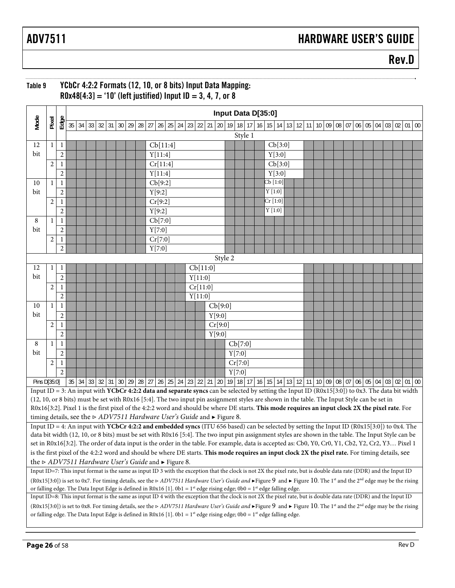|                                                                                                       |                                                                                                                                |                | $\frac{1}{2}$ $\frac{1}{2}$ $\frac{1}{2}$ $\frac{1}{2}$ $\frac{1}{2}$ $\frac{1}{2}$ $\frac{1}{2}$ $\frac{1}{2}$ $\frac{1}{2}$ $\frac{1}{2}$ $\frac{1}{2}$ $\frac{1}{2}$ $\frac{1}{2}$ $\frac{1}{2}$ $\frac{1}{2}$ $\frac{1}{2}$ $\frac{1}{2}$ $\frac{1}{2}$ $\frac{1}{2}$ $\frac{1}{2}$ $\frac{1}{2}$ $\frac{1}{2}$ |  |  |  |  |  |  |  |  |          |  |  |  |  |        |          |  |                                                                                                                                                                                                                                         |  |  |  |  |  |  |  |
|-------------------------------------------------------------------------------------------------------|--------------------------------------------------------------------------------------------------------------------------------|----------------|---------------------------------------------------------------------------------------------------------------------------------------------------------------------------------------------------------------------------------------------------------------------------------------------------------------------|--|--|--|--|--|--|--|--|----------|--|--|--|--|--------|----------|--|-----------------------------------------------------------------------------------------------------------------------------------------------------------------------------------------------------------------------------------------|--|--|--|--|--|--|--|
|                                                                                                       |                                                                                                                                |                |                                                                                                                                                                                                                                                                                                                     |  |  |  |  |  |  |  |  |          |  |  |  |  |        |          |  | Input Data D[35:0]                                                                                                                                                                                                                      |  |  |  |  |  |  |  |
| Mode                                                                                                  | Pixel                                                                                                                          | Edge           | 35 34 33 32 31 30 29 28 27 26 25 24 23 22 21 20                                                                                                                                                                                                                                                                     |  |  |  |  |  |  |  |  |          |  |  |  |  |        | 19 18 17 |  | 16   15   14   13   12   11   10   09   08   07   06   05   04   03   02   01   00                                                                                                                                                      |  |  |  |  |  |  |  |
|                                                                                                       |                                                                                                                                |                |                                                                                                                                                                                                                                                                                                                     |  |  |  |  |  |  |  |  |          |  |  |  |  |        | Style 1  |  |                                                                                                                                                                                                                                         |  |  |  |  |  |  |  |
| 12                                                                                                    | $\mathbf{1}$                                                                                                                   | $\mathbf{1}$   |                                                                                                                                                                                                                                                                                                                     |  |  |  |  |  |  |  |  | Cb[11:4] |  |  |  |  |        |          |  | Cb[3:0]                                                                                                                                                                                                                                 |  |  |  |  |  |  |  |
| bit                                                                                                   |                                                                                                                                | $\overline{c}$ |                                                                                                                                                                                                                                                                                                                     |  |  |  |  |  |  |  |  | Y[11:4]  |  |  |  |  |        |          |  | Y[3:0]                                                                                                                                                                                                                                  |  |  |  |  |  |  |  |
|                                                                                                       | 2                                                                                                                              | 1              |                                                                                                                                                                                                                                                                                                                     |  |  |  |  |  |  |  |  | Cr[11:4] |  |  |  |  |        |          |  | Cb[3:0]                                                                                                                                                                                                                                 |  |  |  |  |  |  |  |
|                                                                                                       |                                                                                                                                | $\overline{2}$ |                                                                                                                                                                                                                                                                                                                     |  |  |  |  |  |  |  |  | Y[11:4]  |  |  |  |  |        |          |  | Y[3:0]                                                                                                                                                                                                                                  |  |  |  |  |  |  |  |
| 10                                                                                                    | $\mathbf{1}$                                                                                                                   | $\mathbf{1}$   |                                                                                                                                                                                                                                                                                                                     |  |  |  |  |  |  |  |  | Cb[9:2]  |  |  |  |  |        |          |  | Cb [1:0]                                                                                                                                                                                                                                |  |  |  |  |  |  |  |
| bit                                                                                                   |                                                                                                                                | $\overline{c}$ |                                                                                                                                                                                                                                                                                                                     |  |  |  |  |  |  |  |  | Y[9:2]   |  |  |  |  |        |          |  | Y[1:0]                                                                                                                                                                                                                                  |  |  |  |  |  |  |  |
|                                                                                                       | $\overline{2}$                                                                                                                 | $\mathbf{1}$   |                                                                                                                                                                                                                                                                                                                     |  |  |  |  |  |  |  |  | Cr[9:2]  |  |  |  |  |        |          |  | Cr [1:0]                                                                                                                                                                                                                                |  |  |  |  |  |  |  |
|                                                                                                       |                                                                                                                                | $\overline{2}$ |                                                                                                                                                                                                                                                                                                                     |  |  |  |  |  |  |  |  | Y[9:2]   |  |  |  |  |        |          |  | Y[1:0]                                                                                                                                                                                                                                  |  |  |  |  |  |  |  |
| 8                                                                                                     | 1                                                                                                                              | $\,1$          |                                                                                                                                                                                                                                                                                                                     |  |  |  |  |  |  |  |  | Cb[7:0]  |  |  |  |  |        |          |  |                                                                                                                                                                                                                                         |  |  |  |  |  |  |  |
| bit                                                                                                   |                                                                                                                                | $\overline{2}$ |                                                                                                                                                                                                                                                                                                                     |  |  |  |  |  |  |  |  | Y[7:0]   |  |  |  |  |        |          |  |                                                                                                                                                                                                                                         |  |  |  |  |  |  |  |
|                                                                                                       | $\overline{2}$                                                                                                                 | $\mathbf{1}$   |                                                                                                                                                                                                                                                                                                                     |  |  |  |  |  |  |  |  | Cr[7:0]  |  |  |  |  |        |          |  |                                                                                                                                                                                                                                         |  |  |  |  |  |  |  |
|                                                                                                       | $\overline{c}$<br>Y[7:0]<br>Style 2<br>Cb[11:0]<br>$\mathbf{1}$<br>$\mathbf{1}$<br>$\overline{c}$<br>$\overline{Y}[11:0]$<br>2 |                |                                                                                                                                                                                                                                                                                                                     |  |  |  |  |  |  |  |  |          |  |  |  |  |        |          |  |                                                                                                                                                                                                                                         |  |  |  |  |  |  |  |
|                                                                                                       |                                                                                                                                |                |                                                                                                                                                                                                                                                                                                                     |  |  |  |  |  |  |  |  |          |  |  |  |  |        |          |  |                                                                                                                                                                                                                                         |  |  |  |  |  |  |  |
|                                                                                                       |                                                                                                                                |                |                                                                                                                                                                                                                                                                                                                     |  |  |  |  |  |  |  |  |          |  |  |  |  |        |          |  |                                                                                                                                                                                                                                         |  |  |  |  |  |  |  |
| bit                                                                                                   | 12<br>Cr[11:0]<br>$\mathbf{1}$<br>$\overline{c}$<br>Y[11:0]                                                                    |                |                                                                                                                                                                                                                                                                                                                     |  |  |  |  |  |  |  |  |          |  |  |  |  |        |          |  |                                                                                                                                                                                                                                         |  |  |  |  |  |  |  |
|                                                                                                       |                                                                                                                                |                |                                                                                                                                                                                                                                                                                                                     |  |  |  |  |  |  |  |  |          |  |  |  |  |        |          |  |                                                                                                                                                                                                                                         |  |  |  |  |  |  |  |
|                                                                                                       |                                                                                                                                |                |                                                                                                                                                                                                                                                                                                                     |  |  |  |  |  |  |  |  |          |  |  |  |  |        |          |  |                                                                                                                                                                                                                                         |  |  |  |  |  |  |  |
|                                                                                                       | $\mathbf{1}$<br>Cb[9:0]<br>10                                                                                                  |                |                                                                                                                                                                                                                                                                                                                     |  |  |  |  |  |  |  |  |          |  |  |  |  |        |          |  |                                                                                                                                                                                                                                         |  |  |  |  |  |  |  |
| bit                                                                                                   | Y[9:0]<br>2                                                                                                                    |                |                                                                                                                                                                                                                                                                                                                     |  |  |  |  |  |  |  |  |          |  |  |  |  |        |          |  |                                                                                                                                                                                                                                         |  |  |  |  |  |  |  |
|                                                                                                       | Cr[9:0]<br>$\overline{2}$<br>$\mathbf{1}$                                                                                      |                |                                                                                                                                                                                                                                                                                                                     |  |  |  |  |  |  |  |  |          |  |  |  |  |        |          |  |                                                                                                                                                                                                                                         |  |  |  |  |  |  |  |
|                                                                                                       |                                                                                                                                | $\overline{2}$ |                                                                                                                                                                                                                                                                                                                     |  |  |  |  |  |  |  |  |          |  |  |  |  | Y[9:0] |          |  |                                                                                                                                                                                                                                         |  |  |  |  |  |  |  |
| 8                                                                                                     | $\mathbf{1}$                                                                                                                   | $\mathbf{1}$   |                                                                                                                                                                                                                                                                                                                     |  |  |  |  |  |  |  |  |          |  |  |  |  |        | Cb[7:0]  |  |                                                                                                                                                                                                                                         |  |  |  |  |  |  |  |
| bit                                                                                                   |                                                                                                                                | $\overline{2}$ |                                                                                                                                                                                                                                                                                                                     |  |  |  |  |  |  |  |  |          |  |  |  |  |        | Y[7:0]   |  |                                                                                                                                                                                                                                         |  |  |  |  |  |  |  |
|                                                                                                       | $\overline{2}$                                                                                                                 | $\mathbf{1}$   |                                                                                                                                                                                                                                                                                                                     |  |  |  |  |  |  |  |  |          |  |  |  |  |        | Cr[7:0]  |  |                                                                                                                                                                                                                                         |  |  |  |  |  |  |  |
|                                                                                                       |                                                                                                                                | $\overline{2}$ |                                                                                                                                                                                                                                                                                                                     |  |  |  |  |  |  |  |  |          |  |  |  |  |        | Y[7:0]   |  |                                                                                                                                                                                                                                         |  |  |  |  |  |  |  |
| Pins D[35:0]                                                                                          |                                                                                                                                |                |                                                                                                                                                                                                                                                                                                                     |  |  |  |  |  |  |  |  |          |  |  |  |  |        |          |  | 35 34 33 32 31 30 29 28 27 26 25 24 23 22 21 20 19 18 17 16 15 14 13 12 11 10 09 08 07 06 05 04 03 02 01 00                                                                                                                             |  |  |  |  |  |  |  |
|                                                                                                       |                                                                                                                                |                |                                                                                                                                                                                                                                                                                                                     |  |  |  |  |  |  |  |  |          |  |  |  |  |        |          |  | Input ID = 3: An input with YCbCr 4:2:2 data and separate syncs can be selected by setting the Input ID (R0x15[3:0]) to 0x3. The data bit width                                                                                         |  |  |  |  |  |  |  |
|                                                                                                       |                                                                                                                                |                |                                                                                                                                                                                                                                                                                                                     |  |  |  |  |  |  |  |  |          |  |  |  |  |        |          |  | (12, 10, or 8 bits) must be set with R0x16 [5:4]. The two input pin assignment styles are shown in the table. The Input Style can be set in                                                                                             |  |  |  |  |  |  |  |
|                                                                                                       |                                                                                                                                |                |                                                                                                                                                                                                                                                                                                                     |  |  |  |  |  |  |  |  |          |  |  |  |  |        |          |  | R0x16[3:2]. Pixel 1 is the first pixel of the 4:2:2 word and should be where DE starts. This mode requires an input clock 2X the pixel rate. For                                                                                        |  |  |  |  |  |  |  |
| timing details, see the $\triangleright$ ADV7511 Hardware User's Guide and $\triangleright$ Figure 8. |                                                                                                                                |                |                                                                                                                                                                                                                                                                                                                     |  |  |  |  |  |  |  |  |          |  |  |  |  |        |          |  |                                                                                                                                                                                                                                         |  |  |  |  |  |  |  |
|                                                                                                       |                                                                                                                                |                |                                                                                                                                                                                                                                                                                                                     |  |  |  |  |  |  |  |  |          |  |  |  |  |        |          |  | Input ID = 4: An input with YCbCr 4:2:2 and embedded syncs (ITU 656 based) can be selected by setting the Input ID (R0x15[3:0]) to 0x4. The                                                                                             |  |  |  |  |  |  |  |
|                                                                                                       |                                                                                                                                |                |                                                                                                                                                                                                                                                                                                                     |  |  |  |  |  |  |  |  |          |  |  |  |  |        |          |  | data bit width (12, 10, or 8 bits) must be set with R0x16 [5:4]. The two input pin assignment styles are shown in the table. The Input Style can be                                                                                     |  |  |  |  |  |  |  |
|                                                                                                       |                                                                                                                                |                |                                                                                                                                                                                                                                                                                                                     |  |  |  |  |  |  |  |  |          |  |  |  |  |        |          |  | set in R0x16[3:2]. The order of data input is the order in the table. For example, data is accepted as: Cb0, Y0, Cr0, Y1, Cb2, Y2, Cr2, Y3 Pixel 1                                                                                      |  |  |  |  |  |  |  |
|                                                                                                       |                                                                                                                                |                |                                                                                                                                                                                                                                                                                                                     |  |  |  |  |  |  |  |  |          |  |  |  |  |        |          |  | is the first pixel of the 4:2:2 word and should be where DE starts. This mode requires an input clock 2X the pixel rate. For timing details, see                                                                                        |  |  |  |  |  |  |  |
| the $\triangleright$ ADV7511 Hardware User's Guide and $\triangleright$ Figure 8.                     |                                                                                                                                |                |                                                                                                                                                                                                                                                                                                                     |  |  |  |  |  |  |  |  |          |  |  |  |  |        |          |  |                                                                                                                                                                                                                                         |  |  |  |  |  |  |  |
|                                                                                                       |                                                                                                                                |                |                                                                                                                                                                                                                                                                                                                     |  |  |  |  |  |  |  |  |          |  |  |  |  |        |          |  | Input ID=7: This input format is the same as input ID 3 with the exception that the clock is not 2X the pixel rate, but is double data rate (DDR) and the Input ID                                                                      |  |  |  |  |  |  |  |
|                                                                                                       |                                                                                                                                |                |                                                                                                                                                                                                                                                                                                                     |  |  |  |  |  |  |  |  |          |  |  |  |  |        |          |  | (R0x15[3:0]) is set to 0x7. For timing details, see the ⊳ ADV7511 Hardware User's Guide and ► Figure 9 and ► Figure 10. The 1 <sup>st</sup> and the 2 <sup>nd</sup> edge may be the rising                                              |  |  |  |  |  |  |  |
|                                                                                                       |                                                                                                                                |                |                                                                                                                                                                                                                                                                                                                     |  |  |  |  |  |  |  |  |          |  |  |  |  |        |          |  | or falling edge. The Data Input Edge is defined in $R0x16$ [1]. $0b1 = 1^{st}$ edge rising edge; $0b0 = 1^{st}$ edge falling edge.                                                                                                      |  |  |  |  |  |  |  |
|                                                                                                       |                                                                                                                                |                |                                                                                                                                                                                                                                                                                                                     |  |  |  |  |  |  |  |  |          |  |  |  |  |        |          |  | Input ID=8: This input format is the same as input ID 4 with the exception that the clock is not 2X the pixel rate, but is double data rate (DDR) and the Input ID                                                                      |  |  |  |  |  |  |  |
|                                                                                                       |                                                                                                                                |                |                                                                                                                                                                                                                                                                                                                     |  |  |  |  |  |  |  |  |          |  |  |  |  |        |          |  | (R0x15[3:0]) is set to 0x8. For timing details, see the $\triangleright$ ADV7511 Hardware User's Guide and $\triangleright$ Figure 9 and $\triangleright$ Figure 10. The 1 <sup>st</sup> and the 2 <sup>nd</sup> edge may be the rising |  |  |  |  |  |  |  |
|                                                                                                       |                                                                                                                                |                |                                                                                                                                                                                                                                                                                                                     |  |  |  |  |  |  |  |  |          |  |  |  |  |        |          |  | or falling edge. The Data Input Edge is defined in R0x16 [1]. $0b1 = 1$ <sup>st</sup> edge rising edge; $0b0 = 1$ <sup>st</sup> edge falling edge.                                                                                      |  |  |  |  |  |  |  |

#### <span id="page-25-1"></span><span id="page-25-0"></span>Table 9 YCbCr 4:2:2 Formats (12, 10, or 8 bits) Input Data Mapping:  $R0x48[4:3] = '10'$  (left justified) Input ID  $= 3, 4, 7,$  or 8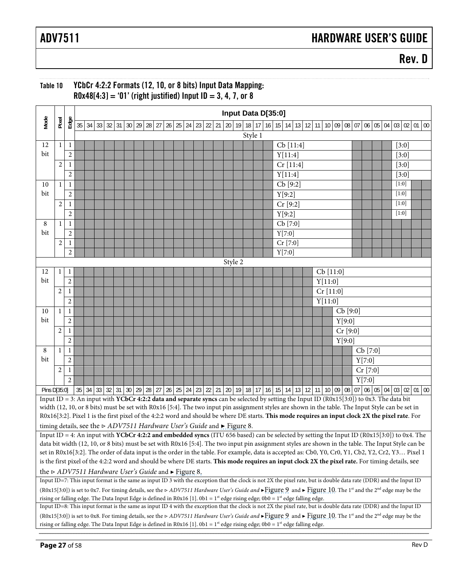|                                                                                                                                                                                                                                                                                                                                                           |                                                                                                       |                                                                                                                                                                                                                       |       |  |  |  |  |  |  |  |  |  |  |  |  |  |         |    | Input Data D[35:0] |                                                                                                          |  |  |        |            |  |         |  |  |
|-----------------------------------------------------------------------------------------------------------------------------------------------------------------------------------------------------------------------------------------------------------------------------------------------------------------------------------------------------------|-------------------------------------------------------------------------------------------------------|-----------------------------------------------------------------------------------------------------------------------------------------------------------------------------------------------------------------------|-------|--|--|--|--|--|--|--|--|--|--|--|--|--|---------|----|--------------------|----------------------------------------------------------------------------------------------------------|--|--|--------|------------|--|---------|--|--|
| Mode                                                                                                                                                                                                                                                                                                                                                      | Pixel                                                                                                 | Edge<br>26 25 24 23 22 21<br>35 34 33 32 31 30 29<br>20<br>  19   18   17   16   15   14   13   12   11   10   09   08   07   06   05   04   03   02   01<br>28 27<br>Style 1<br>Cb [11:4]<br>$\mathbf{1}$<br>$[3:0]$ |       |  |  |  |  |  |  |  |  |  |  |  |  |  |         | 00 |                    |                                                                                                          |  |  |        |            |  |         |  |  |
|                                                                                                                                                                                                                                                                                                                                                           |                                                                                                       |                                                                                                                                                                                                                       |       |  |  |  |  |  |  |  |  |  |  |  |  |  |         |    |                    |                                                                                                          |  |  |        |            |  |         |  |  |
| 12                                                                                                                                                                                                                                                                                                                                                        | $\mathbf{1}$                                                                                          |                                                                                                                                                                                                                       |       |  |  |  |  |  |  |  |  |  |  |  |  |  |         |    |                    |                                                                                                          |  |  |        |            |  |         |  |  |
| bit                                                                                                                                                                                                                                                                                                                                                       |                                                                                                       | $\overline{c}$                                                                                                                                                                                                        |       |  |  |  |  |  |  |  |  |  |  |  |  |  |         |    |                    | Y[11:4]                                                                                                  |  |  |        |            |  | $[3:0]$ |  |  |
|                                                                                                                                                                                                                                                                                                                                                           | $\overline{2}$                                                                                        | $\mathbf{1}$                                                                                                                                                                                                          |       |  |  |  |  |  |  |  |  |  |  |  |  |  |         |    |                    | Cr [11:4]                                                                                                |  |  |        |            |  | $[3:0]$ |  |  |
|                                                                                                                                                                                                                                                                                                                                                           |                                                                                                       | $\overline{c}$                                                                                                                                                                                                        |       |  |  |  |  |  |  |  |  |  |  |  |  |  |         |    |                    | Y[11:4]                                                                                                  |  |  |        |            |  | $[3:0]$ |  |  |
| 10                                                                                                                                                                                                                                                                                                                                                        | $\mathbf{1}$                                                                                          | $\mathbf{1}$                                                                                                                                                                                                          |       |  |  |  |  |  |  |  |  |  |  |  |  |  |         |    |                    | $Cb$ [9:2]                                                                                               |  |  |        |            |  | $[1:0]$ |  |  |
| bit                                                                                                                                                                                                                                                                                                                                                       |                                                                                                       | $\overline{c}$                                                                                                                                                                                                        |       |  |  |  |  |  |  |  |  |  |  |  |  |  |         |    |                    | Y[9:2]                                                                                                   |  |  |        |            |  | $[1:0]$ |  |  |
|                                                                                                                                                                                                                                                                                                                                                           | $\overline{2}$                                                                                        | $\mathbf{1}$                                                                                                                                                                                                          |       |  |  |  |  |  |  |  |  |  |  |  |  |  |         |    |                    | Cr [9:2]                                                                                                 |  |  |        |            |  | $[1:0]$ |  |  |
|                                                                                                                                                                                                                                                                                                                                                           |                                                                                                       | $\overline{c}$                                                                                                                                                                                                        |       |  |  |  |  |  |  |  |  |  |  |  |  |  |         |    |                    | Y[9:2]                                                                                                   |  |  |        |            |  | $[1:0]$ |  |  |
| 8                                                                                                                                                                                                                                                                                                                                                         | $\mathbf{1}$                                                                                          | $\mathbf{1}$                                                                                                                                                                                                          |       |  |  |  |  |  |  |  |  |  |  |  |  |  |         |    |                    | $Cb$ [7:0]                                                                                               |  |  |        |            |  |         |  |  |
| bit                                                                                                                                                                                                                                                                                                                                                       |                                                                                                       | $\overline{c}$                                                                                                                                                                                                        |       |  |  |  |  |  |  |  |  |  |  |  |  |  |         |    | Y[7:0]             |                                                                                                          |  |  |        |            |  |         |  |  |
|                                                                                                                                                                                                                                                                                                                                                           | $\overline{2}$                                                                                        | $\mathbf{1}$                                                                                                                                                                                                          |       |  |  |  |  |  |  |  |  |  |  |  |  |  |         |    |                    | Cr [7:0]                                                                                                 |  |  |        |            |  |         |  |  |
|                                                                                                                                                                                                                                                                                                                                                           |                                                                                                       | $\overline{c}$                                                                                                                                                                                                        |       |  |  |  |  |  |  |  |  |  |  |  |  |  |         |    | Y[7:0]             |                                                                                                          |  |  |        |            |  |         |  |  |
|                                                                                                                                                                                                                                                                                                                                                           |                                                                                                       |                                                                                                                                                                                                                       |       |  |  |  |  |  |  |  |  |  |  |  |  |  | Style 2 |    |                    |                                                                                                          |  |  |        |            |  |         |  |  |
| 12                                                                                                                                                                                                                                                                                                                                                        | $\mathbf{1}$                                                                                          | $\mathbf{1}$                                                                                                                                                                                                          |       |  |  |  |  |  |  |  |  |  |  |  |  |  |         |    |                    |                                                                                                          |  |  |        |            |  |         |  |  |
| bit                                                                                                                                                                                                                                                                                                                                                       | Cb [11:0]<br>$\overline{c}$<br>Y[11:0]<br>$\overline{2}$<br>Cr [11:0]<br>$\mathbf{1}$<br>2<br>Y[11:0] |                                                                                                                                                                                                                       |       |  |  |  |  |  |  |  |  |  |  |  |  |  |         |    |                    |                                                                                                          |  |  |        |            |  |         |  |  |
|                                                                                                                                                                                                                                                                                                                                                           |                                                                                                       |                                                                                                                                                                                                                       |       |  |  |  |  |  |  |  |  |  |  |  |  |  |         |    |                    |                                                                                                          |  |  |        |            |  |         |  |  |
|                                                                                                                                                                                                                                                                                                                                                           | Cb [9:0]<br>$\mathbf{1}$<br>$\mathbf 1$                                                               |                                                                                                                                                                                                                       |       |  |  |  |  |  |  |  |  |  |  |  |  |  |         |    |                    |                                                                                                          |  |  |        |            |  |         |  |  |
| 10                                                                                                                                                                                                                                                                                                                                                        | $\overline{2}$<br>Y[9:0]                                                                              |                                                                                                                                                                                                                       |       |  |  |  |  |  |  |  |  |  |  |  |  |  |         |    |                    |                                                                                                          |  |  |        |            |  |         |  |  |
| bit                                                                                                                                                                                                                                                                                                                                                       |                                                                                                       |                                                                                                                                                                                                                       |       |  |  |  |  |  |  |  |  |  |  |  |  |  |         |    |                    |                                                                                                          |  |  |        |            |  |         |  |  |
|                                                                                                                                                                                                                                                                                                                                                           | Cr [9:0]<br>$\overline{c}$<br>$\mathbf{1}$                                                            |                                                                                                                                                                                                                       |       |  |  |  |  |  |  |  |  |  |  |  |  |  |         |    |                    |                                                                                                          |  |  |        |            |  |         |  |  |
|                                                                                                                                                                                                                                                                                                                                                           |                                                                                                       | $\overline{2}$                                                                                                                                                                                                        |       |  |  |  |  |  |  |  |  |  |  |  |  |  |         |    |                    |                                                                                                          |  |  | Y[9:0] |            |  |         |  |  |
| 8                                                                                                                                                                                                                                                                                                                                                         | $\mathbf{1}$                                                                                          | $\mathbf{1}$                                                                                                                                                                                                          |       |  |  |  |  |  |  |  |  |  |  |  |  |  |         |    |                    |                                                                                                          |  |  |        | $Cb$ [7:0] |  |         |  |  |
| bit                                                                                                                                                                                                                                                                                                                                                       |                                                                                                       | $\overline{c}$                                                                                                                                                                                                        |       |  |  |  |  |  |  |  |  |  |  |  |  |  |         |    |                    |                                                                                                          |  |  |        | Y[7:0]     |  |         |  |  |
|                                                                                                                                                                                                                                                                                                                                                           | $\overline{2}$                                                                                        | $\mathbf{1}$                                                                                                                                                                                                          |       |  |  |  |  |  |  |  |  |  |  |  |  |  |         |    |                    |                                                                                                          |  |  |        | Cr [7:0]   |  |         |  |  |
|                                                                                                                                                                                                                                                                                                                                                           |                                                                                                       | $\overline{c}$                                                                                                                                                                                                        |       |  |  |  |  |  |  |  |  |  |  |  |  |  |         |    |                    |                                                                                                          |  |  |        | Y[7:0]     |  |         |  |  |
| Pins D[35:0]                                                                                                                                                                                                                                                                                                                                              |                                                                                                       |                                                                                                                                                                                                                       | 35 34 |  |  |  |  |  |  |  |  |  |  |  |  |  |         |    |                    | 33 32 31 30 29 28 27 26 27 26 27 28 29 21 20 19 18 17 16 15 14 13 12 11 10 09 08 07 06 05 04 03 02 01 00 |  |  |        |            |  |         |  |  |
| Input ID = 3: An input with YCbCr 4:2:2 data and separate syncs can be selected by setting the Input ID (R0x15[3:0]) to 0x3. The data bit<br>width (12, 10, or 8 bits) must be set with R0x16 [5:4]. The two input pin assignment styles are shown in the table. The Input Style can be set in                                                            |                                                                                                       |                                                                                                                                                                                                                       |       |  |  |  |  |  |  |  |  |  |  |  |  |  |         |    |                    |                                                                                                          |  |  |        |            |  |         |  |  |
| R0x16[3:2]. Pixel 1 is the first pixel of the 4:2:2 word and should be where DE starts. This mode requires an input clock 2X the pixel rate. For                                                                                                                                                                                                          |                                                                                                       |                                                                                                                                                                                                                       |       |  |  |  |  |  |  |  |  |  |  |  |  |  |         |    |                    |                                                                                                          |  |  |        |            |  |         |  |  |
| timing details, see the $\triangleright$ ADV7511 Hardware User's Guide and $\triangleright$ Figure 8.                                                                                                                                                                                                                                                     |                                                                                                       |                                                                                                                                                                                                                       |       |  |  |  |  |  |  |  |  |  |  |  |  |  |         |    |                    |                                                                                                          |  |  |        |            |  |         |  |  |
| Input ID = 4: An input with YCbCr 4:2:2 and embedded syncs (ITU 656 based) can be selected by setting the Input ID (R0x15[3:0]) to 0x4. The                                                                                                                                                                                                               |                                                                                                       |                                                                                                                                                                                                                       |       |  |  |  |  |  |  |  |  |  |  |  |  |  |         |    |                    |                                                                                                          |  |  |        |            |  |         |  |  |
| data bit width (12, 10, or 8 bits) must be set with R0x16 [5:4]. The two input pin assignment styles are shown in the table. The Input Style can be                                                                                                                                                                                                       |                                                                                                       |                                                                                                                                                                                                                       |       |  |  |  |  |  |  |  |  |  |  |  |  |  |         |    |                    |                                                                                                          |  |  |        |            |  |         |  |  |
| set in R0x16[3:2]. The order of data input is the order in the table. For example, data is accepted as: Cb0, Y0, Cr0, Y1, Cb2, Y2, Cr2, Y3 Pixel 1                                                                                                                                                                                                        |                                                                                                       |                                                                                                                                                                                                                       |       |  |  |  |  |  |  |  |  |  |  |  |  |  |         |    |                    |                                                                                                          |  |  |        |            |  |         |  |  |
| is the first pixel of the 4:2:2 word and should be where DE starts. This mode requires an input clock 2X the pixel rate. For timing details, see                                                                                                                                                                                                          |                                                                                                       |                                                                                                                                                                                                                       |       |  |  |  |  |  |  |  |  |  |  |  |  |  |         |    |                    |                                                                                                          |  |  |        |            |  |         |  |  |
| the $\triangleright$ ADV7511 Hardware User's Guide and $\triangleright$ Figure 8.                                                                                                                                                                                                                                                                         |                                                                                                       |                                                                                                                                                                                                                       |       |  |  |  |  |  |  |  |  |  |  |  |  |  |         |    |                    |                                                                                                          |  |  |        |            |  |         |  |  |
| Input ID=7: This input format is the same as input ID 3 with the exception that the clock is not 2X the pixel rate, but is double data rate (DDR) and the Input ID                                                                                                                                                                                        |                                                                                                       |                                                                                                                                                                                                                       |       |  |  |  |  |  |  |  |  |  |  |  |  |  |         |    |                    |                                                                                                          |  |  |        |            |  |         |  |  |
| (R0x15[3:0]) is set to 0x7. For timing details, see the ⊳ ADV7511 Hardware User's Guide and ► Figure 9 and ► Figure 10. The 1 <sup>st</sup> and the 2 <sup>nd</sup> edge may be the                                                                                                                                                                       |                                                                                                       |                                                                                                                                                                                                                       |       |  |  |  |  |  |  |  |  |  |  |  |  |  |         |    |                    |                                                                                                          |  |  |        |            |  |         |  |  |
| rising or falling edge. The Data Input Edge is defined in R0x16 [1]. 0b1 = 1 <sup>st</sup> edge rising edge; 0b0 = 1 <sup>st</sup> edge falling edge.                                                                                                                                                                                                     |                                                                                                       |                                                                                                                                                                                                                       |       |  |  |  |  |  |  |  |  |  |  |  |  |  |         |    |                    |                                                                                                          |  |  |        |            |  |         |  |  |
|                                                                                                                                                                                                                                                                                                                                                           |                                                                                                       |                                                                                                                                                                                                                       |       |  |  |  |  |  |  |  |  |  |  |  |  |  |         |    |                    |                                                                                                          |  |  |        |            |  |         |  |  |
| Input ID=8: This input format is the same as input ID 4 with the exception that the clock is not 2X the pixel rate, but is double data rate (DDR) and the Input ID<br>(R0x15[3:0]) is set to 0x8. For timing details, see the ⊳ ADV7511 Hardware User's Guide and ► Figure 9 and ► Figure 10. The 1 <sup>st</sup> and the 2 <sup>nd</sup> edge may be the |                                                                                                       |                                                                                                                                                                                                                       |       |  |  |  |  |  |  |  |  |  |  |  |  |  |         |    |                    |                                                                                                          |  |  |        |            |  |         |  |  |

## <span id="page-26-1"></span><span id="page-26-0"></span>Table 10 YCbCr 4:2:2 Formats (12, 10, or 8 bits) Input Data Mapping:  $R0x48[4:3] = '01'$  (right justified) Input ID = 3, 4, 7, or 8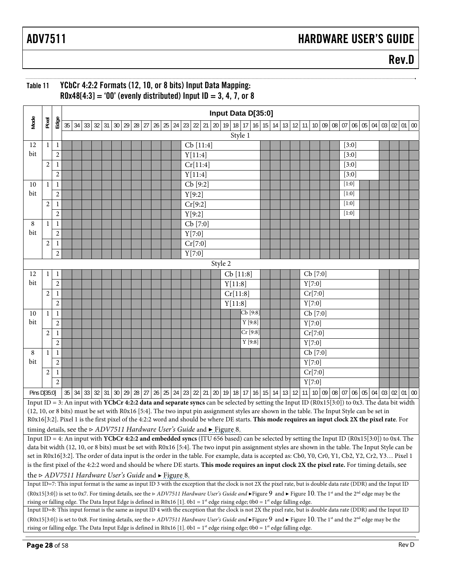## <span id="page-27-1"></span><span id="page-27-0"></span>ADV7511 **HARDWARE USER'S GUIDE**

Rev.D

|                                                                                                                                                                                                                                                                                                         |                                                                                                                                                                                                                                                                   |                  |    |  |  |  |  |  |  |  |  |  |  |  |  |        |            | $\mathbf{X} \cdot \mathbf{U}$ $\mathbf{U} \cdot \mathbf{U}$ . The state of $\mathbf{U} \cdot \mathbf{U}$ is the state of $\mathbf{U} \cdot \mathbf{U}$ . The state of $\mathbf{U} \cdot \mathbf{U}$ |         |                    |  |  |         |            |  |         |                                                                                                 |  |  |             |
|---------------------------------------------------------------------------------------------------------------------------------------------------------------------------------------------------------------------------------------------------------------------------------------------------------|-------------------------------------------------------------------------------------------------------------------------------------------------------------------------------------------------------------------------------------------------------------------|------------------|----|--|--|--|--|--|--|--|--|--|--|--|--|--------|------------|-----------------------------------------------------------------------------------------------------------------------------------------------------------------------------------------------------|---------|--------------------|--|--|---------|------------|--|---------|-------------------------------------------------------------------------------------------------|--|--|-------------|
|                                                                                                                                                                                                                                                                                                         |                                                                                                                                                                                                                                                                   |                  |    |  |  |  |  |  |  |  |  |  |  |  |  |        |            |                                                                                                                                                                                                     |         | Input Data D[35:0] |  |  |         |            |  |         |                                                                                                 |  |  |             |
| Mode                                                                                                                                                                                                                                                                                                    | Pixel                                                                                                                                                                                                                                                             | Edge             | 35 |  |  |  |  |  |  |  |  |  |  |  |  |        |            |                                                                                                                                                                                                     |         |                    |  |  |         |            |  |         | 34 33 32 31 30 29 28 27 26 25 24 23 22 21 20 19 18 17 16 15 14 13 12 11 10 09 08 07 06 05 04    |  |  | 03 02 01 00 |
|                                                                                                                                                                                                                                                                                                         |                                                                                                                                                                                                                                                                   |                  |    |  |  |  |  |  |  |  |  |  |  |  |  |        |            |                                                                                                                                                                                                     | Style 1 |                    |  |  |         |            |  |         |                                                                                                 |  |  |             |
| 12                                                                                                                                                                                                                                                                                                      | $\mathbf{1}$                                                                                                                                                                                                                                                      | $\mathbf{1}$     |    |  |  |  |  |  |  |  |  |  |  |  |  |        | Cb [11:4]  |                                                                                                                                                                                                     |         |                    |  |  |         |            |  | $[3:0]$ |                                                                                                 |  |  |             |
| bit                                                                                                                                                                                                                                                                                                     |                                                                                                                                                                                                                                                                   | $\overline{2}$   |    |  |  |  |  |  |  |  |  |  |  |  |  |        | Y[11:4]    |                                                                                                                                                                                                     |         |                    |  |  |         |            |  | $[3:0]$ |                                                                                                 |  |  |             |
|                                                                                                                                                                                                                                                                                                         | 2                                                                                                                                                                                                                                                                 | $\mathbf{1}$     |    |  |  |  |  |  |  |  |  |  |  |  |  |        | Cr[11:4]   |                                                                                                                                                                                                     |         |                    |  |  |         |            |  | $[3:0]$ |                                                                                                 |  |  |             |
|                                                                                                                                                                                                                                                                                                         |                                                                                                                                                                                                                                                                   | $\boldsymbol{2}$ |    |  |  |  |  |  |  |  |  |  |  |  |  |        | Y[11:4]    |                                                                                                                                                                                                     |         |                    |  |  |         |            |  | $[3:0]$ |                                                                                                 |  |  |             |
| 10                                                                                                                                                                                                                                                                                                      | $\mathbf{1}$                                                                                                                                                                                                                                                      | $\mathbf{1}$     |    |  |  |  |  |  |  |  |  |  |  |  |  |        | Cb [9:2]   |                                                                                                                                                                                                     |         |                    |  |  |         |            |  | $[1:0]$ |                                                                                                 |  |  |             |
| bit                                                                                                                                                                                                                                                                                                     |                                                                                                                                                                                                                                                                   | $\overline{2}$   |    |  |  |  |  |  |  |  |  |  |  |  |  | Y[9:2] |            |                                                                                                                                                                                                     |         |                    |  |  |         |            |  | [1:0]   |                                                                                                 |  |  |             |
|                                                                                                                                                                                                                                                                                                         | $\overline{2}$                                                                                                                                                                                                                                                    | $\mathbf 1$      |    |  |  |  |  |  |  |  |  |  |  |  |  |        | Cr[9:2]    |                                                                                                                                                                                                     |         |                    |  |  |         |            |  | $[1:0]$ |                                                                                                 |  |  |             |
|                                                                                                                                                                                                                                                                                                         |                                                                                                                                                                                                                                                                   | $\overline{c}$   |    |  |  |  |  |  |  |  |  |  |  |  |  | Y[9:2] |            |                                                                                                                                                                                                     |         |                    |  |  |         |            |  | $[1:0]$ |                                                                                                 |  |  |             |
| 8                                                                                                                                                                                                                                                                                                       | 1                                                                                                                                                                                                                                                                 | $\,1\,$          |    |  |  |  |  |  |  |  |  |  |  |  |  |        | $Cb$ [7:0] |                                                                                                                                                                                                     |         |                    |  |  |         |            |  |         |                                                                                                 |  |  |             |
| bit                                                                                                                                                                                                                                                                                                     |                                                                                                                                                                                                                                                                   | $\overline{2}$   |    |  |  |  |  |  |  |  |  |  |  |  |  | Y[7:0] |            |                                                                                                                                                                                                     |         |                    |  |  |         |            |  |         |                                                                                                 |  |  |             |
|                                                                                                                                                                                                                                                                                                         | 2                                                                                                                                                                                                                                                                 | $\mathbf{1}$     |    |  |  |  |  |  |  |  |  |  |  |  |  |        | Cr[7:0]    |                                                                                                                                                                                                     |         |                    |  |  |         |            |  |         |                                                                                                 |  |  |             |
|                                                                                                                                                                                                                                                                                                         |                                                                                                                                                                                                                                                                   | 2                |    |  |  |  |  |  |  |  |  |  |  |  |  | Y[7:0] |            |                                                                                                                                                                                                     |         |                    |  |  |         |            |  |         |                                                                                                 |  |  |             |
|                                                                                                                                                                                                                                                                                                         |                                                                                                                                                                                                                                                                   |                  |    |  |  |  |  |  |  |  |  |  |  |  |  |        |            |                                                                                                                                                                                                     |         |                    |  |  |         |            |  |         |                                                                                                 |  |  |             |
| 12                                                                                                                                                                                                                                                                                                      | Style 2<br>Cb [11:8]<br>$Cb$ [7:0]<br>1<br>$\mathbf{1}$<br>Y[7:0]<br>$\overline{2}$<br>Y[11:8]<br>Cr[11:8]<br>Cr[7:0]<br>$\mathbf{1}$<br>2<br>$\boldsymbol{2}$<br>Y[11:8]<br>Y[7:0]<br>$\overline{\text{Cb}}$ [9:8]<br>$\mathbf{1}$<br>$Cb$ [7:0]<br>$\mathbf{1}$ |                  |    |  |  |  |  |  |  |  |  |  |  |  |  |        |            |                                                                                                                                                                                                     |         |                    |  |  |         |            |  |         |                                                                                                 |  |  |             |
| bit                                                                                                                                                                                                                                                                                                     |                                                                                                                                                                                                                                                                   |                  |    |  |  |  |  |  |  |  |  |  |  |  |  |        |            |                                                                                                                                                                                                     |         |                    |  |  |         |            |  |         |                                                                                                 |  |  |             |
|                                                                                                                                                                                                                                                                                                         |                                                                                                                                                                                                                                                                   |                  |    |  |  |  |  |  |  |  |  |  |  |  |  |        |            |                                                                                                                                                                                                     |         |                    |  |  |         |            |  |         |                                                                                                 |  |  |             |
|                                                                                                                                                                                                                                                                                                         | Y[9:8]<br>$\overline{2}$<br>Y[7:0]                                                                                                                                                                                                                                |                  |    |  |  |  |  |  |  |  |  |  |  |  |  |        |            |                                                                                                                                                                                                     |         |                    |  |  |         |            |  |         |                                                                                                 |  |  |             |
| 10                                                                                                                                                                                                                                                                                                      |                                                                                                                                                                                                                                                                   |                  |    |  |  |  |  |  |  |  |  |  |  |  |  |        |            |                                                                                                                                                                                                     |         |                    |  |  |         |            |  |         |                                                                                                 |  |  |             |
| bit                                                                                                                                                                                                                                                                                                     | Cr [9:8]<br>Cr[7:0]<br>$\mathbf{1}$<br>2                                                                                                                                                                                                                          |                  |    |  |  |  |  |  |  |  |  |  |  |  |  |        |            |                                                                                                                                                                                                     |         |                    |  |  |         |            |  |         |                                                                                                 |  |  |             |
|                                                                                                                                                                                                                                                                                                         |                                                                                                                                                                                                                                                                   |                  |    |  |  |  |  |  |  |  |  |  |  |  |  |        |            |                                                                                                                                                                                                     |         |                    |  |  |         |            |  |         |                                                                                                 |  |  |             |
|                                                                                                                                                                                                                                                                                                         | Y[9:8]<br>Y[7:0]<br>$\overline{c}$                                                                                                                                                                                                                                |                  |    |  |  |  |  |  |  |  |  |  |  |  |  |        |            |                                                                                                                                                                                                     |         |                    |  |  |         |            |  |         |                                                                                                 |  |  |             |
| 8                                                                                                                                                                                                                                                                                                       | 1                                                                                                                                                                                                                                                                 | $\mathbf{1}$     |    |  |  |  |  |  |  |  |  |  |  |  |  |        |            |                                                                                                                                                                                                     |         |                    |  |  |         | $Cb$ [7:0] |  |         |                                                                                                 |  |  |             |
| bit                                                                                                                                                                                                                                                                                                     |                                                                                                                                                                                                                                                                   | $\overline{2}$   |    |  |  |  |  |  |  |  |  |  |  |  |  |        |            |                                                                                                                                                                                                     |         |                    |  |  | Y[7:0]  |            |  |         |                                                                                                 |  |  |             |
|                                                                                                                                                                                                                                                                                                         | 2                                                                                                                                                                                                                                                                 | $\mathbf{1}$     |    |  |  |  |  |  |  |  |  |  |  |  |  |        |            |                                                                                                                                                                                                     |         |                    |  |  | Cr[7:0] |            |  |         |                                                                                                 |  |  |             |
|                                                                                                                                                                                                                                                                                                         |                                                                                                                                                                                                                                                                   | $\overline{2}$   |    |  |  |  |  |  |  |  |  |  |  |  |  |        |            |                                                                                                                                                                                                     |         |                    |  |  | Y[7:0]  |            |  |         |                                                                                                 |  |  |             |
| Pins D[35:0]                                                                                                                                                                                                                                                                                            |                                                                                                                                                                                                                                                                   |                  |    |  |  |  |  |  |  |  |  |  |  |  |  |        |            |                                                                                                                                                                                                     |         |                    |  |  |         |            |  |         | 35 34 33 32 31 30 29 28 27 26 25 24 23 22 21 20 19 18 17 16 15 14 13 12 11 10 09 08 07 06 05 04 |  |  | 03 02 01 00 |
| Input ID = 3: An input with YCbCr $\overline{4:2:2}$ data and separate syncs can be selected by setting the Input ID (R0x15[3:0]) to 0x3. The data bit width                                                                                                                                            |                                                                                                                                                                                                                                                                   |                  |    |  |  |  |  |  |  |  |  |  |  |  |  |        |            |                                                                                                                                                                                                     |         |                    |  |  |         |            |  |         |                                                                                                 |  |  |             |
| (12, 10, or 8 bits) must be set with R0x16 [5:4]. The two input pin assignment styles are shown in the table. The Input Style can be set in                                                                                                                                                             |                                                                                                                                                                                                                                                                   |                  |    |  |  |  |  |  |  |  |  |  |  |  |  |        |            |                                                                                                                                                                                                     |         |                    |  |  |         |            |  |         |                                                                                                 |  |  |             |
| R0x16[3:2]. Pixel 1 is the first pixel of the 4:2:2 word and should be where DE starts. This mode requires an input clock 2X the pixel rate. For                                                                                                                                                        |                                                                                                                                                                                                                                                                   |                  |    |  |  |  |  |  |  |  |  |  |  |  |  |        |            |                                                                                                                                                                                                     |         |                    |  |  |         |            |  |         |                                                                                                 |  |  |             |
| timing details, see the $\rhd$ ADV7511 Hardware User's Guide and $\blacktriangleright$ Figure 8.                                                                                                                                                                                                        |                                                                                                                                                                                                                                                                   |                  |    |  |  |  |  |  |  |  |  |  |  |  |  |        |            |                                                                                                                                                                                                     |         |                    |  |  |         |            |  |         |                                                                                                 |  |  |             |
| Input ID = 4: An input with YCbCr 4:2:2 and embedded syncs (ITU 656 based) can be selected by setting the Input ID (R0x15[3:0]) to 0x4. The                                                                                                                                                             |                                                                                                                                                                                                                                                                   |                  |    |  |  |  |  |  |  |  |  |  |  |  |  |        |            |                                                                                                                                                                                                     |         |                    |  |  |         |            |  |         |                                                                                                 |  |  |             |
| data bit width (12, 10, or 8 bits) must be set with R0x16 [5:4]. The two input pin assignment styles are shown in the table. The Input Style can be                                                                                                                                                     |                                                                                                                                                                                                                                                                   |                  |    |  |  |  |  |  |  |  |  |  |  |  |  |        |            |                                                                                                                                                                                                     |         |                    |  |  |         |            |  |         |                                                                                                 |  |  |             |
| set in R0x16[3:2]. The order of data input is the order in the table. For example, data is accepted as: Cb0, Y0, Cr0, Y1, Cb2, Y2, Cr2, Y3 Pixel 1                                                                                                                                                      |                                                                                                                                                                                                                                                                   |                  |    |  |  |  |  |  |  |  |  |  |  |  |  |        |            |                                                                                                                                                                                                     |         |                    |  |  |         |            |  |         |                                                                                                 |  |  |             |
| is the first pixel of the 4:2:2 word and should be where DE starts. This mode requires an input clock 2X the pixel rate. For timing details, see                                                                                                                                                        |                                                                                                                                                                                                                                                                   |                  |    |  |  |  |  |  |  |  |  |  |  |  |  |        |            |                                                                                                                                                                                                     |         |                    |  |  |         |            |  |         |                                                                                                 |  |  |             |
| the $\triangleright$ ADV7511 Hardware User's Guide and $\triangleright$ Figure 8.                                                                                                                                                                                                                       |                                                                                                                                                                                                                                                                   |                  |    |  |  |  |  |  |  |  |  |  |  |  |  |        |            |                                                                                                                                                                                                     |         |                    |  |  |         |            |  |         |                                                                                                 |  |  |             |
| Input ID=7: This input format is the same as input ID 3 with the exception that the clock is not 2X the pixel rate, but is double data rate (DDR) and the Input ID                                                                                                                                      |                                                                                                                                                                                                                                                                   |                  |    |  |  |  |  |  |  |  |  |  |  |  |  |        |            |                                                                                                                                                                                                     |         |                    |  |  |         |            |  |         |                                                                                                 |  |  |             |
| (R0x15[3:0]) is set to 0x7. For timing details, see the $\triangleright$ ADV7511 Hardware User's Guide and $\triangleright$ Figure 9 and $\triangleright$ Figure 10. The 1 <sup>st</sup> and the 2 <sup>nd</sup> edge may be the                                                                        |                                                                                                                                                                                                                                                                   |                  |    |  |  |  |  |  |  |  |  |  |  |  |  |        |            |                                                                                                                                                                                                     |         |                    |  |  |         |            |  |         |                                                                                                 |  |  |             |
| rising or falling edge. The Data Input Edge is defined in R0x16 [1]. $0b1 = 1st$ edge rising edge; $0b0 = 1st$ edge falling edge.<br>Input ID=8: This input format is the same as input ID 4 with the exception that the clock is not 2X the pixel rate, but is double data rate (DDR) and the Input ID |                                                                                                                                                                                                                                                                   |                  |    |  |  |  |  |  |  |  |  |  |  |  |  |        |            |                                                                                                                                                                                                     |         |                    |  |  |         |            |  |         |                                                                                                 |  |  |             |
| (R0x15[3:0]) is set to 0x8. For timing details, see the ⊳ ADV7511 Hardware User's Guide and ► Figure 9 and ► Figure 10. The 1 <sup>st</sup> and the 2 <sup>nd</sup> edge may be the                                                                                                                     |                                                                                                                                                                                                                                                                   |                  |    |  |  |  |  |  |  |  |  |  |  |  |  |        |            |                                                                                                                                                                                                     |         |                    |  |  |         |            |  |         |                                                                                                 |  |  |             |
| rising or falling edge. The Data Input Edge is defined in R0x16 [1]. 0b1 = $1st$ edge rising edge; 0b0 = $1st$ edge falling edge.                                                                                                                                                                       |                                                                                                                                                                                                                                                                   |                  |    |  |  |  |  |  |  |  |  |  |  |  |  |        |            |                                                                                                                                                                                                     |         |                    |  |  |         |            |  |         |                                                                                                 |  |  |             |

### Table 11 YCbCr 4:2:2 Formats (12, 10, or 8 bits) Input Data Mapping:  $R0x48[4:3] = '00'$  (evenly distributed) Input  $ID = 3, 4, 7, or 8$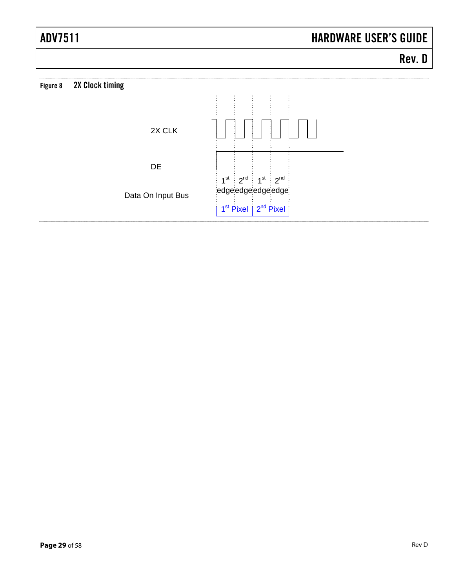<span id="page-28-1"></span><span id="page-28-0"></span>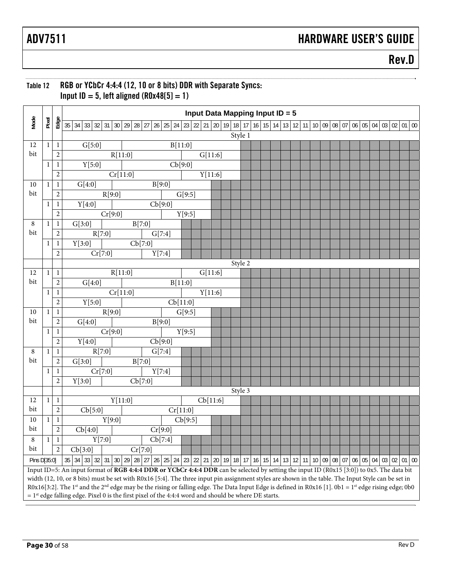## <span id="page-29-1"></span><span id="page-29-0"></span>Table 12 RGB or YCbCr 4:4:4 (12, 10 or 8 bits) DDR with Separate Syncs: Input ID = 5, left aligned  $(R0x48[5] = 1)$

|              |              |                                  |                                                                                                                                                                                                                                                                                                   |                             | Input Data Mapping Input ID = 5 |         |  |  |  |  |                                                 |  |  |    |    |         |  |
|--------------|--------------|----------------------------------|---------------------------------------------------------------------------------------------------------------------------------------------------------------------------------------------------------------------------------------------------------------------------------------------------|-----------------------------|---------------------------------|---------|--|--|--|--|-------------------------------------------------|--|--|----|----|---------|--|
| Mode         | Pixel        | Edge                             | 35 34 33 32 31 30 32 32 32 32 32 31 40 5 4 5 32 33 4 33 4 5 4 6 5 4 6 5 4 6 5 4 6 5 6 7 6 6 5 6 7 6 6 7 6 7 7 8                                                                                                                                                                                   |                             |                                 |         |  |  |  |  |                                                 |  |  |    |    |         |  |
|              |              |                                  |                                                                                                                                                                                                                                                                                                   |                             |                                 | Style 1 |  |  |  |  |                                                 |  |  |    |    |         |  |
| 12           | $\mathbf{1}$ | $\mathbf 1$                      | G[5:0]                                                                                                                                                                                                                                                                                            | $\overline{B}[11:0]$        |                                 |         |  |  |  |  |                                                 |  |  |    |    |         |  |
| bit          |              | $\overline{c}$                   | $\overline{R[11:0]}$                                                                                                                                                                                                                                                                              |                             | G[11:6]                         |         |  |  |  |  |                                                 |  |  |    |    |         |  |
|              | $\mathbf{1}$ | $\mathbf{1}$                     | Y[5:0]                                                                                                                                                                                                                                                                                            | Cb[9:0]                     |                                 |         |  |  |  |  |                                                 |  |  |    |    |         |  |
|              |              | $\overline{c}$                   | Cr[11:0]                                                                                                                                                                                                                                                                                          |                             | Y[11:6]                         |         |  |  |  |  |                                                 |  |  |    |    |         |  |
| 10           | $\mathbf{1}$ | $\mathbf{1}$                     | G[4:0]                                                                                                                                                                                                                                                                                            | B[9:0]                      |                                 |         |  |  |  |  |                                                 |  |  |    |    |         |  |
| bit          |              | $\overline{c}$                   | R[9:0]                                                                                                                                                                                                                                                                                            | G[9:5]                      |                                 |         |  |  |  |  |                                                 |  |  |    |    |         |  |
|              | $\mathbf{1}$ | $\mathbf{1}$                     | Y[4:0]                                                                                                                                                                                                                                                                                            | Cb[9:0]                     |                                 |         |  |  |  |  |                                                 |  |  |    |    |         |  |
|              |              | $\overline{c}$                   | Cr[9:0]                                                                                                                                                                                                                                                                                           | Y[9:5]                      |                                 |         |  |  |  |  |                                                 |  |  |    |    |         |  |
| 8            | $\mathbf{1}$ | $\mathbf 1$                      | G[3:0]<br>B[7:0]                                                                                                                                                                                                                                                                                  |                             |                                 |         |  |  |  |  |                                                 |  |  |    |    |         |  |
| bit          |              | $\overline{c}$                   | R[7:0]                                                                                                                                                                                                                                                                                            | G[7:4]                      |                                 |         |  |  |  |  |                                                 |  |  |    |    |         |  |
|              | 1            | $\mathbf{1}$                     | Y[3:0]<br>Cb[7:0]                                                                                                                                                                                                                                                                                 |                             |                                 |         |  |  |  |  |                                                 |  |  |    |    |         |  |
|              |              | $\overline{c}$                   | Cr[7:0]                                                                                                                                                                                                                                                                                           | Y[7:4]                      |                                 |         |  |  |  |  |                                                 |  |  |    |    |         |  |
|              |              |                                  |                                                                                                                                                                                                                                                                                                   |                             |                                 | Style 2 |  |  |  |  |                                                 |  |  |    |    |         |  |
| 12           | $\mathbf{1}$ | $\,1$                            | R[11:0]                                                                                                                                                                                                                                                                                           |                             | G[11:6]                         |         |  |  |  |  |                                                 |  |  |    |    |         |  |
| bit          |              | $\overline{c}$                   | G[4:0]                                                                                                                                                                                                                                                                                            | B[11:0]                     |                                 |         |  |  |  |  |                                                 |  |  |    |    |         |  |
|              | $\mathbf 1$  | $\mathbf{1}$                     | Cr[11:0]                                                                                                                                                                                                                                                                                          |                             | $\bar{Y}[11:6]$                 |         |  |  |  |  |                                                 |  |  |    |    |         |  |
|              |              | $\overline{c}$                   | Y[5:0]                                                                                                                                                                                                                                                                                            | Cb[11:0]                    |                                 |         |  |  |  |  |                                                 |  |  |    |    |         |  |
| 10           | $\mathbf{1}$ | $\,1$                            | R[9:0]                                                                                                                                                                                                                                                                                            | G[9:5]                      |                                 |         |  |  |  |  |                                                 |  |  |    |    |         |  |
| bit          |              | $\overline{c}$                   | G[4:0]                                                                                                                                                                                                                                                                                            | B[9:0]                      |                                 |         |  |  |  |  |                                                 |  |  |    |    |         |  |
|              | 1            | $\mathbf{1}$                     | Cr[9:0]                                                                                                                                                                                                                                                                                           | Y[9:5]                      |                                 |         |  |  |  |  |                                                 |  |  |    |    |         |  |
|              |              | $\overline{c}$                   | Y[4:0]                                                                                                                                                                                                                                                                                            | Cb[9:0]                     |                                 |         |  |  |  |  |                                                 |  |  |    |    |         |  |
| 8            | $\mathbf{1}$ | $\mathbf{1}$                     | R[7:0]                                                                                                                                                                                                                                                                                            | G[7:4]                      |                                 |         |  |  |  |  |                                                 |  |  |    |    |         |  |
| bit          |              | $\overline{c}$                   | G[3:0]<br>B[7:0]                                                                                                                                                                                                                                                                                  |                             |                                 |         |  |  |  |  |                                                 |  |  |    |    |         |  |
|              | $\mathbf{1}$ | $\mathbf{1}$                     | Cr[7:0]                                                                                                                                                                                                                                                                                           | Y[7:4]                      |                                 |         |  |  |  |  |                                                 |  |  |    |    |         |  |
|              |              | $\overline{c}$                   | Cb[7:0]<br>$\overline{Y[3:0]}$                                                                                                                                                                                                                                                                    |                             |                                 |         |  |  |  |  |                                                 |  |  |    |    |         |  |
|              |              |                                  |                                                                                                                                                                                                                                                                                                   |                             |                                 | Style 3 |  |  |  |  |                                                 |  |  |    |    |         |  |
| 12<br>bit    | $\mathbf{1}$ | $\mathbf{1}$                     | Y[11:0]                                                                                                                                                                                                                                                                                           |                             | Cb[11:6]                        |         |  |  |  |  |                                                 |  |  |    |    |         |  |
| 10           | $\mathbf{1}$ | $\sqrt{2}$                       | Cb[5:0]                                                                                                                                                                                                                                                                                           | Cr[11:0]                    |                                 |         |  |  |  |  |                                                 |  |  |    |    |         |  |
| bit          |              | $\mathbf 1$                      | Y[9:0]                                                                                                                                                                                                                                                                                            | $\overline{\text{Cb}[9:5]}$ |                                 |         |  |  |  |  |                                                 |  |  |    |    |         |  |
|              |              | $\overline{c}$<br>$\overline{1}$ | Cb[4:0]                                                                                                                                                                                                                                                                                           | Cr[9:0]                     |                                 |         |  |  |  |  |                                                 |  |  |    |    |         |  |
| 8<br>bit     | $\mathbf{1}$ |                                  | Y[7:0]                                                                                                                                                                                                                                                                                            | $\overline{\text{Cb}[7:4]}$ |                                 |         |  |  |  |  |                                                 |  |  |    |    |         |  |
|              |              | $\overline{c}$                   | Cb[3:0]<br>Cr[7:0]                                                                                                                                                                                                                                                                                |                             |                                 |         |  |  |  |  |                                                 |  |  |    |    |         |  |
| Pins D[35:0] |              |                                  | 35 34 33 32 31 30 29<br>28                                                                                                                                                                                                                                                                        | 27 26 25 24 23 22 21        | 20 19 18 17 16 15 14            |         |  |  |  |  | 13   12   11   10   09   08   07   06   05   04 |  |  | 03 | 02 | $01$ 00 |  |
|              |              |                                  | Input ID=5: An input format of RGB 4:4:4 DDR or YCbCr 4:4:4 DDR can be selected by setting the input ID (R0x15 [3:0]) to 0x5. The data bit<br>width (12, 10, or 8 bits) must be set with R0x16 [5:4]. The three input pin assignment styles are shown in the table. The Input Style can be set in |                             |                                 |         |  |  |  |  |                                                 |  |  |    |    |         |  |
|              |              |                                  | R0x16[3:2]. The 1 <sup>st</sup> and the 2 <sup>nd</sup> edge may be the rising or falling edge. The Data Input Edge is defined in R0x16 [1]. 0b1 = 1 <sup>st</sup> edge rising edge; 0b0                                                                                                          |                             |                                 |         |  |  |  |  |                                                 |  |  |    |    |         |  |
|              |              |                                  | $= 1$ <sup>st</sup> edge falling edge. Pixel 0 is the first pixel of the 4:4:4 word and should be where DE starts.                                                                                                                                                                                |                             |                                 |         |  |  |  |  |                                                 |  |  |    |    |         |  |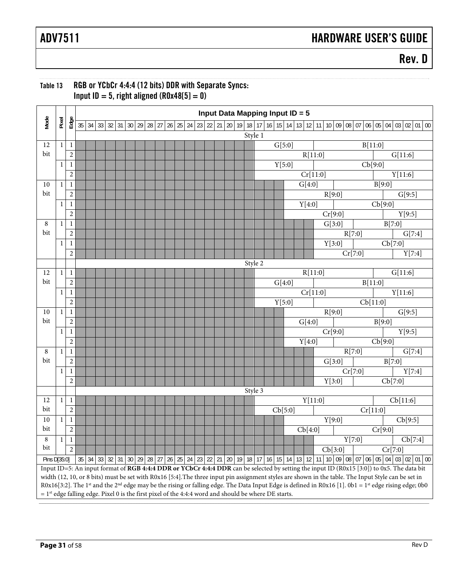#### **Mode Pixel Edge Input Data Mapping Input ID = 5**  35 34 33 32 31 30 29 28 27 26 25 24 23 22 21 20 19 18 17 16 15 14 13 12 11 10 09 08 07 06 05 04 03 02 01 00 Style 1 12 bit 1 1 G[5:0] B[11:0] 2 R[11:0] G[11:6] 1 1 Y[5:0] Cb[9:0] 2 Cr[11:0] Y[11:6] 10 bit 1 1 G[4:0] B[9:0] 2 R[9:0] G[9:5] 1 1 Y[4:0] Cb[9:0] 2 Cr[9:0] Y[9:5] 8 bit 1 1 G[3:0] B[7:0] 2 R[7:0] G[7:4] 1 1 Y[3:0] Cb[7:0] 2 Cr[7:0] Y[7:4] style 2 12 bit 1 1 R[11:0] G[11:6] 2 G[4:0] B[11:0] 1 1 Cr[11:0] Y[11:6] 2 Y[5:0] Cb[11:0] 10 bit 1 1 R[9:0] G[9:5] 2 G[4:0] B[9:0] 1 1 Cr[9:0] Y[9:5] 2 Y[4:0] Cb[9:0] 8 bit 1 1 R[7:0] G[7:4] 2 G[3:0] B[7:0] 1 1 Cr[7:0] Y[7:4] 2 Y[3:0] Cb[7:0] Style 3 12 bit 1 1 Y[11:0] Cb[11:6] 2 Cb[5:0] Cr[11:0] 10 bit 1 1 Y[9:0] Cb[9:5] 2 Cb[4:0] Cr[9:0] 8 bit 1 1 Y[7:0] Cb[7:4] 2 Cb[3:0] Cr[7:0] Pins D[35:0] 35 34 33 32 31 30 29 28 27 26 25 24 23 22 21 20 19 18 17 16 15 14 13 12 11 10 09 08 07 06 05 04 03 02 01 00 Input ID=5: An input format of **RGB 4:4:4 DDR or YCbCr 4:4:4 DDR** can be selected by setting the input ID (R0x15 [3:0]) to 0x5. The data bit width (12, 10, or 8 bits) must be set with R0x16 [5:4].The three input pin assignment styles are shown in the table. The Input Style can be set in R0x16[3:2]. The 1<sup>st</sup> and the 2<sup>nd</sup> edge may be the rising or falling edge. The Data Input Edge is defined in R0x16 [1]. 0b1 = 1<sup>st</sup> edge rising edge; 0b0  $= 1$ <sup>st</sup> edge falling edge. Pixel 0 is the first pixel of the 4:4:4 word and should be where DE starts.

### <span id="page-30-1"></span><span id="page-30-0"></span>Table 13 RGB or YCbCr 4:4:4 (12 bits) DDR with Separate Syncs: Input ID = 5, right aligned  $(R0x48[5] = 0)$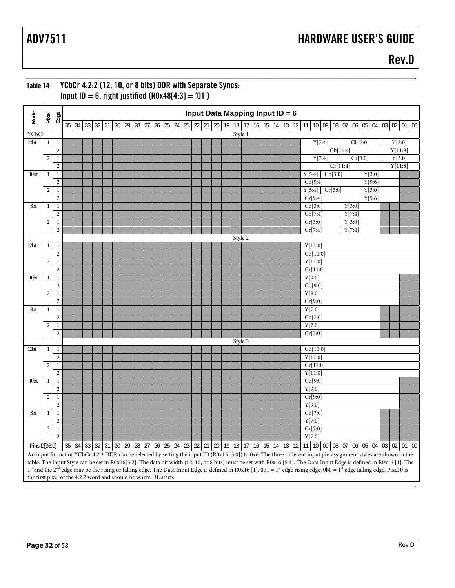## <span id="page-31-1"></span><span id="page-31-0"></span>ADV7511 **HARDWARE USER'S GUIDE**

Rev.D

## Table 14 YCbCr 4:2:2 (12, 10, or 8 bits) DDR with Separate Syncs: Input ID = 6, right justified (R0x48[4:3] = '01')

| 33 32 31 30 29 28 27 26 27 28 29 29 29 21 20 19 18 17 16 15 14 13 12 11 10 09 08 07 06 05 04 03 02 01 00<br>35 <sup>5</sup><br>34<br>YCbCr<br>Style 1<br>12bit<br>Cb[3:0]<br>$\mathbf{1}$<br>Y[7:4]<br>$\mathbf{1}$<br>Cb[11:4]<br>$\overline{c}$<br>$\overline{2}$<br>Y[7:4]<br>Cr[3:0]<br>$\mathbf{1}$<br>$\overline{c}$<br>Cr[11:4]<br>Cb[3:0]<br>Y[3:0]<br>10bit<br>$\bf 1$<br>Y[5:4]<br>$\mathbf{1}$<br>$\overline{c}$<br>Cb[9:4]<br>Y[9:6]<br>Cr[3:0]<br>Y[3:0]<br>Y[5:4]<br>$\sqrt{2}$<br>$\bf 1$<br>$\overline{c}$<br>Cr[9:4]<br>Y[9:6]<br>Cb[3:0]<br>8bit<br>$\bf 1$<br>Y[3:0]<br>$\mathbf{1}$<br>$\overline{c}$<br>Cb[7:4]<br>Y[7:4]<br>Cr[3:0]<br>Y[3:0]<br>$\overline{2}$<br>$\mathbf{1}$<br>$\overline{c}$<br>Cr[7:4]<br>Y[7:4]<br>Style 2<br>Y[11:0]<br>12bit<br>$\mathbf{1}$<br>$\mathbf{1}$<br>$\overline{c}$<br>Cb[11:0]<br>$\bf 1$<br>Y[11:0]<br>$\overline{2}$<br>$\overline{c}$<br>Cr[11:0]<br>10bit<br>$\,1$<br>Y[9:0]<br>$\mathbf{1}$<br>$\overline{c}$<br>Cb[9:0]<br>Y[9:0]<br>$\overline{2}$<br>$\mathbf{1}$<br>$\overline{2}$<br>Cr[9:0]<br>8bit<br>$\mathbf{1}$<br>Y[7:0]<br>$\mathbf{1}$<br>Cb[7:0]<br>$\overline{c}$<br>Y[7:0]<br>$\sqrt{2}$<br>$\bf 1$<br>$\overline{c}$<br>Cr[7:0]<br>Style 3<br>12bit<br>Cb[11:0]<br>$\mathbf{1}$<br>$\bf 1$<br>$\overline{c}$<br>Y[11:0]<br>Cr[11:0]<br>$\overline{2}$<br>$\,1$<br>$\overline{2}$<br>Y[11:0]<br>Cb[9:0]<br>10bit<br>$\bf 1$<br>$\mathbf{1}$<br>Y[9:0]<br>$\overline{c}$<br>$\sqrt{2}$<br>$\mathbf{1}$<br>Cr[9:0]<br>$\overline{c}$<br>Y[9:0] |         |  |  |  |  |  |  | Input Data Mapping Input ID = 6 |  |  |  |  |  |  |  |  | Edge | Pixel | Mode |
|------------------------------------------------------------------------------------------------------------------------------------------------------------------------------------------------------------------------------------------------------------------------------------------------------------------------------------------------------------------------------------------------------------------------------------------------------------------------------------------------------------------------------------------------------------------------------------------------------------------------------------------------------------------------------------------------------------------------------------------------------------------------------------------------------------------------------------------------------------------------------------------------------------------------------------------------------------------------------------------------------------------------------------------------------------------------------------------------------------------------------------------------------------------------------------------------------------------------------------------------------------------------------------------------------------------------------------------------------------------------------------------------------------------------------------------------------------------------------------------------------------------------------|---------|--|--|--|--|--|--|---------------------------------|--|--|--|--|--|--|--|--|------|-------|------|
|                                                                                                                                                                                                                                                                                                                                                                                                                                                                                                                                                                                                                                                                                                                                                                                                                                                                                                                                                                                                                                                                                                                                                                                                                                                                                                                                                                                                                                                                                                                              |         |  |  |  |  |  |  |                                 |  |  |  |  |  |  |  |  |      |       |      |
|                                                                                                                                                                                                                                                                                                                                                                                                                                                                                                                                                                                                                                                                                                                                                                                                                                                                                                                                                                                                                                                                                                                                                                                                                                                                                                                                                                                                                                                                                                                              |         |  |  |  |  |  |  |                                 |  |  |  |  |  |  |  |  |      |       |      |
|                                                                                                                                                                                                                                                                                                                                                                                                                                                                                                                                                                                                                                                                                                                                                                                                                                                                                                                                                                                                                                                                                                                                                                                                                                                                                                                                                                                                                                                                                                                              | Y[3:0]  |  |  |  |  |  |  |                                 |  |  |  |  |  |  |  |  |      |       |      |
|                                                                                                                                                                                                                                                                                                                                                                                                                                                                                                                                                                                                                                                                                                                                                                                                                                                                                                                                                                                                                                                                                                                                                                                                                                                                                                                                                                                                                                                                                                                              | Y[11:8] |  |  |  |  |  |  |                                 |  |  |  |  |  |  |  |  |      |       |      |
|                                                                                                                                                                                                                                                                                                                                                                                                                                                                                                                                                                                                                                                                                                                                                                                                                                                                                                                                                                                                                                                                                                                                                                                                                                                                                                                                                                                                                                                                                                                              | Y[3:0]  |  |  |  |  |  |  |                                 |  |  |  |  |  |  |  |  |      |       |      |
|                                                                                                                                                                                                                                                                                                                                                                                                                                                                                                                                                                                                                                                                                                                                                                                                                                                                                                                                                                                                                                                                                                                                                                                                                                                                                                                                                                                                                                                                                                                              | Y[11:8] |  |  |  |  |  |  |                                 |  |  |  |  |  |  |  |  |      |       |      |
|                                                                                                                                                                                                                                                                                                                                                                                                                                                                                                                                                                                                                                                                                                                                                                                                                                                                                                                                                                                                                                                                                                                                                                                                                                                                                                                                                                                                                                                                                                                              |         |  |  |  |  |  |  |                                 |  |  |  |  |  |  |  |  |      |       |      |
|                                                                                                                                                                                                                                                                                                                                                                                                                                                                                                                                                                                                                                                                                                                                                                                                                                                                                                                                                                                                                                                                                                                                                                                                                                                                                                                                                                                                                                                                                                                              |         |  |  |  |  |  |  |                                 |  |  |  |  |  |  |  |  |      |       |      |
|                                                                                                                                                                                                                                                                                                                                                                                                                                                                                                                                                                                                                                                                                                                                                                                                                                                                                                                                                                                                                                                                                                                                                                                                                                                                                                                                                                                                                                                                                                                              |         |  |  |  |  |  |  |                                 |  |  |  |  |  |  |  |  |      |       |      |
|                                                                                                                                                                                                                                                                                                                                                                                                                                                                                                                                                                                                                                                                                                                                                                                                                                                                                                                                                                                                                                                                                                                                                                                                                                                                                                                                                                                                                                                                                                                              |         |  |  |  |  |  |  |                                 |  |  |  |  |  |  |  |  |      |       |      |
|                                                                                                                                                                                                                                                                                                                                                                                                                                                                                                                                                                                                                                                                                                                                                                                                                                                                                                                                                                                                                                                                                                                                                                                                                                                                                                                                                                                                                                                                                                                              |         |  |  |  |  |  |  |                                 |  |  |  |  |  |  |  |  |      |       |      |
|                                                                                                                                                                                                                                                                                                                                                                                                                                                                                                                                                                                                                                                                                                                                                                                                                                                                                                                                                                                                                                                                                                                                                                                                                                                                                                                                                                                                                                                                                                                              |         |  |  |  |  |  |  |                                 |  |  |  |  |  |  |  |  |      |       |      |
|                                                                                                                                                                                                                                                                                                                                                                                                                                                                                                                                                                                                                                                                                                                                                                                                                                                                                                                                                                                                                                                                                                                                                                                                                                                                                                                                                                                                                                                                                                                              |         |  |  |  |  |  |  |                                 |  |  |  |  |  |  |  |  |      |       |      |
|                                                                                                                                                                                                                                                                                                                                                                                                                                                                                                                                                                                                                                                                                                                                                                                                                                                                                                                                                                                                                                                                                                                                                                                                                                                                                                                                                                                                                                                                                                                              |         |  |  |  |  |  |  |                                 |  |  |  |  |  |  |  |  |      |       |      |
|                                                                                                                                                                                                                                                                                                                                                                                                                                                                                                                                                                                                                                                                                                                                                                                                                                                                                                                                                                                                                                                                                                                                                                                                                                                                                                                                                                                                                                                                                                                              |         |  |  |  |  |  |  |                                 |  |  |  |  |  |  |  |  |      |       |      |
|                                                                                                                                                                                                                                                                                                                                                                                                                                                                                                                                                                                                                                                                                                                                                                                                                                                                                                                                                                                                                                                                                                                                                                                                                                                                                                                                                                                                                                                                                                                              |         |  |  |  |  |  |  |                                 |  |  |  |  |  |  |  |  |      |       |      |
|                                                                                                                                                                                                                                                                                                                                                                                                                                                                                                                                                                                                                                                                                                                                                                                                                                                                                                                                                                                                                                                                                                                                                                                                                                                                                                                                                                                                                                                                                                                              |         |  |  |  |  |  |  |                                 |  |  |  |  |  |  |  |  |      |       |      |
|                                                                                                                                                                                                                                                                                                                                                                                                                                                                                                                                                                                                                                                                                                                                                                                                                                                                                                                                                                                                                                                                                                                                                                                                                                                                                                                                                                                                                                                                                                                              |         |  |  |  |  |  |  |                                 |  |  |  |  |  |  |  |  |      |       |      |
|                                                                                                                                                                                                                                                                                                                                                                                                                                                                                                                                                                                                                                                                                                                                                                                                                                                                                                                                                                                                                                                                                                                                                                                                                                                                                                                                                                                                                                                                                                                              |         |  |  |  |  |  |  |                                 |  |  |  |  |  |  |  |  |      |       |      |
|                                                                                                                                                                                                                                                                                                                                                                                                                                                                                                                                                                                                                                                                                                                                                                                                                                                                                                                                                                                                                                                                                                                                                                                                                                                                                                                                                                                                                                                                                                                              |         |  |  |  |  |  |  |                                 |  |  |  |  |  |  |  |  |      |       |      |
|                                                                                                                                                                                                                                                                                                                                                                                                                                                                                                                                                                                                                                                                                                                                                                                                                                                                                                                                                                                                                                                                                                                                                                                                                                                                                                                                                                                                                                                                                                                              |         |  |  |  |  |  |  |                                 |  |  |  |  |  |  |  |  |      |       |      |
|                                                                                                                                                                                                                                                                                                                                                                                                                                                                                                                                                                                                                                                                                                                                                                                                                                                                                                                                                                                                                                                                                                                                                                                                                                                                                                                                                                                                                                                                                                                              |         |  |  |  |  |  |  |                                 |  |  |  |  |  |  |  |  |      |       |      |
|                                                                                                                                                                                                                                                                                                                                                                                                                                                                                                                                                                                                                                                                                                                                                                                                                                                                                                                                                                                                                                                                                                                                                                                                                                                                                                                                                                                                                                                                                                                              |         |  |  |  |  |  |  |                                 |  |  |  |  |  |  |  |  |      |       |      |
|                                                                                                                                                                                                                                                                                                                                                                                                                                                                                                                                                                                                                                                                                                                                                                                                                                                                                                                                                                                                                                                                                                                                                                                                                                                                                                                                                                                                                                                                                                                              |         |  |  |  |  |  |  |                                 |  |  |  |  |  |  |  |  |      |       |      |
|                                                                                                                                                                                                                                                                                                                                                                                                                                                                                                                                                                                                                                                                                                                                                                                                                                                                                                                                                                                                                                                                                                                                                                                                                                                                                                                                                                                                                                                                                                                              |         |  |  |  |  |  |  |                                 |  |  |  |  |  |  |  |  |      |       |      |
|                                                                                                                                                                                                                                                                                                                                                                                                                                                                                                                                                                                                                                                                                                                                                                                                                                                                                                                                                                                                                                                                                                                                                                                                                                                                                                                                                                                                                                                                                                                              |         |  |  |  |  |  |  |                                 |  |  |  |  |  |  |  |  |      |       |      |
|                                                                                                                                                                                                                                                                                                                                                                                                                                                                                                                                                                                                                                                                                                                                                                                                                                                                                                                                                                                                                                                                                                                                                                                                                                                                                                                                                                                                                                                                                                                              |         |  |  |  |  |  |  |                                 |  |  |  |  |  |  |  |  |      |       |      |
|                                                                                                                                                                                                                                                                                                                                                                                                                                                                                                                                                                                                                                                                                                                                                                                                                                                                                                                                                                                                                                                                                                                                                                                                                                                                                                                                                                                                                                                                                                                              |         |  |  |  |  |  |  |                                 |  |  |  |  |  |  |  |  |      |       |      |
|                                                                                                                                                                                                                                                                                                                                                                                                                                                                                                                                                                                                                                                                                                                                                                                                                                                                                                                                                                                                                                                                                                                                                                                                                                                                                                                                                                                                                                                                                                                              |         |  |  |  |  |  |  |                                 |  |  |  |  |  |  |  |  |      |       |      |
|                                                                                                                                                                                                                                                                                                                                                                                                                                                                                                                                                                                                                                                                                                                                                                                                                                                                                                                                                                                                                                                                                                                                                                                                                                                                                                                                                                                                                                                                                                                              |         |  |  |  |  |  |  |                                 |  |  |  |  |  |  |  |  |      |       |      |
|                                                                                                                                                                                                                                                                                                                                                                                                                                                                                                                                                                                                                                                                                                                                                                                                                                                                                                                                                                                                                                                                                                                                                                                                                                                                                                                                                                                                                                                                                                                              |         |  |  |  |  |  |  |                                 |  |  |  |  |  |  |  |  |      |       |      |
|                                                                                                                                                                                                                                                                                                                                                                                                                                                                                                                                                                                                                                                                                                                                                                                                                                                                                                                                                                                                                                                                                                                                                                                                                                                                                                                                                                                                                                                                                                                              |         |  |  |  |  |  |  |                                 |  |  |  |  |  |  |  |  |      |       |      |
|                                                                                                                                                                                                                                                                                                                                                                                                                                                                                                                                                                                                                                                                                                                                                                                                                                                                                                                                                                                                                                                                                                                                                                                                                                                                                                                                                                                                                                                                                                                              |         |  |  |  |  |  |  |                                 |  |  |  |  |  |  |  |  |      |       |      |
|                                                                                                                                                                                                                                                                                                                                                                                                                                                                                                                                                                                                                                                                                                                                                                                                                                                                                                                                                                                                                                                                                                                                                                                                                                                                                                                                                                                                                                                                                                                              |         |  |  |  |  |  |  |                                 |  |  |  |  |  |  |  |  |      |       |      |
| 8bit<br>Cb[7:0]<br>$\mathbf{1}$<br>$\mathbf{1}$                                                                                                                                                                                                                                                                                                                                                                                                                                                                                                                                                                                                                                                                                                                                                                                                                                                                                                                                                                                                                                                                                                                                                                                                                                                                                                                                                                                                                                                                              |         |  |  |  |  |  |  |                                 |  |  |  |  |  |  |  |  |      |       |      |
| $\overline{c}$<br>Y[7:0]                                                                                                                                                                                                                                                                                                                                                                                                                                                                                                                                                                                                                                                                                                                                                                                                                                                                                                                                                                                                                                                                                                                                                                                                                                                                                                                                                                                                                                                                                                     |         |  |  |  |  |  |  |                                 |  |  |  |  |  |  |  |  |      |       |      |
| $\overline{2}$<br>Cr[7:0]<br>$\bf 1$                                                                                                                                                                                                                                                                                                                                                                                                                                                                                                                                                                                                                                                                                                                                                                                                                                                                                                                                                                                                                                                                                                                                                                                                                                                                                                                                                                                                                                                                                         |         |  |  |  |  |  |  |                                 |  |  |  |  |  |  |  |  |      |       |      |
| $\overline{c}$<br>Y[7:0]                                                                                                                                                                                                                                                                                                                                                                                                                                                                                                                                                                                                                                                                                                                                                                                                                                                                                                                                                                                                                                                                                                                                                                                                                                                                                                                                                                                                                                                                                                     |         |  |  |  |  |  |  |                                 |  |  |  |  |  |  |  |  |      |       |      |
| 35 34 33 32 31 30 29 28 27 26 25 24 23 22 21 20 19 18 17 16 15 14 13 12 11 10 09 08 07 06 05 04 03 02 01 00<br>Pins D[35:0]                                                                                                                                                                                                                                                                                                                                                                                                                                                                                                                                                                                                                                                                                                                                                                                                                                                                                                                                                                                                                                                                                                                                                                                                                                                                                                                                                                                                  |         |  |  |  |  |  |  |                                 |  |  |  |  |  |  |  |  |      |       |      |
| An input format of YCbCr 4:2:2 DDR can be selected by setting the input ID (R0x15 [3:0]) to 0x6. The three different input pin assignment styles are shown in the                                                                                                                                                                                                                                                                                                                                                                                                                                                                                                                                                                                                                                                                                                                                                                                                                                                                                                                                                                                                                                                                                                                                                                                                                                                                                                                                                            |         |  |  |  |  |  |  |                                 |  |  |  |  |  |  |  |  |      |       |      |
| table. The Input Style can be set in R0x16[3:2]. The data bit width (12, 10, or 8 bits) must be set with R0x16 [5:4]. The Data Input Edge is defined in R0x16 [1]. The                                                                                                                                                                                                                                                                                                                                                                                                                                                                                                                                                                                                                                                                                                                                                                                                                                                                                                                                                                                                                                                                                                                                                                                                                                                                                                                                                       |         |  |  |  |  |  |  |                                 |  |  |  |  |  |  |  |  |      |       |      |
| 1st and the $2nd$ edge may be the rising or falling edge. The Data Input Edge is defined in R0x16 [1]. 0b1 = 1st edge rising edge; 0b0 = 1st edge falling edge. Pixel 0 is                                                                                                                                                                                                                                                                                                                                                                                                                                                                                                                                                                                                                                                                                                                                                                                                                                                                                                                                                                                                                                                                                                                                                                                                                                                                                                                                                   |         |  |  |  |  |  |  |                                 |  |  |  |  |  |  |  |  |      |       |      |
| the first pixel of the 4:2:2 word and should be where DE starts.                                                                                                                                                                                                                                                                                                                                                                                                                                                                                                                                                                                                                                                                                                                                                                                                                                                                                                                                                                                                                                                                                                                                                                                                                                                                                                                                                                                                                                                             |         |  |  |  |  |  |  |                                 |  |  |  |  |  |  |  |  |      |       |      |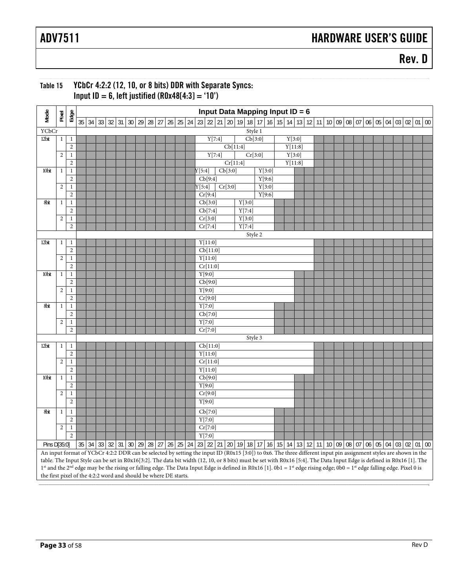| Mode                                                                                                                                                                                                                                                                                                                                                 | Pixel                                                                                                                                                                             | Edge                           |                          |       |                 |  |          |    |    |    |    |    |                      |  |        |                    |    |         |          |                  |         |        | Input Data Mapping Input $ID = 6$      |                   |  |       |          |    |    |  |                   |              |    |
|------------------------------------------------------------------------------------------------------------------------------------------------------------------------------------------------------------------------------------------------------------------------------------------------------------------------------------------------------|-----------------------------------------------------------------------------------------------------------------------------------------------------------------------------------|--------------------------------|--------------------------|-------|-----------------|--|----------|----|----|----|----|----|----------------------|--|--------|--------------------|----|---------|----------|------------------|---------|--------|----------------------------------------|-------------------|--|-------|----------|----|----|--|-------------------|--------------|----|
|                                                                                                                                                                                                                                                                                                                                                      |                                                                                                                                                                                   |                                | 35                       | 34    | 33 <sup>1</sup> |  | 32 31    | 30 | 29 | 28 | 27 | 26 | 25 24                |  | 23     | 22                 | 21 | 20      | 19       |                  |         |        | 18 17 16 15 14 13 12 11                |                   |  | 10 09 | 08       | 07 | 06 |  | 05 04 03 02       | 01           | 00 |
| YCbCr                                                                                                                                                                                                                                                                                                                                                |                                                                                                                                                                                   |                                |                          |       |                 |  |          |    |    |    |    |    |                      |  |        |                    |    |         |          |                  | Style 1 |        |                                        |                   |  |       |          |    |    |  |                   |              |    |
| 12bit                                                                                                                                                                                                                                                                                                                                                | $\mathbf{1}$                                                                                                                                                                      | $\mathbf{1}$<br>$\overline{2}$ |                          |       |                 |  |          |    |    |    |    |    |                      |  |        | Y[7:4]             |    |         | Cb[11:4] |                  | Cb[3:0] |        |                                        | Y[3:0]<br>Y[11:8] |  |       |          |    |    |  |                   |              |    |
|                                                                                                                                                                                                                                                                                                                                                      | $\overline{2}$                                                                                                                                                                    | $\mathbf{1}$                   |                          |       |                 |  |          |    |    |    |    |    |                      |  |        | Y[7:4]             |    |         |          |                  | Cr[3:0] |        |                                        | Y[3:0]            |  |       |          |    |    |  |                   |              |    |
|                                                                                                                                                                                                                                                                                                                                                      |                                                                                                                                                                                   | $\overline{c}$                 |                          |       |                 |  |          |    |    |    |    |    |                      |  |        |                    |    |         | Cr[11:4] |                  |         |        |                                        | Y[11:8]           |  |       |          |    |    |  |                   |              |    |
| 10bit                                                                                                                                                                                                                                                                                                                                                | 1                                                                                                                                                                                 | $\,1$                          |                          |       |                 |  |          |    |    |    |    |    |                      |  | Y[5:4] |                    |    | Cb[3:0] |          |                  |         | Y[3:0] |                                        |                   |  |       |          |    |    |  |                   |              |    |
|                                                                                                                                                                                                                                                                                                                                                      |                                                                                                                                                                                   | $\overline{c}$                 |                          |       |                 |  |          |    |    |    |    |    |                      |  |        | Cb[9:4]            |    |         |          |                  |         | Y[9:6] |                                        |                   |  |       |          |    |    |  |                   |              |    |
|                                                                                                                                                                                                                                                                                                                                                      | $\overline{2}$                                                                                                                                                                    | $\,1$                          |                          |       |                 |  |          |    |    |    |    |    |                      |  | Y[5:4] |                    |    | Cr[3:0] |          |                  |         | Y[3:0] |                                        |                   |  |       |          |    |    |  |                   |              |    |
|                                                                                                                                                                                                                                                                                                                                                      |                                                                                                                                                                                   | $\overline{c}$                 |                          |       |                 |  |          |    |    |    |    |    |                      |  |        | Cr[9:4]            |    |         |          |                  |         | Y[9:6] |                                        |                   |  |       |          |    |    |  |                   |              |    |
| 8bit                                                                                                                                                                                                                                                                                                                                                 | 1                                                                                                                                                                                 | $\mathbf{1}$<br>$\overline{c}$ |                          |       |                 |  |          |    |    |    |    |    |                      |  |        | Cb[3:0]            |    |         |          | Y[3:0]           |         |        |                                        |                   |  |       |          |    |    |  |                   |              |    |
|                                                                                                                                                                                                                                                                                                                                                      | $\overline{2}$                                                                                                                                                                    | $\mathbf{1}$                   |                          |       |                 |  |          |    |    |    |    |    |                      |  |        | Cb[7:4]<br>Cr[3:0] |    |         |          | Y[7:4]<br>Y[3:0] |         |        |                                        |                   |  |       |          |    |    |  |                   |              |    |
|                                                                                                                                                                                                                                                                                                                                                      |                                                                                                                                                                                   | $\overline{c}$                 |                          |       |                 |  |          |    |    |    |    |    |                      |  |        | Cr[7:4]            |    |         |          | Y[7:4]           |         |        |                                        |                   |  |       |          |    |    |  |                   |              |    |
|                                                                                                                                                                                                                                                                                                                                                      |                                                                                                                                                                                   |                                |                          |       |                 |  |          |    |    |    |    |    |                      |  |        |                    |    |         |          |                  | Style 2 |        |                                        |                   |  |       |          |    |    |  |                   |              |    |
| 12bit                                                                                                                                                                                                                                                                                                                                                | Y[11:0]<br>$\mathbf{1}$<br>$\mathbf{1}$<br>$\boldsymbol{2}$<br>Cb[11:0]<br>Y[11:0]<br>$\overline{2}$<br>$\mathbf{1}$<br>$\overline{c}$<br>Cr[11:0]<br>Y[9:0]<br>$\mathbf{1}$<br>1 |                                |                          |       |                 |  |          |    |    |    |    |    |                      |  |        |                    |    |         |          |                  |         |        |                                        |                   |  |       |          |    |    |  |                   |              |    |
|                                                                                                                                                                                                                                                                                                                                                      |                                                                                                                                                                                   |                                |                          |       |                 |  |          |    |    |    |    |    |                      |  |        |                    |    |         |          |                  |         |        |                                        |                   |  |       |          |    |    |  |                   |              |    |
|                                                                                                                                                                                                                                                                                                                                                      |                                                                                                                                                                                   |                                |                          |       |                 |  |          |    |    |    |    |    |                      |  |        |                    |    |         |          |                  |         |        |                                        |                   |  |       |          |    |    |  |                   |              |    |
| 10bit                                                                                                                                                                                                                                                                                                                                                |                                                                                                                                                                                   |                                | Cb[9:0]                  |       |                 |  |          |    |    |    |    |    |                      |  |        |                    |    |         |          |                  |         |        |                                        |                   |  |       |          |    |    |  |                   |              |    |
|                                                                                                                                                                                                                                                                                                                                                      |                                                                                                                                                                                   |                                | $\overline{c}$<br>Y[9:0] |       |                 |  |          |    |    |    |    |    |                      |  |        |                    |    |         |          |                  |         |        |                                        |                   |  |       |          |    |    |  |                   |              |    |
|                                                                                                                                                                                                                                                                                                                                                      | $\overline{2}$                                                                                                                                                                    | $\mathbf{1}$                   |                          |       |                 |  |          |    |    |    |    |    |                      |  |        |                    |    |         |          |                  |         |        |                                        |                   |  |       |          |    |    |  |                   |              |    |
|                                                                                                                                                                                                                                                                                                                                                      |                                                                                                                                                                                   | $\overline{c}$                 | Cr[9:0]                  |       |                 |  |          |    |    |    |    |    |                      |  |        |                    |    |         |          |                  |         |        |                                        |                   |  |       |          |    |    |  |                   |              |    |
| 8bit                                                                                                                                                                                                                                                                                                                                                 | $\mathbf{1}$                                                                                                                                                                      | $\mathbf{1}$                   |                          |       |                 |  |          |    |    |    |    |    |                      |  |        | Y[7:0]             |    |         |          |                  |         |        |                                        |                   |  |       |          |    |    |  |                   |              |    |
|                                                                                                                                                                                                                                                                                                                                                      |                                                                                                                                                                                   | $\overline{c}$                 |                          |       |                 |  |          |    |    |    |    |    |                      |  |        | Cb[7:0]            |    |         |          |                  |         |        |                                        |                   |  |       |          |    |    |  |                   |              |    |
|                                                                                                                                                                                                                                                                                                                                                      | $\overline{c}$                                                                                                                                                                    | $\,1$                          |                          |       |                 |  |          |    |    |    |    |    |                      |  |        | Y[7:0]             |    |         |          |                  |         |        |                                        |                   |  |       |          |    |    |  |                   |              |    |
|                                                                                                                                                                                                                                                                                                                                                      |                                                                                                                                                                                   | $\mathbf{2}$                   |                          |       |                 |  |          |    |    |    |    |    |                      |  |        | Cr[7:0]            |    |         |          |                  | Style 3 |        |                                        |                   |  |       |          |    |    |  |                   |              |    |
| 12bit                                                                                                                                                                                                                                                                                                                                                | 1                                                                                                                                                                                 | $\mathbf{1}$                   |                          |       |                 |  |          |    |    |    |    |    |                      |  |        | Cb[11:0]           |    |         |          |                  |         |        |                                        |                   |  |       |          |    |    |  |                   |              |    |
|                                                                                                                                                                                                                                                                                                                                                      |                                                                                                                                                                                   | $\overline{c}$                 |                          |       |                 |  |          |    |    |    |    |    |                      |  |        | Y[11:0]            |    |         |          |                  |         |        |                                        |                   |  |       |          |    |    |  |                   |              |    |
|                                                                                                                                                                                                                                                                                                                                                      | $\overline{2}$                                                                                                                                                                    | $\mathbf{1}$                   |                          |       |                 |  |          |    |    |    |    |    |                      |  |        | Cr[11:0]           |    |         |          |                  |         |        |                                        |                   |  |       |          |    |    |  |                   |              |    |
|                                                                                                                                                                                                                                                                                                                                                      |                                                                                                                                                                                   | $\overline{c}$                 |                          |       |                 |  |          |    |    |    |    |    |                      |  |        | Y[11:0]            |    |         |          |                  |         |        |                                        |                   |  |       |          |    |    |  |                   |              |    |
| 10bit                                                                                                                                                                                                                                                                                                                                                | $\mathbf{1}$                                                                                                                                                                      | $\,1\,$                        |                          |       |                 |  |          |    |    |    |    |    |                      |  |        | Cb[9:0]            |    |         |          |                  |         |        |                                        |                   |  |       |          |    |    |  |                   |              |    |
|                                                                                                                                                                                                                                                                                                                                                      | $\overline{2}$                                                                                                                                                                    | $\overline{c}$<br>$\,1$        |                          |       |                 |  |          |    |    |    |    |    |                      |  |        | Y[9:0]<br>Cr[9:0]  |    |         |          |                  |         |        |                                        |                   |  |       |          |    |    |  |                   |              |    |
|                                                                                                                                                                                                                                                                                                                                                      |                                                                                                                                                                                   | $\overline{2}$                 |                          |       |                 |  |          |    |    |    |    |    |                      |  |        | Y[9:0]             |    |         |          |                  |         |        |                                        |                   |  |       |          |    |    |  |                   |              |    |
| 8bit                                                                                                                                                                                                                                                                                                                                                 | $\mathbf{1}$                                                                                                                                                                      | $\mathbf{1}$                   |                          |       |                 |  |          |    |    |    |    |    |                      |  |        | Cb[7:0]            |    |         |          |                  |         |        |                                        |                   |  |       |          |    |    |  |                   |              |    |
|                                                                                                                                                                                                                                                                                                                                                      |                                                                                                                                                                                   | $\mathbf{2}$                   |                          |       |                 |  |          |    |    |    |    |    |                      |  |        | Y[7:0]             |    |         |          |                  |         |        |                                        |                   |  |       |          |    |    |  |                   |              |    |
|                                                                                                                                                                                                                                                                                                                                                      | $\overline{c}$                                                                                                                                                                    | $\mathbf{1}$                   |                          |       |                 |  |          |    |    |    |    |    |                      |  |        | Cr[7:0]            |    |         |          |                  |         |        |                                        |                   |  |       |          |    |    |  |                   |              |    |
|                                                                                                                                                                                                                                                                                                                                                      |                                                                                                                                                                                   | $\overline{c}$                 |                          |       |                 |  |          |    |    |    |    |    |                      |  |        | Y[7:0]             |    |         |          |                  |         |        |                                        |                   |  |       |          |    |    |  |                   |              |    |
| Pins D[35:0]                                                                                                                                                                                                                                                                                                                                         |                                                                                                                                                                                   |                                |                          | 35 34 |                 |  | 33 32 31 |    |    |    |    |    | 30 29 28 27 26 25 24 |  |        |                    |    |         |          |                  |         |        | 23 22 21 20 19 18 17 16 15 14 13 12 11 |                   |  |       | 10 09 08 |    |    |  | 07 06 05 04 03 02 | $01 \mid 00$ |    |
| An input format of YCbCr 4:2:2 DDR can be selected by setting the input ID (R0x15 [3:0]) to 0x6. The three different input pin assignment styles are shown in the                                                                                                                                                                                    |                                                                                                                                                                                   |                                |                          |       |                 |  |          |    |    |    |    |    |                      |  |        |                    |    |         |          |                  |         |        |                                        |                   |  |       |          |    |    |  |                   |              |    |
| table. The Input Style can be set in R0x16[3:2]. The data bit width (12, 10, or 8 bits) must be set with R0x16 [5:4]. The Data Input Edge is defined in R0x16 [1]. The<br>1st and the $2nd$ edge may be the rising or falling edge. The Data Input Edge is defined in R0x16 [1]. 0b1 = 1st edge rising edge; 0b0 = 1st edge falling edge. Pixel 0 is |                                                                                                                                                                                   |                                |                          |       |                 |  |          |    |    |    |    |    |                      |  |        |                    |    |         |          |                  |         |        |                                        |                   |  |       |          |    |    |  |                   |              |    |
| the first pixel of the 4:2:2 word and should be where DE starts.                                                                                                                                                                                                                                                                                     |                                                                                                                                                                                   |                                |                          |       |                 |  |          |    |    |    |    |    |                      |  |        |                    |    |         |          |                  |         |        |                                        |                   |  |       |          |    |    |  |                   |              |    |
|                                                                                                                                                                                                                                                                                                                                                      |                                                                                                                                                                                   |                                |                          |       |                 |  |          |    |    |    |    |    |                      |  |        |                    |    |         |          |                  |         |        |                                        |                   |  |       |          |    |    |  |                   |              |    |

## <span id="page-32-1"></span><span id="page-32-0"></span>Table 15 YCbCr 4:2:2 (12, 10, or 8 bits) DDR with Separate Syncs: Input ID = 6, left justified  $(R0x48[4:3] = '10')$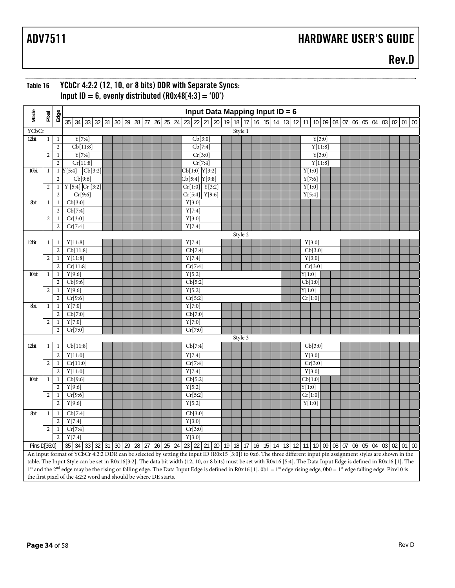| Mode<br>Edge<br>Pixel                                                                                                                                             |                                                                                                                                                                                                                                                                                                                                                      |                   |          |  |                      |       |    |  |                |                   | Input Data Mapping Input ID = 6 |                                                                          |         |  |  |  |        |                   |        |  |                |    |          |    |         |  |
|-------------------------------------------------------------------------------------------------------------------------------------------------------------------|------------------------------------------------------------------------------------------------------------------------------------------------------------------------------------------------------------------------------------------------------------------------------------------------------------------------------------------------------|-------------------|----------|--|----------------------|-------|----|--|----------------|-------------------|---------------------------------|--------------------------------------------------------------------------|---------|--|--|--|--------|-------------------|--------|--|----------------|----|----------|----|---------|--|
|                                                                                                                                                                   |                                                                                                                                                                                                                                                                                                                                                      | 35<br>33<br>34    | 32 31 30 |  | 29                   | 28 27 | 26 |  | 25 24 23 22 21 |                   |                                 | $\overline{20}$ 19   18   17   16   15   14   13   12   11               |         |  |  |  |        |                   |        |  | 10 09 08 07 06 |    | 05 04 03 | 02 | 01 00   |  |
| YCbCr                                                                                                                                                             |                                                                                                                                                                                                                                                                                                                                                      |                   |          |  |                      |       |    |  |                |                   |                                 |                                                                          | Style 1 |  |  |  |        |                   |        |  |                |    |          |    |         |  |
| 12bit<br>$\mathbf{1}$<br>$\mathbf{1}$                                                                                                                             |                                                                                                                                                                                                                                                                                                                                                      | Y[7:4]            |          |  |                      |       |    |  |                |                   | Cb[3:0]                         |                                                                          |         |  |  |  |        |                   | Y[3:0] |  |                |    |          |    |         |  |
| $\overline{2}$                                                                                                                                                    |                                                                                                                                                                                                                                                                                                                                                      | Cb[11:8]          |          |  |                      |       |    |  |                |                   | Cb[7:4]                         |                                                                          |         |  |  |  |        | Y[11:8]           |        |  |                |    |          |    |         |  |
| $\overline{2}$<br>$\mathbf{1}$                                                                                                                                    |                                                                                                                                                                                                                                                                                                                                                      | Y[7:4]            |          |  |                      |       |    |  |                |                   | Cr[3:0]                         |                                                                          |         |  |  |  |        |                   | Y[3:0] |  |                |    |          |    |         |  |
| $\overline{c}$                                                                                                                                                    |                                                                                                                                                                                                                                                                                                                                                      | Cr[11:8]          |          |  |                      |       |    |  |                | Cr[7:4]           |                                 |                                                                          |         |  |  |  |        | Y[11:8]           |        |  |                |    |          |    |         |  |
| $\,1$<br>10 <sub>bit</sub><br>1                                                                                                                                   |                                                                                                                                                                                                                                                                                                                                                      | Cb[3:2]<br>Y[5:4] |          |  |                      |       |    |  |                |                   | Cb[1:0]Y[3:2]                   |                                                                          |         |  |  |  |        | Y[1:0]            |        |  |                |    |          |    |         |  |
| $\overline{c}$                                                                                                                                                    |                                                                                                                                                                                                                                                                                                                                                      | Cb[9:6]           |          |  |                      |       |    |  |                |                   | Cb[5:4]Y[9:8]                   |                                                                          |         |  |  |  |        | Y[7:6]            |        |  |                |    |          |    |         |  |
| $\overline{2}$<br>$\mathbf{1}$                                                                                                                                    |                                                                                                                                                                                                                                                                                                                                                      | Y [5:4] Cr [3:2]  |          |  |                      |       |    |  | Cr[1:0]        |                   | Y[3:2]                          |                                                                          |         |  |  |  | Y[1:0] |                   |        |  |                |    |          |    |         |  |
| $\overline{c}$                                                                                                                                                    |                                                                                                                                                                                                                                                                                                                                                      | Cr[9:6]           |          |  |                      |       |    |  |                |                   | $Cr[5:4]$ Y[9:6]                |                                                                          |         |  |  |  |        | Y[5:4]            |        |  |                |    |          |    |         |  |
| $\mathbf{1}$<br>8bit<br>$\mathbf{1}$                                                                                                                              |                                                                                                                                                                                                                                                                                                                                                      | Cb[3:0]           |          |  |                      |       |    |  |                | Y[3:0]            |                                 |                                                                          |         |  |  |  |        |                   |        |  |                |    |          |    |         |  |
| $\overline{2}$                                                                                                                                                    |                                                                                                                                                                                                                                                                                                                                                      | Cb[7:4]           |          |  |                      |       |    |  |                | Y[7:4]            |                                 |                                                                          |         |  |  |  |        |                   |        |  |                |    |          |    |         |  |
| $\overline{2}$<br>$\,1\,$                                                                                                                                         |                                                                                                                                                                                                                                                                                                                                                      | Cr[3:0]           |          |  |                      |       |    |  |                | Y[3:0]            |                                 |                                                                          |         |  |  |  |        |                   |        |  |                |    |          |    |         |  |
| $\overline{2}$                                                                                                                                                    |                                                                                                                                                                                                                                                                                                                                                      | Cr[7:4]           |          |  |                      |       |    |  |                | Y[7:4]            |                                 |                                                                          |         |  |  |  |        |                   |        |  |                |    |          |    |         |  |
| 12bit                                                                                                                                                             |                                                                                                                                                                                                                                                                                                                                                      | Y[11:8]           |          |  |                      |       |    |  |                |                   |                                 |                                                                          | Style 2 |  |  |  |        |                   |        |  |                |    |          |    |         |  |
| $\mathbf{1}$<br>1<br>$\sqrt{2}$                                                                                                                                   |                                                                                                                                                                                                                                                                                                                                                      | Cb[11:8]          |          |  |                      |       |    |  |                | Y[7:4]<br>Cb[7:4] |                                 |                                                                          |         |  |  |  |        | Y[3:0]<br>Cb[3:0] |        |  |                |    |          |    |         |  |
| $\overline{2}$<br>$\mathbf{1}$                                                                                                                                    |                                                                                                                                                                                                                                                                                                                                                      | Y[11:8]           |          |  |                      |       |    |  |                | Y[7:4]            |                                 |                                                                          |         |  |  |  |        | Y[3:0]            |        |  |                |    |          |    |         |  |
| $\overline{2}$                                                                                                                                                    |                                                                                                                                                                                                                                                                                                                                                      | Cr[11:8]          |          |  |                      |       |    |  |                | Cr[7:4]           |                                 |                                                                          |         |  |  |  |        | Cr[3:0]           |        |  |                |    |          |    |         |  |
| $\,1\,$<br>10bit<br>$\mathbf{1}$                                                                                                                                  |                                                                                                                                                                                                                                                                                                                                                      | Y[9:6]            |          |  |                      |       |    |  |                | Y[5:2]            |                                 |                                                                          |         |  |  |  | Y[1:0] |                   |        |  |                |    |          |    |         |  |
| $\sqrt{2}$                                                                                                                                                        |                                                                                                                                                                                                                                                                                                                                                      | Cb[9:6]           |          |  |                      |       |    |  |                | Cb[5:2]           |                                 |                                                                          |         |  |  |  |        | Cb[1:0]           |        |  |                |    |          |    |         |  |
| $\overline{2}$<br>$\mathbf{1}$                                                                                                                                    |                                                                                                                                                                                                                                                                                                                                                      | Y[9:6]            |          |  |                      |       |    |  |                | Y[5:2]            |                                 |                                                                          |         |  |  |  | Y[1:0] |                   |        |  |                |    |          |    |         |  |
| $\overline{2}$                                                                                                                                                    |                                                                                                                                                                                                                                                                                                                                                      | Cr[9:6]           |          |  |                      |       |    |  |                | Cr[5:2]           |                                 |                                                                          |         |  |  |  |        | Cr[1:0]           |        |  |                |    |          |    |         |  |
| $\,1\,$<br>8bit<br>1                                                                                                                                              |                                                                                                                                                                                                                                                                                                                                                      | Y[7:0]            |          |  |                      |       |    |  |                | Y[7:0]            |                                 |                                                                          |         |  |  |  |        |                   |        |  |                |    |          |    |         |  |
| $\overline{2}$                                                                                                                                                    |                                                                                                                                                                                                                                                                                                                                                      | Cb[7:0]           |          |  |                      |       |    |  |                | Cb[7:0]           |                                 |                                                                          |         |  |  |  |        |                   |        |  |                |    |          |    |         |  |
| $\overline{2}$<br>$\,1\,$                                                                                                                                         |                                                                                                                                                                                                                                                                                                                                                      | Y[7:0]            |          |  |                      |       |    |  |                | Y[7:0]            |                                 |                                                                          |         |  |  |  |        |                   |        |  |                |    |          |    |         |  |
| $\overline{c}$                                                                                                                                                    |                                                                                                                                                                                                                                                                                                                                                      | Cr[7:0]           |          |  |                      |       |    |  |                | Cr[7:0]           |                                 |                                                                          |         |  |  |  |        |                   |        |  |                |    |          |    |         |  |
|                                                                                                                                                                   |                                                                                                                                                                                                                                                                                                                                                      |                   |          |  |                      |       |    |  |                |                   |                                 |                                                                          | Style 3 |  |  |  |        |                   |        |  |                |    |          |    |         |  |
| 12bit<br>$\mathbf{1}$<br>$\mathbf{1}$                                                                                                                             |                                                                                                                                                                                                                                                                                                                                                      | Cb[11:8]          |          |  |                      |       |    |  |                | Cb[7:4]           |                                 |                                                                          |         |  |  |  |        | Cb[3:0]           |        |  |                |    |          |    |         |  |
| $\overline{c}$                                                                                                                                                    |                                                                                                                                                                                                                                                                                                                                                      | Y[11:0]           |          |  |                      |       |    |  |                | Y[7:4]            |                                 |                                                                          |         |  |  |  |        | Y[3:0]            |        |  |                |    |          |    |         |  |
| $\overline{2}$<br>$\mathbf{1}$                                                                                                                                    |                                                                                                                                                                                                                                                                                                                                                      | Cr[11:0]          |          |  |                      |       |    |  |                | Cr[7:4]           |                                 |                                                                          |         |  |  |  |        | Cr[3:0]           |        |  |                |    |          |    |         |  |
| $\overline{2}$                                                                                                                                                    |                                                                                                                                                                                                                                                                                                                                                      | Y[11:0]           |          |  |                      |       |    |  |                | Y[7:4]            |                                 |                                                                          |         |  |  |  |        | Y[3:0]            |        |  |                |    |          |    |         |  |
| $\,1\,$<br>10 <sup>h</sup><br>$\mathbf{1}$                                                                                                                        |                                                                                                                                                                                                                                                                                                                                                      | Cb[9:6]           |          |  |                      |       |    |  |                | Cb[5:2]           |                                 |                                                                          |         |  |  |  |        | Cb[1:0]           |        |  |                |    |          |    |         |  |
| $\overline{2}$                                                                                                                                                    |                                                                                                                                                                                                                                                                                                                                                      | Y[9:6]            |          |  |                      |       |    |  |                | Y[5:2]            |                                 |                                                                          |         |  |  |  | Y[1:0] |                   |        |  |                |    |          |    |         |  |
| $\overline{2}$<br>$\mathbf{1}$                                                                                                                                    |                                                                                                                                                                                                                                                                                                                                                      | Cr[9:6]           |          |  |                      |       |    |  |                | Cr[5:2]           |                                 |                                                                          |         |  |  |  |        | Cr[1:0]           |        |  |                |    |          |    |         |  |
| $\overline{2}$                                                                                                                                                    |                                                                                                                                                                                                                                                                                                                                                      | Y[9:6]            |          |  |                      |       |    |  |                | Y[5:2]            |                                 |                                                                          |         |  |  |  |        | Y[1:0]            |        |  |                |    |          |    |         |  |
| 8bit<br>$\mathbf{1}$<br>$\mathbf{1}$                                                                                                                              |                                                                                                                                                                                                                                                                                                                                                      | Cb[7:4]           |          |  |                      |       |    |  |                | Cb[3:0]           |                                 |                                                                          |         |  |  |  |        |                   |        |  |                |    |          |    |         |  |
| $\overline{2}$                                                                                                                                                    |                                                                                                                                                                                                                                                                                                                                                      | Y[7:4]            |          |  |                      |       |    |  |                | Y[3:0]            |                                 |                                                                          |         |  |  |  |        |                   |        |  |                |    |          |    |         |  |
| $\overline{2}$<br>$\mathbf{1}$                                                                                                                                    |                                                                                                                                                                                                                                                                                                                                                      | Cr[7:4]           |          |  |                      |       |    |  |                | Cr[3:0]           |                                 |                                                                          |         |  |  |  |        |                   |        |  |                |    |          |    |         |  |
| $\overline{c}$                                                                                                                                                    |                                                                                                                                                                                                                                                                                                                                                      | Y[7:4]            |          |  |                      |       |    |  |                | Y[3:0]            |                                 |                                                                          |         |  |  |  |        |                   |        |  |                |    |          |    |         |  |
| Pins $D[35:0]$                                                                                                                                                    |                                                                                                                                                                                                                                                                                                                                                      | 35 34<br>33 32 31 |          |  | 30 29 28 27 26 25 24 |       |    |  |                |                   | 23 22 21                        | 20   19   18   17   16   15   14   13   12   11   10   09   08   07   06 |         |  |  |  |        |                   |        |  |                | 05 | 04 03 02 |    | $01$ 00 |  |
| An input format of YCbCr 4:2:2 DDR can be selected by setting the input ID (R0x15 [3:0]) to 0x6. The three different input pin assignment styles are shown in the |                                                                                                                                                                                                                                                                                                                                                      |                   |          |  |                      |       |    |  |                |                   |                                 |                                                                          |         |  |  |  |        |                   |        |  |                |    |          |    |         |  |
|                                                                                                                                                                   |                                                                                                                                                                                                                                                                                                                                                      |                   |          |  |                      |       |    |  |                |                   |                                 |                                                                          |         |  |  |  |        |                   |        |  |                |    |          |    |         |  |
|                                                                                                                                                                   | table. The Input Style can be set in R0x16[3:2]. The data bit width (12, 10, or 8 bits) must be set with R0x16 [5:4]. The Data Input Edge is defined in R0x16 [1]. The<br>1st and the $2nd$ edge may be the rising or falling edge. The Data Input Edge is defined in R0x16 [1]. 0b1 = 1st edge rising edge; 0b0 = 1st edge falling edge. Pixel 0 is |                   |          |  |                      |       |    |  |                |                   |                                 |                                                                          |         |  |  |  |        |                   |        |  |                |    |          |    |         |  |
| the first pixel of the 4:2:2 word and should be where DE starts.                                                                                                  |                                                                                                                                                                                                                                                                                                                                                      |                   |          |  |                      |       |    |  |                |                   |                                 |                                                                          |         |  |  |  |        |                   |        |  |                |    |          |    |         |  |

## <span id="page-33-1"></span><span id="page-33-0"></span>Table 16 YCbCr 4:2:2 (12, 10, or 8 bits) DDR with Separate Syncs: Input ID = 6, evenly distributed  $(R0x48[4:3] = '00')$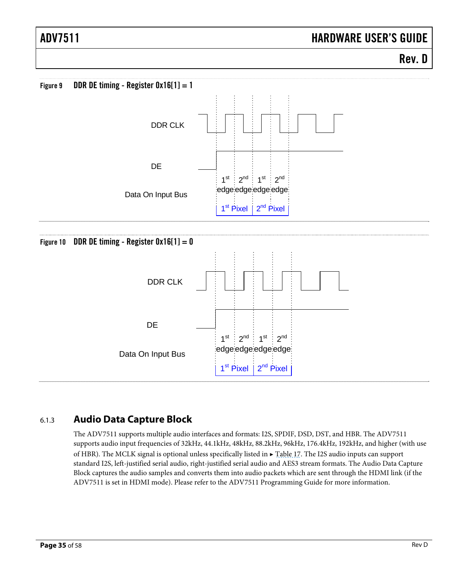<span id="page-34-3"></span><span id="page-34-2"></span><span id="page-34-1"></span>

## <span id="page-34-0"></span>6.1.3 **Audio Data Capture Block**

The ADV7511 supports multiple audio interfaces and formats: I2S, SPDIF, DSD, DST, and HBR. The ADV7511 supports audio input frequencies of 32kHz, 44.1kHz, 48kHz, 88.2kHz, 96kHz, 176.4kHz, 192kHz, and higher (with use of HBR). The MCLK signal is optional unless specifically listed in ▶ [Table 17.](#page-35-2) The I2S audio inputs can support standard I2S, left-justified serial audio, right-justified serial audio and AES3 stream formats. The Audio Data Capture Block captures the audio samples and converts them into audio packets which are sent through the HDMI link (if the ADV7511 is set in HDMI mode). Please refer to the ADV7511 Programming Guide for more information.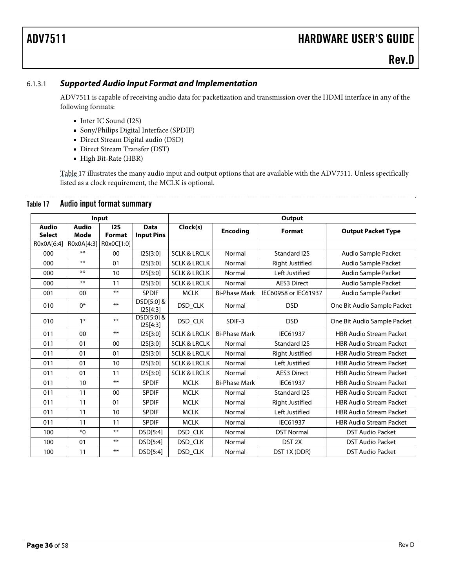#### <span id="page-35-1"></span><span id="page-35-0"></span>6.1.3.1 **Supported Audio Input Format and Implementation**

ADV7511 is capable of receiving audio data for packetization and transmission over the HDMI interface in any of the following formats:

- Inter IC Sound (I2S)
- Sony/Philips Digital Interface (SPDIF)
- Direct Stream Digital audio (DSD)
- Direct Stream Transfer (DST)
- High Bit-Rate (HBR)

[Table 17](#page-35-2) illustrates the many audio input and output options that are available with the ADV7511. Unless specifically listed as a clock requirement, the MCLK is optional.

<span id="page-35-2"></span>

| Table 17 |  |  |  | Audio input format summary |
|----------|--|--|--|----------------------------|
|----------|--|--|--|----------------------------|

|                        |                      | Input                |                                  | <b>Output</b>           |                      |                        |                                |  |  |  |  |
|------------------------|----------------------|----------------------|----------------------------------|-------------------------|----------------------|------------------------|--------------------------------|--|--|--|--|
| Audio<br><b>Select</b> | <b>Audio</b><br>Mode | 125<br><b>Format</b> | <b>Data</b><br><b>Input Pins</b> | Clock(s)                | <b>Encoding</b>      | <b>Format</b>          | <b>Output Packet Type</b>      |  |  |  |  |
| R0x0A[6:4]             | R0x0A[4:3]           | R0x0C[1:0]           |                                  |                         |                      |                        |                                |  |  |  |  |
| 000                    | $***$                | 00                   | 25[3:0]                          | <b>SCLK &amp; LRCLK</b> | Normal               | Standard I2S           | Audio Sample Packet            |  |  |  |  |
| 000                    | $***$                | 01                   | 25[3:0]                          | <b>SCLK &amp; LRCLK</b> | Normal               | <b>Right Justified</b> | Audio Sample Packet            |  |  |  |  |
| 000                    | $***$                | 10                   | 25[3:0]                          | <b>SCLK &amp; LRCLK</b> | Normal               | Left Justified         | Audio Sample Packet            |  |  |  |  |
| 000                    | $***$                | 11                   | 25[3:0]                          | <b>SCLK &amp; LRCLK</b> | Normal               | <b>AES3 Direct</b>     | Audio Sample Packet            |  |  |  |  |
| 001                    | 00                   | $***$                | <b>SPDIF</b>                     | <b>MCLK</b>             | <b>Bi-Phase Mark</b> | IEC60958 or IEC61937   | Audio Sample Packet            |  |  |  |  |
| 010                    | $0^*$                | $***$                | DSD[5:0] &<br> 2S[4:3]           | DSD_CLK                 | Normal               | <b>DSD</b>             | One Bit Audio Sample Packet    |  |  |  |  |
| 010                    | $1*$                 | $***$                | DSD[5:0] &<br> 25[4:3]           | DSD_CLK                 | SDIF-3               | <b>DSD</b>             | One Bit Audio Sample Packet    |  |  |  |  |
| 011                    | 00                   | $***$                | 25[3:0]                          | <b>SCLK &amp; LRCLK</b> | <b>Bi-Phase Mark</b> | IEC61937               | <b>HBR Audio Stream Packet</b> |  |  |  |  |
| 011                    | 01                   | 00                   | 2S[3:0]                          | <b>SCLK &amp; LRCLK</b> | Normal               | Standard I2S           | <b>HBR Audio Stream Packet</b> |  |  |  |  |
| 011                    | 01                   | 01                   | 2S[3:0]                          | <b>SCLK &amp; LRCLK</b> | Normal               | <b>Right Justified</b> | <b>HBR Audio Stream Packet</b> |  |  |  |  |
| 011                    | 01                   | 10                   | 25[3:0]                          | <b>SCLK &amp; LRCLK</b> | Normal               | Left Justified         | <b>HBR Audio Stream Packet</b> |  |  |  |  |
| 011                    | 01                   | 11                   | 2S[3:0]                          | <b>SCLK &amp; LRCLK</b> | Normal               | <b>AES3 Direct</b>     | <b>HBR Audio Stream Packet</b> |  |  |  |  |
| 011                    | 10                   | $***$                | <b>SPDIF</b>                     | <b>MCLK</b>             | <b>Bi-Phase Mark</b> | <b>IEC61937</b>        | <b>HBR Audio Stream Packet</b> |  |  |  |  |
| 011                    | 11                   | 00                   | <b>SPDIF</b>                     | <b>MCLK</b>             | Normal               | Standard I2S           | <b>HBR Audio Stream Packet</b> |  |  |  |  |
| 011                    | 11                   | 01                   | <b>SPDIF</b>                     | <b>MCLK</b>             | Normal               | <b>Right Justified</b> | <b>HBR Audio Stream Packet</b> |  |  |  |  |
| 011                    | 11                   | 10                   | <b>SPDIF</b>                     | <b>MCLK</b>             | Normal               | Left Justified         | <b>HBR Audio Stream Packet</b> |  |  |  |  |
| 011                    | 11                   | 11                   | <b>SPDIF</b>                     | <b>MCLK</b>             | Normal               | <b>IEC61937</b>        | <b>HBR Audio Stream Packet</b> |  |  |  |  |
| 100                    | $*$ 0                | $***$                | DSD[5:4]                         | DSD_CLK                 | Normal               | <b>DST Normal</b>      | <b>DST Audio Packet</b>        |  |  |  |  |
| 100                    | 01                   | $***$                | DSD[5:4]                         | DSD_CLK                 | Normal               | DST <sub>2X</sub>      | <b>DST Audio Packet</b>        |  |  |  |  |
| 100                    | 11                   | $***$                | DSD[5:4]                         | DSD_CLK                 | Normal               | DST 1X (DDR)           | <b>DST Audio Packet</b>        |  |  |  |  |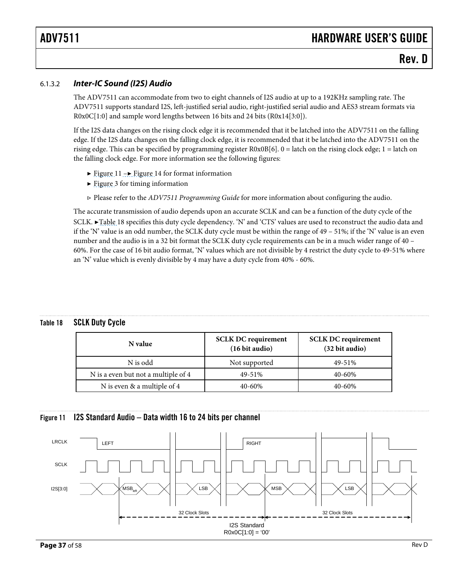#### <span id="page-36-1"></span><span id="page-36-0"></span>6.1.3.2 **Inter-IC Sound (I2S) Audio**

The ADV7511 can accommodate from two to eight channels of I2S audio at up to a 192KHz sampling rate. The ADV7511 supports standard I2S, left-justified serial audio, right-justified serial audio and AES3 stream formats via R0x0C[1:0] and sample word lengths between 16 bits and 24 bits (R0x14[3:0]).

If the I2S data changes on the rising clock edge it is recommended that it be latched into the ADV7511 on the falling edge. If the I2S data changes on the falling clock edge, it is recommended that it be latched into the ADV7511 on the rising edge. This can be specified by programming register  $R0x0B[6]$ .  $0 =$  latch on the rising clock edge; 1 = latch on the falling clock edge. For more information see the following figures:

- ▶ [Figure 11](#page-36-2) –▶ [Figure 14](#page-37-3) for format information
- ▶ [Figure 3](#page-13-2) for timing information
- ▷ Please refer to the *ADV7511 Programming Guide* for more information about configuring the audio.

The accurate transmission of audio depends upon an accurate SCLK and can be a function of the duty cycle of the SCLK. [▶Table 18](#page-36-3) specifies this duty cycle dependency. 'N' and 'CTS' values are used to reconstruct the audio data and if the 'N' value is an odd number, the SCLK duty cycle must be within the range of  $49 - 51\%$ ; if the 'N' value is an even number and the audio is in a 32 bit format the SCLK duty cycle requirements can be in a much wider range of 40 – 60%. For the case of 16 bit audio format, 'N' values which are not divisible by 4 restrict the duty cycle to 49-51% where an 'N' value which is evenly divisible by 4 may have a duty cycle from 40% - 60%.

#### <span id="page-36-3"></span>Table 18 SCLK Duty Cycle

| N value                             | <b>SCLK DC requirement</b><br>(16 bit audio) | <b>SCLK DC requirement</b><br>$(32 \text{ bit audio})$ |
|-------------------------------------|----------------------------------------------|--------------------------------------------------------|
| N is odd                            | Not supported                                | 49-51%                                                 |
| N is a even but not a multiple of 4 | 49-51%                                       | $40 - 60\%$                                            |
| N is even & a multiple of 4         | 40-60%                                       | 40-60%                                                 |

#### <span id="page-36-2"></span>Figure 11 I2S Standard Audio – Data width 16 to 24 bits per channel

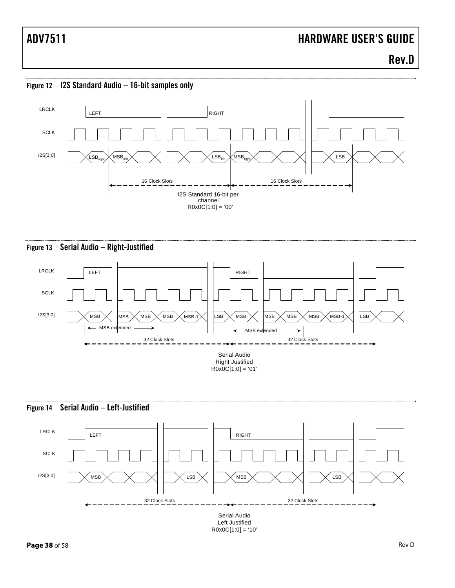## <span id="page-37-1"></span><span id="page-37-0"></span>ADV7511 HARDWARE USER'S GUIDE

## Rev.D

### Figure 12 I2S Standard Audio – 16-bit samples only



<span id="page-37-2"></span>

<span id="page-37-3"></span>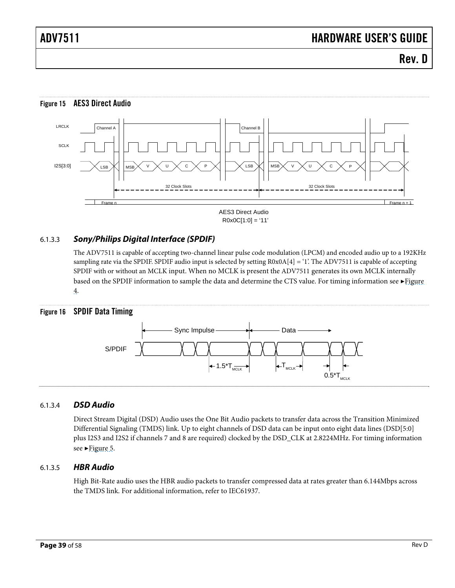#### <span id="page-38-4"></span><span id="page-38-1"></span>Figure 15 AES3 Direct Audio



R0x0C[1:0] = '11'

#### <span id="page-38-5"></span><span id="page-38-0"></span>6.1.3.3 **Sony/Philips Digital Interface (SPDIF)**

The ADV7511 is capable of accepting two-channel linear pulse code modulation (LPCM) and encoded audio up to a 192KHz sampling rate via the SPDIF. SPDIF audio input is selected by setting  $R0x0A[4] = '1'$ . The ADV7511 is capable of accepting SPDIF with or without an MCLK input. When no MCLK is present the ADV7511 generates its own MCLK internally based on the SPDIF information to sample the data and determine the CTS value. For timing information see ▶[Figure](#page-14-1)  [4.](#page-14-1)



#### <span id="page-38-3"></span><span id="page-38-2"></span>6.1.3.4 **DSD Audio**

Direct Stream Digital (DSD) Audio uses the One Bit Audio packets to transfer data across the Transition Minimized Differential Signaling (TMDS) link. Up to eight channels of DSD data can be input onto eight data lines (DSD[5:0] plus I2S3 and I2S2 if channels 7 and 8 are required) clocked by the DSD\_CLK at 2.8224MHz. For timing information see [▶Figure 5.](#page-14-2)

#### 6.1.3.5 **HBR Audio**

High Bit-Rate audio uses the HBR audio packets to transfer compressed data at rates greater than 6.144Mbps across the TMDS link. For additional information, refer to IEC61937.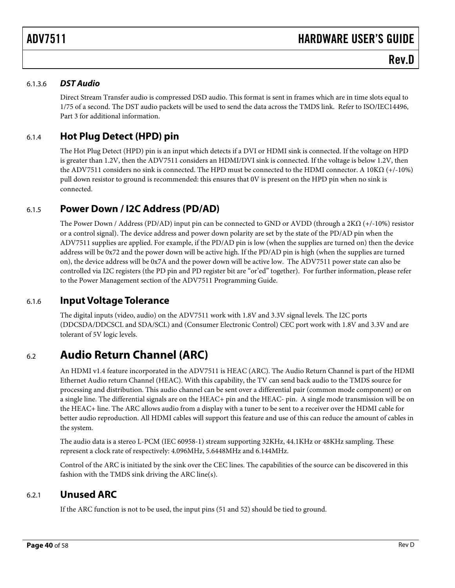#### <span id="page-39-2"></span><span id="page-39-1"></span><span id="page-39-0"></span>6.1.3.6 **DST Audio**

Direct Stream Transfer audio is compressed DSD audio. This format is sent in frames which are in time slots equal to 1/75 of a second. The DST audio packets will be used to send the data across the TMDS link. Refer to ISO/IEC14496, Part 3 for additional information.

## <span id="page-39-3"></span>6.1.4 **Hot Plug Detect (HPD) pin**

The Hot Plug Detect (HPD) pin is an input which detects if a DVI or HDMI sink is connected. If the voltage on HPD is greater than 1.2V, then the ADV7511 considers an HDMI/DVI sink is connected. If the voltage is below 1.2V, then the ADV7511 considers no sink is connected. The HPD must be connected to the HDMI connector. A 10KΩ (+/-10%) pull down resistor to ground is recommended: this ensures that 0V is present on the HPD pin when no sink is connected.

## 6.1.5 **Power Down / I2C Address (PD/AD)**

The Power Down / Address (PD/AD) input pin can be connected to GND or AVDD (through a 2KΩ (+/-10%) resistor or a control signal). The device address and power down polarity are set by the state of the PD/AD pin when the ADV7511 supplies are applied. For example, if the PD/AD pin is low (when the supplies are turned on) then the device address will be 0x72 and the power down will be active high. If the PD/AD pin is high (when the supplies are turned on), the device address will be 0x7A and the power down will be active low. The ADV7511 power state can also be controlled via I2C registers (the PD pin and PD register bit are "or'ed" together). For further information, please refer to the Power Management section of the ADV7511 Programming Guide.

## <span id="page-39-5"></span><span id="page-39-4"></span>6.1.6 **Input Voltage Tolerance**

The digital inputs (video, audio) on the ADV7511 work with 1.8V and 3.3V signal levels. The I2C ports (DDCSDA/DDCSCL and SDA/SCL) and (Consumer Electronic Control) CEC port work with 1.8V and 3.3V and are tolerant of 5V logic levels.

## 6.2 **Audio Return Channel (ARC)**

An HDMI v1.4 feature incorporated in the ADV7511 is HEAC (ARC). The Audio Return Channel is part of the HDMI Ethernet Audio return Channel (HEAC). With this capability, the TV can send back audio to the TMDS source for processing and distribution. This audio channel can be sent over a differential pair (common mode component) or on a single line. The differential signals are on the HEAC+ pin and the HEAC- pin. A single mode transmission will be on the HEAC+ line. The ARC allows audio from a display with a tuner to be sent to a receiver over the HDMI cable for better audio reproduction. All HDMI cables will support this feature and use of this can reduce the amount of cables in the system.

The audio data is a stereo L-PCM (IEC 60958-1) stream supporting 32KHz, 44.1KHz or 48KHz sampling. These represent a clock rate of respectively: 4.096MHz, 5.6448MHz and 6.144MHz.

Control of the ARC is initiated by the sink over the CEC lines. The capabilities of the source can be discovered in this fashion with the TMDS sink driving the ARC line(s).

### 6.2.1 **Unused ARC**

If the ARC function is not to be used, the input pins (51 and 52) should be tied to ground.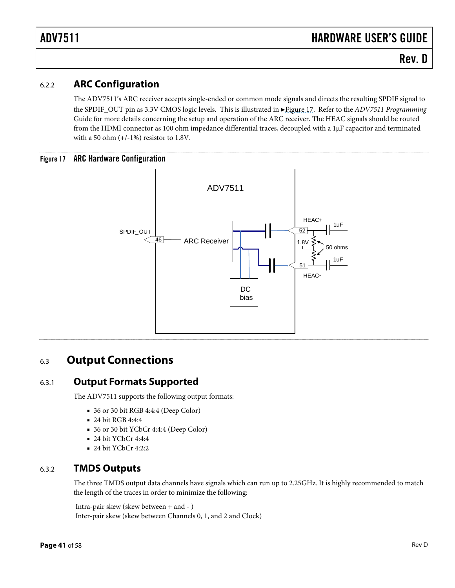### <span id="page-40-5"></span><span id="page-40-1"></span>6.2.2 **ARC Configuration**

The ADV7511's ARC receiver accepts single-ended or common mode signals and directs the resulting SPDIF signal to the SPDIF\_OUT pin as 3.3V CMOS logic levels. This is illustrated in ▶[Figure 17.](#page-40-5) Refer to the *ADV7511 Programming* Guide for more details concerning the setup and operation of the ARC receiver. The HEAC signals should be routed from the HDMI connector as 100 ohm impedance differential traces, decoupled with a 1μF capacitor and terminated with a 50 ohm  $(+/-1%)$  resistor to 1.8V.

#### Figure 17 ARC Hardware Configuration



## <span id="page-40-3"></span><span id="page-40-2"></span>6.3 **Output Connections**

### <span id="page-40-4"></span>6.3.1 **Output Formats Supported**

The ADV7511 supports the following output formats:

- 36 or 30 bit RGB 4:4:4 (Deep Color)
- 24 bit RGB 4:4:4
- 36 or 30 bit YCbCr 4:4:4 (Deep Color)
- 24 bit YCbCr 4:4:4
- 24 bit YCbCr 4:2:2

### <span id="page-40-0"></span>6.3.2 **TMDS Outputs**

The three TMDS output data channels have signals which can run up to 2.25GHz. It is highly recommended to match the length of the traces in order to minimize the following:

Intra-pair skew (skew between + and - ) Inter-pair skew (skew between Channels 0, 1, and 2 and Clock)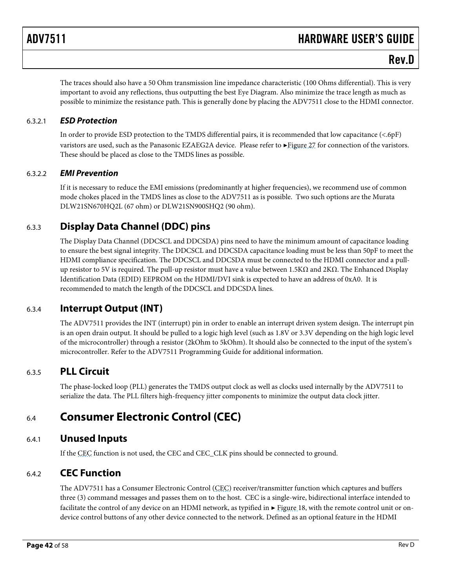<span id="page-41-0"></span>The traces should also have a 50 Ohm transmission line impedance characteristic (100 Ohms differential). This is very important to avoid any reflections, thus outputting the best Eye Diagram. Also minimize the trace length as much as possible to minimize the resistance path. This is generally done by placing the ADV7511 close to the HDMI connector.

#### <span id="page-41-2"></span><span id="page-41-1"></span>6.3.2.1 **ESD Protection**

In order to provide ESD protection to the TMDS differential pairs, it is recommended that low capacitance (<.6pF) varistors are used, such as the Panasonic EZAEG2A device. Please refer to [▶Figure 27](#page-54-1) for connection of the varistors. These should be placed as close to the TMDS lines as possible.

#### <span id="page-41-3"></span>6.3.2.2 **EMI Prevention**

If it is necessary to reduce the EMI emissions (predominantly at higher frequencies), we recommend use of common mode chokes placed in the TMDS lines as close to the ADV7511 as is possible. Two such options are the Murata DLW21SN670HQ2L (67 ohm) or DLW21SN900SHQ2 (90 ohm).

## <span id="page-41-4"></span>6.3.3 **Display Data Channel (DDC) pins**

The Display Data Channel (DDCSCL and DDCSDA) pins need to have the minimum amount of capacitance loading to ensure the best signal integrity. The DDCSCL and DDCSDA capacitance loading must be less than 50pF to meet the HDMI compliance specification. The DDCSCL and DDCSDA must be connected to the HDMI connector and a pullup resistor to 5V is required. The pull-up resistor must have a value between 1.5K $\Omega$  and 2K $\Omega$ . The Enhanced Display Identification Data (EDID) EEPROM on the HDMI/DVI sink is expected to have an address of 0xA0. It is recommended to match the length of the DDCSCL and DDCSDA lines.

### <span id="page-41-5"></span>6.3.4 **Interrupt Output (INT)**

The ADV7511 provides the INT (interrupt) pin in order to enable an interrupt driven system design. The interrupt pin is an open drain output. It should be pulled to a logic high level (such as 1.8V or 3.3V depending on the high logic level of the microcontroller) through a resistor (2kOhm to 5kOhm). It should also be connected to the input of the system's microcontroller. Refer to the ADV7511 Programming Guide for additional information.

### <span id="page-41-7"></span><span id="page-41-6"></span>6.3.5 **PLL Circuit**

The phase-locked loop (PLL) generates the TMDS output clock as well as clocks used internally by the ADV7511 to serialize the data. The PLL filters high-frequency jitter components to minimize the output data clock jitter.

## <span id="page-41-8"></span>6.4 **Consumer Electronic Control (CEC)**

### 6.4.1 **Unused Inputs**

If the [CEC function is not used, the CEC and CEC\\_CLK pins](#page-20-0) should be connected to ground.

## 6.4.2 **CEC Function**

The ADV7511 has a Consumer Electronic Control ([CEC\) receiver/transmitter function wh](#page-21-0)ich captures and buffers three (3) command messages and passes them on to the host. CEC is a single-wire, bidirectional interface intended to facilitate the control of any device on an HDMI network, as typified in ▶ [Figure 18,](#page-42-2) with the remote control unit or ondevice control buttons of any other device connected to the network. Defined as an optional feature in the HDMI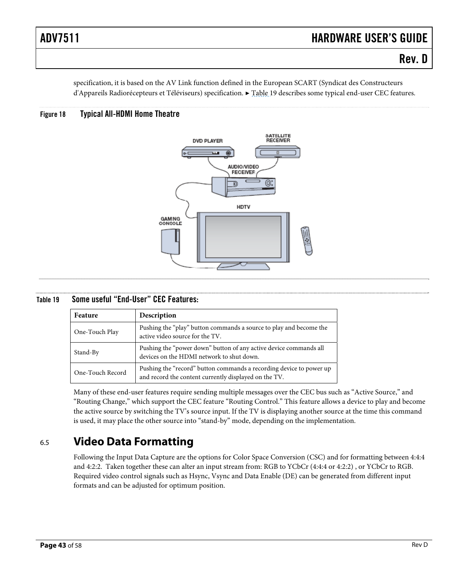<span id="page-42-0"></span>specification, it is based on the AV Link function defined in the European SCART (Syndicat des Constructeurs d'Appareils Radiorécepteurs et Téléviseurs) specification. ▶ [Table 19](#page-42-3) describes some typical end-user CEC features.

#### <span id="page-42-2"></span>Figure 18 Typical All-HDMI Home Theatre



#### <span id="page-42-3"></span>Table 19 Some useful "End-User" CEC Features:

| Feature          | Description                                                                                                                  |
|------------------|------------------------------------------------------------------------------------------------------------------------------|
| One-Touch Play   | Pushing the "play" button commands a source to play and become the<br>active video source for the TV.                        |
| Stand-By         | Pushing the "power down" button of any active device commands all<br>devices on the HDMI network to shut down.               |
| One-Touch Record | Pushing the "record" button commands a recording device to power up<br>and record the content currently displayed on the TV. |

Many of these end-user features require sending multiple messages over the CEC bus such as "Active Source," and "Routing Change," which support the CEC feature "Routing Control." This feature allows a device to play and become the active source by switching the TV's source input. If the TV is displaying another source at the time this command is used, it may place the other source into "stand-by" mode, depending on the implementation.

## <span id="page-42-1"></span>6.5 **Video Data Formatting**

Following the Input Data Capture are the options for Color Space Conversion (CSC) and for formatting between 4:4:4 and 4:2:2. Taken together these can alter an input stream from: RGB to YCbCr (4:4:4 or 4:2:2) , or YCbCr to RGB. Required video control signals such as Hsync, Vsync and Data Enable (DE) can be generated from different input formats and can be adjusted for optimum position.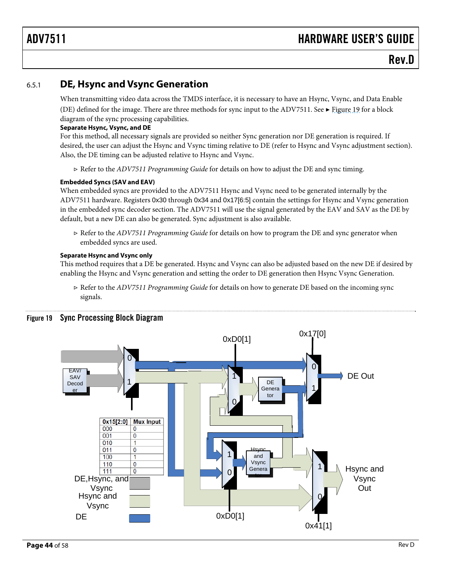### <span id="page-43-2"></span><span id="page-43-1"></span>6.5.1 **DE, Hsync and Vsync Generation**

When transmitting video data across the TMDS interface, it is necessary to have an Hsync, Vsync, and Data Enable (DE) defined for the image. There are three methods for sync input to the ADV7511. See ▶ [Figure 19](#page-43-0) for a block diagram of the sync processing capabilities.

#### **Separate Hsync, Vsync, and DE**

For this method, all necessary signals are provided so neither Sync generation nor DE generation is required. If desired, the user can adjust the Hsync and Vsync timing relative to DE (refer to Hsync and Vsync adjustment section). Also, the DE timing can be adjusted relative to Hsync and Vsync.

▷ Refer to the *ADV7511 Programming Guide* for details on how to adjust the DE and sync timing.

#### **Embedded Syncs (SAV and EAV)**

When embedded syncs are provided to the ADV7511 Hsync and Vsync need to be generated internally by the ADV7511 hardware. Registers 0x30 through 0x34 and 0x17[6:5] contain the settings for Hsync and Vsync generation in the embedded sync decoder section. The ADV7511 will use the signal generated by the EAV and SAV as the DE by default, but a new DE can also be generated. Sync adjustment is also available.

▷ Refer to the *ADV7511 Programming Guide* for details on how to program the DE and sync generator when embedded syncs are used.

#### **Separate Hsync and Vsync only**

This method requires that a DE be generated. Hsync and Vsync can also be adjusted based on the new DE if desired by enabling the Hsync and Vsync generation and setting the order to DE generation then Hsync Vsync Generation.

▷ Refer to the *ADV7511 Programming Guide* for details on how to generate DE based on the incoming sync signals.



#### <span id="page-43-0"></span>Figure 19 Sync Processing Block Diagram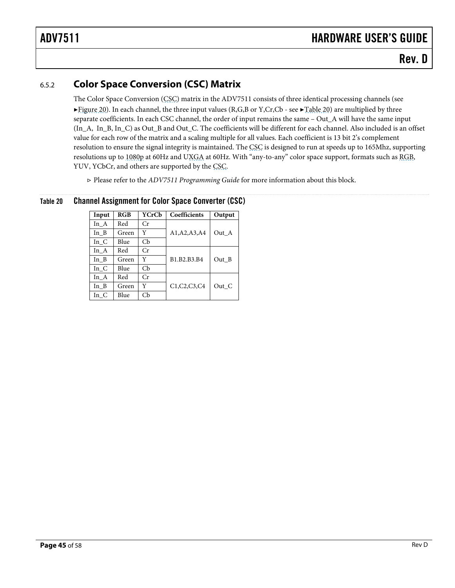## <span id="page-44-1"></span><span id="page-44-0"></span>6.5.2 **Color Space Conversion (CSC) Matrix**

The Color Space Conversion [\(CSC](#page-55-0)) matrix in the ADV7511 consists of three identical processing channels (see [▶Figure 20\)](#page-45-3). In each channel, the three input values (R,G,B or Y,Cr,Cb - see ▶[Table 20](#page-44-2)) are multiplied by three separate coefficients. In each CSC channel, the order of input remains the same – Out\_A will have the same input (In\_A, In\_B, In\_C) as Out\_B and Out\_C. The coefficients will be different for each channel. Also included is an offset value for each row of the matrix and a scaling multiple for all values. Each coefficient is 13 bit 2's complement resolution to ensure the signal integrity is maintained. The [CSC](#page-55-0) is designed to run at speeds up to 165Mhz, supporting resolutions up to [1080p](#page-55-0) at 60Hz and [UXGA](#page-55-0) at 60Hz. With "any-to-any" color space support, formats such as [RGB,](#page-55-0) YUV, YCbCr, and others are supported by the [CSC.](#page-55-0)

▷ Please refer to the *ADV7511 Programming Guide* for more information about this block.

<span id="page-44-2"></span>Table 20 Channel Assignment for Color Space Converter (CSC)

| Input        | RGB   | YCrCb | Coefficients   | Output |
|--------------|-------|-------|----------------|--------|
| In A         | Red   | Cr    |                |        |
| In B         | Green | Y     | A1, A2, A3, A4 | Out_A  |
| In $\subset$ | Blue  | Cb    |                |        |
| In A         | Red   | Cr    |                |        |
| In B         | Green | Y     | B1.B2.B3.B4    | Out B  |
| In C         | Blue  | Cb    |                |        |
| In A         | Red   | Cr    |                |        |
| In B         | Green | Y     | C1, C2, C3, C4 | Out C  |
| In C         | Blue  | Cb    |                |        |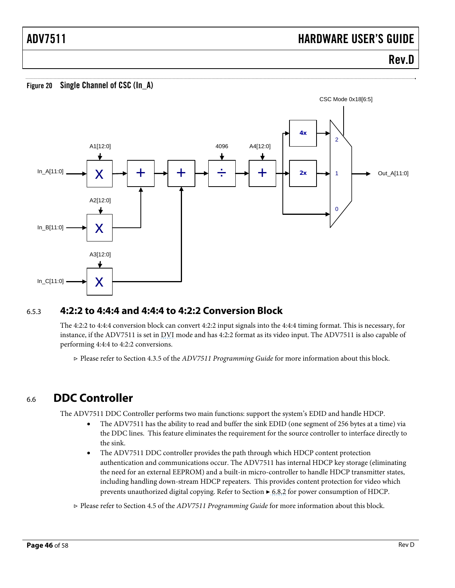#### <span id="page-45-3"></span><span id="page-45-0"></span>Figure 20 Single Channel of CSC (In\_A)



### <span id="page-45-2"></span><span id="page-45-1"></span>6.5.3 **4:2:2 to 4:4:4 and 4:4:4 to 4:2:2 Conversion Block**

The 4:2:2 to 4:4:4 conversion block can convert 4:2:2 input signals into the 4:4:4 timing format. This is necessary, for instance, if the ADV7511 is set in [DVI](#page-55-0) mode and has 4:2:2 format as its video input. The ADV7511 is also capable of performing 4:4:4 to 4:2:2 conversions.

▷ Please refer to Section 4.3.5 of the *ADV7511 Programming Guide* for more information about this block.

## 6.6 **DDC Controller**

The ADV7511 DDC Controller performs two main functions: support the system's EDID and handle HDCP.

- The ADV7511 has the ability to read and buffer the sink EDID (one segment of 256 bytes at a time) via the DDC lines. This feature eliminates the requirement for the source controller to interface directly to the sink.
- The ADV7511 DDC controller provides the path through which HDCP content protection authentication and communications occur. The ADV7511 has internal HDCP key storage (eliminating the need for an external EEPROM) and a built-in micro-controller to handle HDCP transmitter states, including handling down-stream HDCP repeaters. This provides content protection for video which prevents unauthorized digital copying. Refer to Section ▶ [6.8.2](#page-49-1) for power consumption of HDCP.
- ▷ Please refer to Section 4.5 of the *ADV7511 Programming Guide* for more information about this block.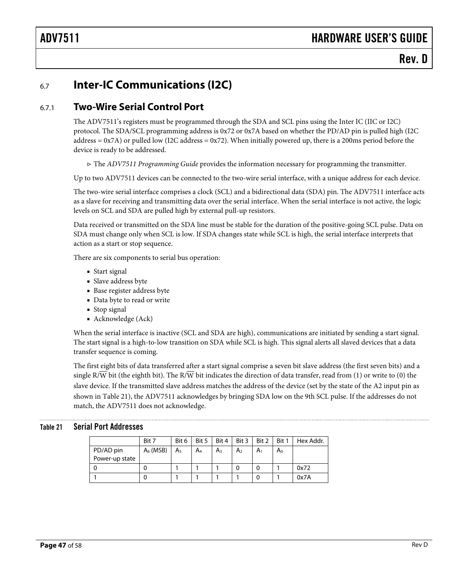## <span id="page-46-2"></span><span id="page-46-1"></span><span id="page-46-0"></span>6.7 **Inter-IC Communications (I2C)**

### 6.7.1 **Two-Wire Serial Control Port**

The ADV7511's registers must be programmed through the SDA and SCL pins using the Inter IC (IIC or I2C) protocol. The SDA/SCL programming address is 0x72 or 0x7A based on whether the PD/AD pin is pulled high (I2C address =  $0x7A$ ) or pulled low (I2C address =  $0x72$ ). When initially powered up, there is a 200ms period before the device is ready to be addressed.

▷ The *ADV7511 Programming Guide* provides the information necessary for programming the transmitter.

Up to two ADV7511 devices can be connected to the two-wire serial interface, with a unique address for each device.

The two-wire serial interface comprises a clock (SCL) and a bidirectional data (SDA) pin. The ADV7511 interface acts as a slave for receiving and transmitting data over the serial interface. When the serial interface is not active, the logic levels on SCL and SDA are pulled high by external pull-up resistors.

Data received or transmitted on the SDA line must be stable for the duration of the positive-going SCL pulse. Data on SDA must change only when SCL is low. If SDA changes state while SCL is high, the serial interface interprets that action as a start or stop sequence.

There are six components to serial bus operation:

- Start signal
- Slave address byte
- Base register address byte
- Data byte to read or write
- Stop signal
- Acknowledge (Ack)

When the serial interface is inactive (SCL and SDA are high), communications are initiated by sending a start signal. The start signal is a high-to-low transition on SDA while SCL is high. This signal alerts all slaved devices that a data transfer sequence is coming.

The first eight bits of data transferred after a start signal comprise a seven bit slave address (the first seven bits) and a single R/W bit (the eighth bit). The R/W bit indicates the direction of data transfer, read from (1) or write to (0) the slave device. If the transmitted slave address matches the address of the device (set by the state of the A2 input pin as shown in [Table 21](#page-46-3)), the ADV7511 acknowledges by bringing SDA low on the 9th SCL pulse. If the addresses do not match, the ADV7511 does not acknowledge.

#### <span id="page-46-3"></span>Table 21 Serial Port Addresses

|                | Bit 7       | Bit 6          | Bit 5 | Bit 4 | Bit 3          | Bit 2          | Bit 1 | Hex Addr. |
|----------------|-------------|----------------|-------|-------|----------------|----------------|-------|-----------|
| PD/AD pin      | $A_6$ (MSB) | A <sub>5</sub> | A4    | $A_3$ | A <sub>2</sub> | A <sub>1</sub> | A٥    |           |
| Power-up state |             |                |       |       |                |                |       |           |
|                |             |                |       |       | 0              | 0              |       | 0x72      |
|                |             |                |       |       |                | 0              |       | 0x7A      |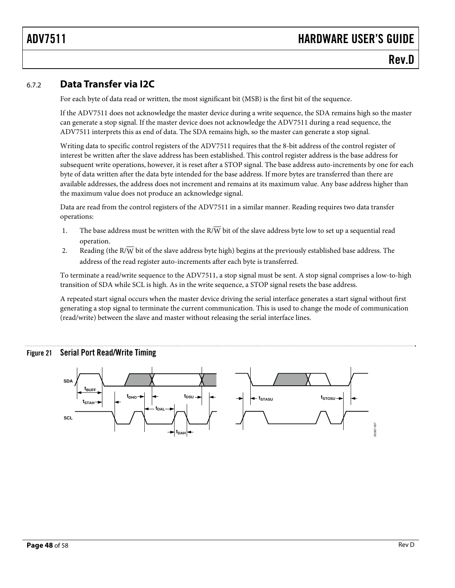### <span id="page-47-1"></span><span id="page-47-0"></span>6.7.2 **Data Transfer via I2C**

For each byte of data read or written, the most significant bit (MSB) is the first bit of the sequence.

If the ADV7511 does not acknowledge the master device during a write sequence, the SDA remains high so the master can generate a stop signal. If the master device does not acknowledge the ADV7511 during a read sequence, the ADV7511 interprets this as end of data. The SDA remains high, so the master can generate a stop signal.

Writing data to specific control registers of the ADV7511 requires that the 8-bit address of the control register of interest be written after the slave address has been established. This control register address is the base address for subsequent write operations, however, it is reset after a STOP signal. The base address auto-increments by one for each byte of data written after the data byte intended for the base address. If more bytes are transferred than there are available addresses, the address does not increment and remains at its maximum value. Any base address higher than the maximum value does not produce an acknowledge signal.

Data are read from the control registers of the ADV7511 in a similar manner. Reading requires two data transfer operations:

- 1. The base address must be written with the  $R/\overline{W}$  bit of the slave address byte low to set up a sequential read operation.
- 2. Reading (the R/W bit of the slave address byte high) begins at the previously established base address. The address of the read register auto-increments after each byte is transferred.

To terminate a read/write sequence to the ADV7511, a stop signal must be sent. A stop signal comprises a low-to-high transition of SDA while SCL is high. As in the write sequence, a STOP signal resets the base address.

A repeated start signal occurs when the master device driving the serial interface generates a start signal without first generating a stop signal to terminate the current communication. This is used to change the mode of communication (read/write) between the slave and master without releasing the serial interface lines.

<span id="page-47-2"></span>

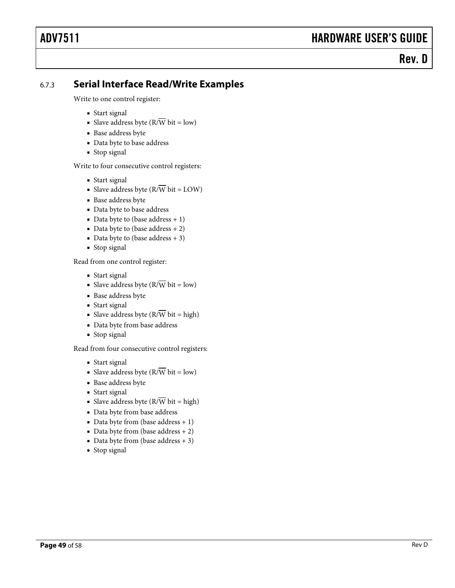## <span id="page-48-1"></span><span id="page-48-0"></span>6.7.3 **Serial Interface Read/Write Examples**

Write to one control register:

- Start signal
- Slave address byte  $(R/\overline{W})$  bit = low)
- Base address byte
- Data byte to base address
- Stop signal

Write to four consecutive control registers:

- Start signal
- Slave address byte  $(R/\overline{W})$  bit = LOW)
- Base address byte
- Data byte to base address
- Data byte to (base address  $+1$ )
- $\blacksquare$  Data byte to (base address  $+ 2$ )
- Data byte to (base address  $+3$ )
- Stop signal

Read from one control register:

- Start signal
- Slave address byte ( $R/\overline{W}$  bit = low)
- Base address byte
- Start signal
- Slave address byte  $(R/\overline{W})$  bit = high)
- Data byte from base address
- Stop signal

Read from four consecutive control registers:

- Start signal
- Slave address byte  $(R/\overline{W})$  bit = low)
- Base address byte
- Start signal
- Slave address byte  $(R/\overline{W})$  bit = high)
- Data byte from base address
- Data byte from (base address + 1)
- Data byte from (base address + 2)
- Data byte from (base address + 3)
- Stop signal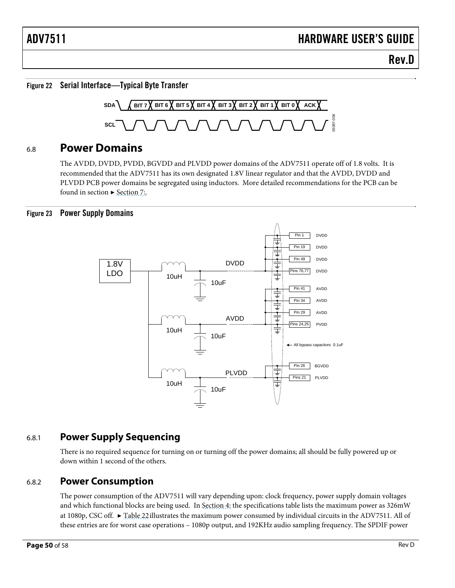<span id="page-49-4"></span><span id="page-49-2"></span><span id="page-49-0"></span>Figure 22 Serial Interface—Typical Byte Transfer



## <span id="page-49-5"></span>6.8 **Power Domains**

The AVDD, DVDD, PVDD, BGVDD and PLVDD power domains of the ADV7511 operate off of 1.8 volts. It is recommended that the ADV7511 has its own designated 1.8V linear regulator and that the AVDD, DVDD and PLVDD PCB power domains be segregated using inductors. More detailed recommendations for the PCB can be found in section ▶ Section 7:.

#### Figure 23 Power Supply Domains



### <span id="page-49-3"></span><span id="page-49-1"></span>6.8.1 **Power Supply Sequencing**

There is no required sequence for turning on or turning off the power domains; all should be fully powered up or down within 1 second of the others.

### 6.8.2 **Power Consumption**

The power consumption of the ADV7511 will vary depending upon: clock frequency, power supply domain voltages and which functional blocks are being used. In Section 4: the specifications table lists the maximum power as 326mW at 1080p, CSC off. ▶ [Table 22](#page-50-1)illustrates the maximum power consumed by individual circuits in the ADV7511. All of these entries are for worst case operations – 1080p output, and 192KHz audio sampling frequency. The SPDIF power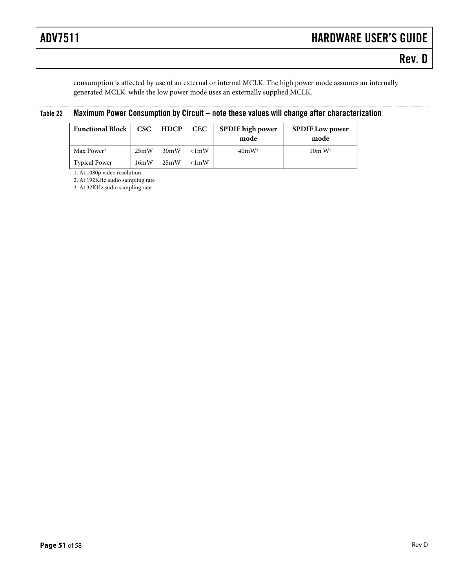<span id="page-50-0"></span>consumption is affected by use of an external or internal MCLK. The high power mode assumes an internally generated MCLK, while the low power mode uses an externally supplied MCLK.

### <span id="page-50-1"></span>Table 22 Maximum Power Consumption by Circuit – note these values will change after characterization

| <b>Functional Block</b> | CSC  | <b>HDCP</b> | <b>CEC</b>       | <b>SPDIF</b> high power<br>mode | <b>SPDIF</b> Low power<br>mode |
|-------------------------|------|-------------|------------------|---------------------------------|--------------------------------|
| Max Power <sup>1</sup>  | 25mW | 30mW        | $\langle$ 1mW    | $40mW^2$                        | 10m W <sup>3</sup>             |
| <b>Typical Power</b>    | 16mW | 25mW        | $\langle$ 1m $W$ |                                 |                                |

1. At 1080p video resolution

2. At 192KHz audio sampling rate

3. At 32KHz sudio sampling rate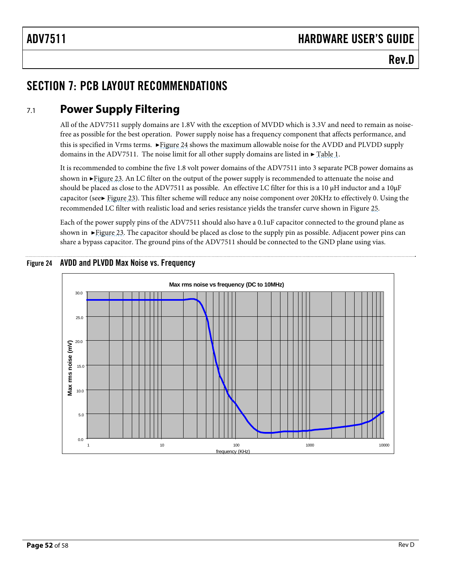## <span id="page-51-2"></span><span id="page-51-1"></span><span id="page-51-0"></span>SECTION 7: PCB LAYOUT RECOMMENDATIONS

## 7.1 **Power Supply Filtering**

All of the ADV7511 supply domains are 1.8V with the exception of MVDD which is 3.3V and need to remain as noisefree as possible for the best operation. Power supply noise has a frequency component that affects performance, and this is specified in Vrms terms. [▶Figure 24](#page-51-3) shows the maximum allowable noise for the AVDD and PLVDD supply domains in the ADV7511. The noise limit for all other supply domains are listed in  $\blacktriangleright$  [Table 1.](#page-11-1)

It is recommended to combine the five 1.8 volt power domains of the ADV7511 into 3 separate PCB power domains as shown in ►Figure 23. An LC filter on the output of the power supply is recommended to attenuate the noise and should be placed as close to the ADV7511 as possible. An effective LC filter for this is a 10 μH inductor and a 10μF capacitor (see▶ [Figure 23](#page-49-5)). This filter scheme will reduce any noise component over 20KHz to effectively 0. Using the recommended LC filter with realistic load and series resistance yields the transfer curve shown in [Figure 25.](#page-52-5)

Each of the power supply pins of the ADV7511 should also have a 0.1uF capacitor connected to the ground plane as shown in  $\rightarrow$ Figure 23. The capacitor should be placed as close to the supply pin as possible. Adjacent power pins can share a bypass capacitor. The ground pins of the ADV7511 should be connected to the GND plane using vias.



#### <span id="page-51-3"></span>Figure 24 AVDD and PLVDD Max Noise vs. Frequency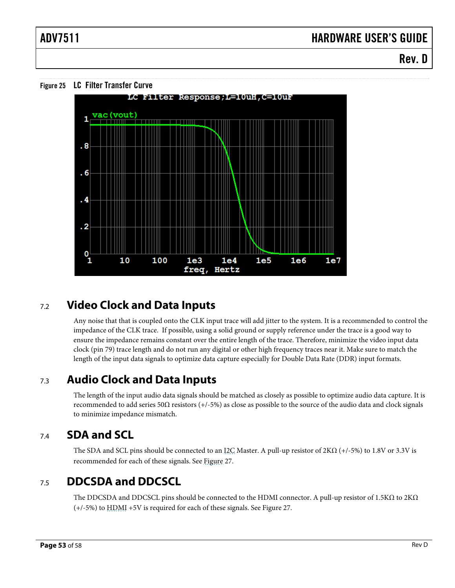#### <span id="page-52-5"></span><span id="page-52-2"></span>Figure 25 LC Filter Transfer Curve

![](_page_52_Figure_4.jpeg)

## <span id="page-52-4"></span><span id="page-52-3"></span>7.2 **Video Clock and Data Inputs**

Any noise that that is coupled onto the CLK input trace will add jitter to the system. It is a recommended to control the impedance of the CLK trace. If possible, using a solid ground or supply reference under the trace is a good way to ensure the impedance remains constant over the entire length of the trace. Therefore, minimize the video input data clock (pin 79) trace length and do not run any digital or other high frequency traces near it. Make sure to match the length of the input data signals to optimize data capture especially for Double Data Rate (DDR) input formats.

## <span id="page-52-0"></span>7.3 **Audio Clock and Data Inputs**

The length of the input audio data signals should be matched as closely as possible to optimize audio data capture. It is recommended to add series 50 $\Omega$  resistors (+/-5%) as close as possible to the source of the audio data and clock signals to minimize impedance mismatch.

## <span id="page-52-1"></span>7.4 **SDA and SCL**

The SDA and SCL pins should be connected to an  $12C$  Master. A pull-up resistor of  $2K\Omega$  (+/-5%) to 1.8V or 3.3V is recommended for each of these signals. See [Figure 27](#page-54-1).

## 7.5 **DDCSDA and DDCSCL**

The DDCSDA and DDCSCL pins should be connected to the HDMI connector. A pull-up resistor of 1.5KΩ to 2KΩ (+/-5%) to [HDMI](#page-55-0) +5V is required for each of these signals. See [Figure 27.](#page-54-1)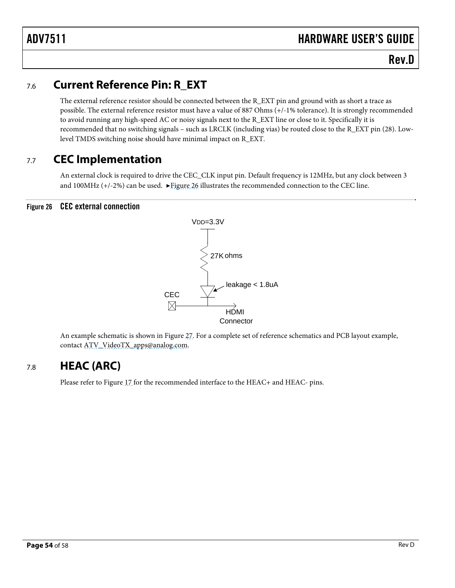## <span id="page-53-3"></span><span id="page-53-2"></span><span id="page-53-0"></span>7.6 **Current Reference Pin: R\_EXT**

The external reference resistor should be connected between the R\_EXT pin and ground with as short a trace as possible. The external reference resistor must have a value of 887 Ohms (+/-1% tolerance). It is strongly recommended to avoid running any high-speed AC or noisy signals next to the R\_EXT line or close to it. Specifically it is recommended that no switching signals – such as LRCLK (including vias) be routed close to the R\_EXT pin (28). Lowlevel TMDS switching noise should have minimal impact on R\_EXT.

## <span id="page-53-1"></span>7.7 **CEC Implementation**

An external clock is required to drive the CEC\_CLK input pin. Default frequency is 12MHz, but any clock between 3 and 100MHz (+/-2%) can be used.  $\blacktriangleright$  Figure 26 illustrates the recommended connection to the CEC line.

#### Figure 26 CEC external connection

![](_page_53_Figure_8.jpeg)

An example schematic is shown in [Figure 27](#page-54-1). For a complete set of reference schematics and PCB layout example, contact [ATV\\_VideoTX\\_apps@analog.com](mailto:ATV_VideoTX_apps@analog.com).

## <span id="page-53-4"></span>7.8 **HEAC (ARC)**

Please refer to [Figure 17](#page-40-5) for the recommended interface to the HEAC+ and HEAC- pins.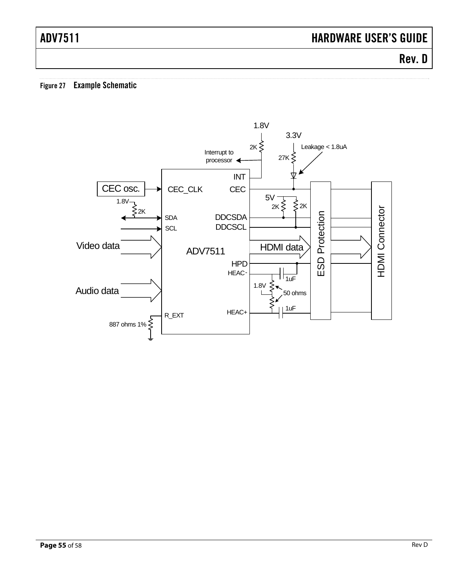### <span id="page-54-1"></span><span id="page-54-0"></span>Figure 27 Example Schematic

![](_page_54_Figure_4.jpeg)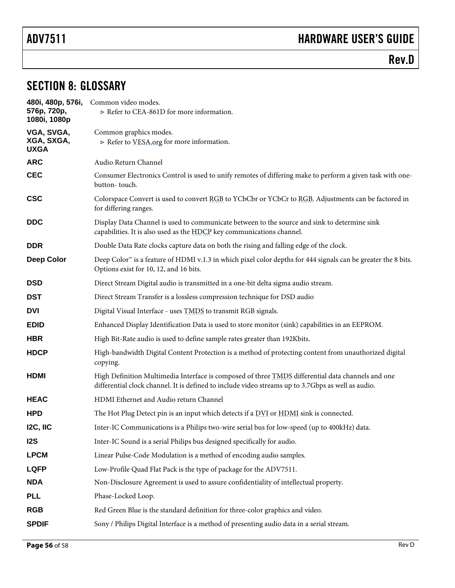## <span id="page-55-1"></span><span id="page-55-0"></span>SECTION 8: GLOSSARY

| 480i, 480p, 576i,<br>576p, 720p,<br>1080i, 1080p | Common video modes.<br>$\triangleright$ Refer to CEA-861D for more information.                                                                                                                         |
|--------------------------------------------------|---------------------------------------------------------------------------------------------------------------------------------------------------------------------------------------------------------|
| VGA, SVGA,<br>XGA, SXGA,<br><b>UXGA</b>          | Common graphics modes.<br>$\triangleright$ Refer to VESA org for more information.                                                                                                                      |
| <b>ARC</b>                                       | Audio Return Channel                                                                                                                                                                                    |
| <b>CEC</b>                                       | Consumer Electronics Control is used to unify remotes of differing make to perform a given task with one-<br>button-touch.                                                                              |
| <b>CSC</b>                                       | Colorspace Convert is used to convert RGB to YCbCbr or YCbCr to RGB. Adjustments can be factored in<br>for differing ranges.                                                                            |
| <b>DDC</b>                                       | Display Data Channel is used to communicate between to the source and sink to determine sink<br>capabilities. It is also used as the HDCP key communications channel.                                   |
| <b>DDR</b>                                       | Double Data Rate clocks capture data on both the rising and falling edge of the clock.                                                                                                                  |
| <b>Deep Color</b>                                | Deep Color" is a feature of HDMI v.1.3 in which pixel color depths for 444 signals can be greater the 8 bits.<br>Options exist for 10, 12, and 16 bits.                                                 |
| <b>DSD</b>                                       | Direct Stream Digital audio is transmitted in a one-bit delta sigma audio stream.                                                                                                                       |
| <b>DST</b>                                       | Direct Stream Transfer is a lossless compression technique for DSD audio                                                                                                                                |
| <b>DVI</b>                                       | Digital Visual Interface - uses TMDS to transmit RGB signals.                                                                                                                                           |
| <b>EDID</b>                                      | Enhanced Display Identification Data is used to store monitor (sink) capabilities in an EEPROM.                                                                                                         |
| <b>HBR</b>                                       | High Bit-Rate audio is used to define sample rates greater than 192Kbits.                                                                                                                               |
| <b>HDCP</b>                                      | High-bandwidth Digital Content Protection is a method of protecting content from unauthorized digital<br>copying.                                                                                       |
| <b>HDMI</b>                                      | High Definition Multimedia Interface is composed of three TMDS differential data channels and one<br>differential clock channel. It is defined to include video streams up to 3.7Gbps as well as audio. |
| <b>HEAC</b>                                      | HDMI Ethernet and Audio return Channel                                                                                                                                                                  |
| <b>HPD</b>                                       | The Hot Plug Detect pin is an input which detects if a DVI or HDMI sink is connected.                                                                                                                   |
| I2C, IIC                                         | Inter-IC Communications is a Philips two-wire serial bus for low-speed (up to 400kHz) data.                                                                                                             |
| 12S                                              | Inter-IC Sound is a serial Philips bus designed specifically for audio.                                                                                                                                 |
| <b>LPCM</b>                                      | Linear Pulse-Code Modulation is a method of encoding audio samples.                                                                                                                                     |
| <b>LQFP</b>                                      | Low-Profile Quad Flat Pack is the type of package for the ADV7511.                                                                                                                                      |
| <b>NDA</b>                                       | Non-Disclosure Agreement is used to assure confidentiality of intellectual property.                                                                                                                    |
| <b>PLL</b>                                       | Phase-Locked Loop.                                                                                                                                                                                      |
| <b>RGB</b>                                       | Red Green Blue is the standard definition for three-color graphics and video.                                                                                                                           |
| <b>SPDIF</b>                                     | Sony / Philips Digital Interface is a method of presenting audio data in a serial stream.                                                                                                               |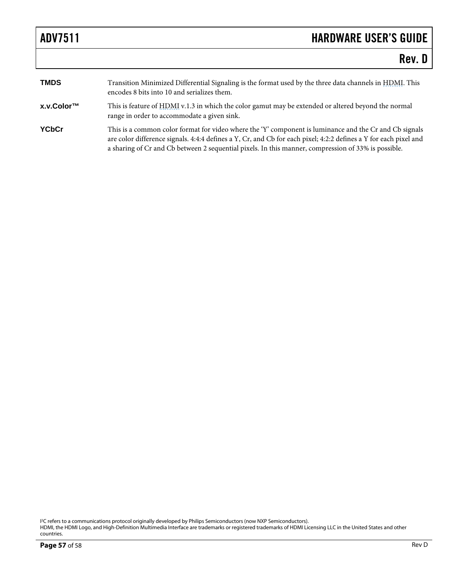## <span id="page-56-0"></span>ADV7511 **HARDWARE USER'S GUIDE**  Rev. D **TMDS** Transition Minimized Differential Signaling is the format used by the three data channels in [HDMI.](#page-55-0) This encodes 8 bits into 10 and serializes them. **x.v.Color™** This is feature of [HDMI](#page-55-0) v.1.3 in which the color gamut may be extended or altered beyond the normal range in order to accommodate a given sink. **YCbCr** This is a common color format for video where the 'Y' component is luminance and the Cr and Cb signals

are color difference signals. 4:4:4 defines a Y, Cr, and Cb for each pixel; 4:2:2 defines a Y for each pixel and a sharing of Cr and Cb between 2 sequential pixels. In this manner, compression of 33% is possible.

I 2 C refers to a communications protocol originally developed by Philips Semiconductors (now NXP Semiconductors).

HDMI, the HDMI Logo, and High-Definition Multimedia Interface are trademarks or registered trademarks of HDMI Licensing LLC in the United States and other countries.